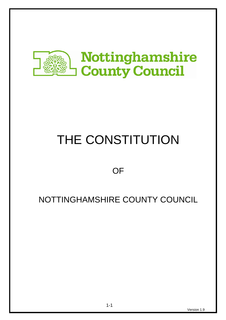

# THE CONSTITUTION

# **OF**

# NOTTINGHAMSHIRE COUNTY COUNCIL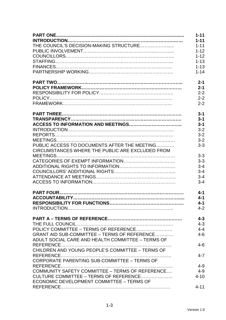|                                                   | $1 - 11$ |
|---------------------------------------------------|----------|
|                                                   | $1 - 11$ |
|                                                   | $1 - 11$ |
|                                                   | $1 - 12$ |
|                                                   | $1 - 12$ |
|                                                   | $1 - 13$ |
|                                                   | $1 - 13$ |
|                                                   | $1 - 14$ |
|                                                   | $2 - 1$  |
|                                                   | $2 - 1$  |
|                                                   | $2 - 2$  |
|                                                   | $2 - 2$  |
|                                                   | $2 - 2$  |
|                                                   | $3 - 1$  |
|                                                   | $3 - 1$  |
|                                                   | $3 - 1$  |
|                                                   | $3 - 2$  |
|                                                   | $3 - 2$  |
|                                                   | $3 - 2$  |
| PUBLIC ACCESS TO DOCUMENTS AFTER THE MEETING      | $3 - 3$  |
| CIRCUMSTANCES WHERE THE PUBLIC ARE EXCLUDED FROM  |          |
|                                                   | $3 - 3$  |
|                                                   | $3 - 3$  |
|                                                   | $3 - 4$  |
|                                                   | $3 - 4$  |
|                                                   | $3 - 4$  |
|                                                   | $3 - 4$  |
|                                                   | $4 - 1$  |
|                                                   | $4 - 1$  |
|                                                   | $4 - 1$  |
|                                                   | $4 - 2$  |
|                                                   | $4 - 3$  |
|                                                   | $4 - 3$  |
|                                                   | $4 - 4$  |
| GRANT AID SUB-COMMITTEE - TERMS OF REFERENCE      | $4 - 6$  |
| ADULT SOCIAL CARE AND HEALTH COMMITTEE - TERMS OF |          |
|                                                   | $4 - 6$  |
| CHILDREN AND YOUNG PEOPLE'S COMMITTEE - TERMS OF  |          |
| CORPORATE PARENTING SUB-COMMITTEE - TERMS OF      | $4 - 7$  |
|                                                   | $4 - 9$  |
| COMMUNITY SAFETY COMMITTEE - TERMS OF REFERENCE   | $4 - 9$  |
| CULTURE COMMITTEE – TERMS OF REFERENCE            | $4 - 10$ |
| ECONOMIC DEVELOPMENT COMMITTEE - TERMS OF         |          |
|                                                   | $4 - 11$ |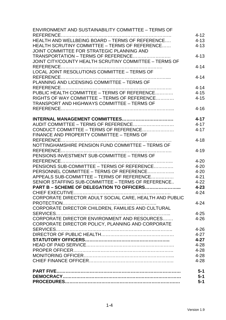| <b>ENVIRONMENT AND SUSTAINABILITY COMMITTEE - TERMS OF</b>                              |                      |
|-----------------------------------------------------------------------------------------|----------------------|
|                                                                                         | $4 - 12$             |
| HEALTH AND WELLBEING BOARD - TERMS OF REFERENCE                                         | $4 - 13$             |
| HEALTH SCRUTINY COMMITTEE - TERMS OF REFERENCE                                          | $4 - 13$             |
| JOINT COMMITTEE FOR STRATEGIC PLANNING AND                                              |                      |
| TRANSPORTATION - TERMS OF REFERENCE                                                     | $4 - 13$             |
| JOINT CITY/COUNTY HEALTH SCRUTINY COMMITTEE - TERMS OF                                  |                      |
|                                                                                         | $4 - 14$             |
| LOCAL JOINT RESOLUTIONS COMMITTEE - TERMS OF                                            |                      |
|                                                                                         | $4 - 14$             |
| PLANNING AND LICENSING COMMITTEE - TERMS OF                                             |                      |
|                                                                                         | $4 - 14$             |
| PUBLIC HEALTH COMMITTEE - TERMS OF REFERENCE                                            | $4 - 15$             |
| RIGHTS OF WAY COMMITTEE - TERMS OF REFERENCE                                            | $4 - 15$             |
| <b>TRANSPORT AND HIGHWAYS COMMITTEE - TERMS OF</b>                                      |                      |
|                                                                                         | $4 - 16$             |
|                                                                                         |                      |
|                                                                                         | $4 - 17$             |
| AUDIT COMMITTEE - TERMS OF REFERENCE                                                    | $4 - 17$             |
| CONDUCT COMMITTEE - TERMS OF REFERENCE                                                  | $4 - 17$             |
| FINANCE AND PROPERTY COMMITTEE - TERMS OF                                               |                      |
|                                                                                         | $4 - 18$             |
| NOTTINGHAMSHIRE PENSION FUND COMMITTEE - TERMS OF                                       |                      |
|                                                                                         | $4 - 19$             |
| PENSIONS INVESTMENT SUB-COMMITTEE - TERMS OF                                            |                      |
|                                                                                         | $4 - 20$             |
| PENSIONS SUB-COMMITTEE – TERMS OF REFERENCE<br>PERSONNEL COMMITTEE - TERMS OF REFERENCE | $4 - 20$             |
|                                                                                         | $4 - 20$             |
| APPEALS SUB-COMMITTEE - TERMS OF REFERENCE                                              | $4 - 21$<br>$4 - 22$ |
| SENIOR STAFFING SUB-COMMITTEE - TERMS OF REFERENCE                                      | $4 - 23$             |
| PART B – SCHEME OF DELEGATION TO OFFICERS                                               | $4 - 24$             |
| CORPORATE DIRECTOR ADULT SOCIAL CARE, HEALTH AND PUBLIC                                 |                      |
|                                                                                         | $4 - 24$             |
| CORPORATE DIRECTOR CHILDREN, FAMILIES AND CULTURAL                                      |                      |
|                                                                                         | $4 - 25$             |
| CORPORATE DIRECTOR ENVIRONMENT AND RESOURCES                                            | $4 - 26$             |
| CORPORATE DIRECTOR POLICY, PLANNING AND CORPORATE                                       |                      |
|                                                                                         | $4 - 26$             |
|                                                                                         | $4 - 27$             |
|                                                                                         | $4 - 27$             |
|                                                                                         | $4 - 28$             |
|                                                                                         | $4 - 28$             |
|                                                                                         | $4 - 28$             |
|                                                                                         | $4 - 28$             |
|                                                                                         |                      |
|                                                                                         | $5-1$                |
|                                                                                         | $5-1$                |
|                                                                                         | $5 - 1$              |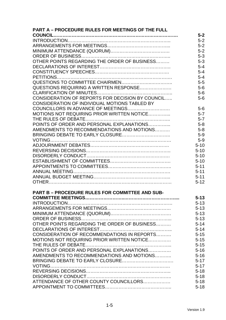| <b>PART A - PROCEDURE RULES FOR MEETINGS OF THE FULL</b> |          |
|----------------------------------------------------------|----------|
|                                                          | $5-2$    |
|                                                          | $5-2$    |
|                                                          | $5-2$    |
|                                                          | $5-2$    |
|                                                          | $5 - 3$  |
| OTHER POINTS REGARDING THE ORDER OF BUSINESS             | $5 - 3$  |
|                                                          | $5 - 4$  |
|                                                          | $5 - 4$  |
|                                                          | $5 - 4$  |
|                                                          | $5-5$    |
| QUESTIONS REQUIRING A WRITTEN RESPONSE                   | $5-6$    |
|                                                          | $5-6$    |
| CONSIDERATION OF REPORTS FOR DECISION BY COUNCIL         | $5-6$    |
| CONSIDERATION OF INDIVIDUAL MOTIONS TABLED BY            |          |
|                                                          | $5-6$    |
| MOTIONS NOT REQUIRING PRIOR WRITTEN NOTICE               | $5 - 7$  |
|                                                          | $5 - 7$  |
| POINTS OF ORDER AND PERSONAL EXPLANATIONS                | $5 - 8$  |
| AMENDMENTS TO RECOMMENDATIONS AND MOTIONS                | $5 - 8$  |
|                                                          | $5-9$    |
|                                                          | $5-9$    |
|                                                          |          |
|                                                          | $5 - 10$ |
|                                                          | $5 - 10$ |
|                                                          | $5 - 10$ |
|                                                          | $5 - 10$ |
|                                                          | $5 - 11$ |
|                                                          | $5 - 11$ |
|                                                          | $5 - 11$ |
|                                                          | $5 - 12$ |
| <b>PART B - PROCEDURE RULES FOR COMMITTEE AND SUB-</b>   |          |
|                                                          | $5 - 13$ |
|                                                          | $5 - 13$ |
|                                                          | $5 - 13$ |
|                                                          | $5 - 13$ |
|                                                          | $5 - 13$ |
| OTHER POINTS REGARDING THE ORDER OF BUSINESS             | $5 - 14$ |
|                                                          | $5 - 14$ |
| CONSIDERATION OF RECOMMENDATIONS IN REPORTS              | $5 - 15$ |
| MOTIONS NOT REQUIRING PRIOR WRITTEN NOTICE               | $5 - 15$ |
|                                                          | $5 - 15$ |
| POINTS OF ORDER AND PERSONAL EXPLANATIONS                | $5 - 16$ |
| AMENDMENTS TO RECOMMENDATIONS AND MOTIONS                | $5 - 16$ |
|                                                          | $5 - 17$ |
|                                                          | $5 - 17$ |
|                                                          | $5 - 18$ |
|                                                          | $5 - 18$ |
| ATTENDANCE OF OTHER COUNTY COUNCILLORS                   | $5 - 18$ |
|                                                          |          |
|                                                          | $5 - 18$ |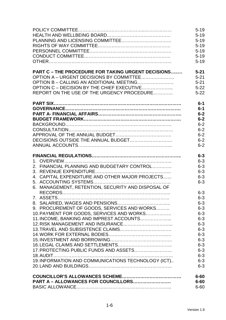|                                                           | $5 - 19$ |
|-----------------------------------------------------------|----------|
|                                                           | $5 - 19$ |
|                                                           | $5 - 19$ |
|                                                           | $5 - 19$ |
|                                                           | $5 - 19$ |
|                                                           | $5 - 19$ |
|                                                           | $5 - 19$ |
| <b>PART C - THE PROCEDURE FOR TAKING URGENT DECISIONS</b> | $5 - 21$ |
| OPTION A – URGENT DECISIONS BY COMMITTEE                  | $5 - 21$ |
|                                                           | $5 - 21$ |
|                                                           | $5 - 22$ |
| REPORT ON THE USE OF THE URGENCY PROCEDURE                | $5 - 22$ |
|                                                           |          |
|                                                           | $6-1$    |
|                                                           | $6-1$    |
|                                                           | $6-2$    |
|                                                           | $6-2$    |
|                                                           | $6 - 2$  |
|                                                           | $6 - 2$  |
|                                                           | $6 - 2$  |
|                                                           | $6 - 2$  |
|                                                           | $6 - 2$  |
|                                                           | $6 - 3$  |
|                                                           | $6 - 3$  |
| 2. FINANCIAL PLANNING AND BUDGETARY CONTROL               | $6 - 3$  |
|                                                           | $6 - 3$  |
| 4. CAPITAL EXPENDITURE AND OTHER MAJOR PROJECTS           | $6 - 3$  |
|                                                           | $6 - 3$  |
| 6. MANAGEMENT, RETENTION, SECURITY AND DISPOSAL OF        |          |
|                                                           | $6 - 3$  |
|                                                           | $6 - 3$  |
|                                                           | $6 - 3$  |
| 9. PROCUREMENT OF GOODS, SERVICES AND WORKS               | $6 - 3$  |
| 10. PAYMENT FOR GOODS, SERVICES AND WORKS                 | $6 - 3$  |
| 11. INCOME, BANKING AND IMPREST ACCOUNTS                  | $6 - 3$  |
|                                                           | $6 - 3$  |
|                                                           | $6 - 3$  |
|                                                           | $6 - 3$  |
|                                                           | $6 - 3$  |
|                                                           | $6 - 3$  |
|                                                           | $6 - 3$  |
|                                                           | $6 - 3$  |
| 19. INFORMATION AND COMMUNICATIONS TECHNOLOGY (ICT)       | $6 - 3$  |
|                                                           | $6 - 3$  |
|                                                           | $6 - 60$ |
| PART A - ALLOWANCES FOR COUNCILLORS                       | $6 - 60$ |
|                                                           | $6 - 60$ |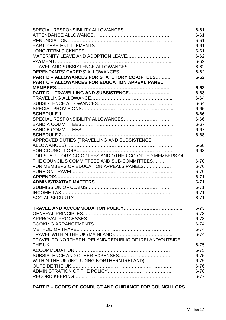|                                                        | $6 - 61$             |
|--------------------------------------------------------|----------------------|
|                                                        | $6 - 61$             |
|                                                        | $6 - 61$             |
|                                                        | $6 - 61$             |
|                                                        | $6 - 61$             |
| MATERNITY LEAVE AND ADOPTION LEAVE                     | $6 - 62$             |
|                                                        | $6 - 62$             |
| TRAVEL AND SUBSISTENCE ALLOWANCES                      | $6 - 62$             |
|                                                        | $6 - 62$             |
| PART B - ALLOWANCES FOR STATUTORY CO-OPTEES            | $6 - 62$             |
| <b>PART C - ALLOWANCES FOR EDUCATION APPEAL PANEL</b>  |                      |
|                                                        | $6 - 63$             |
| PART D - TRAVELLING AND SUBSISTENCE                    | $6 - 63$             |
|                                                        | $6 - 64$             |
|                                                        |                      |
|                                                        | $6 - 64$<br>$6 - 65$ |
|                                                        |                      |
|                                                        | $6 - 66$             |
|                                                        | 6-66                 |
|                                                        | $6 - 67$             |
|                                                        | $6 - 67$             |
|                                                        | $6 - 68$             |
| APPROVED DUTIES (TRAVELLING AND SUBSISTENCE            |                      |
|                                                        | $6 - 68$             |
|                                                        | $6 - 68$             |
| FOR STATUTORY CO-OPTEES AND OTHER CO-OPTED MEMBERS OF  |                      |
| THE COUNCIL'S COMMITTEES AND SUB-COMMITTEES            | $6 - 70$             |
| FOR MEMBERS OF EDUCATION APPEALS PANELS                | $6 - 70$             |
|                                                        | $6 - 70$             |
|                                                        | $6 - 71$             |
|                                                        | $6 - 71$             |
|                                                        | $6 - 71$             |
|                                                        | $6 - 71$             |
|                                                        | $6 - 71$             |
|                                                        |                      |
|                                                        | $6 - 73$             |
|                                                        | $6 - 73$             |
|                                                        | $6 - 73$             |
|                                                        | $6 - 74$             |
|                                                        | $6 - 74$             |
|                                                        | $6 - 74$             |
| TRAVEL TO NORTHERN IRELAND/REPUBLIC OF IRELAND/OUTSIDE |                      |
|                                                        | $6 - 75$             |
|                                                        | $6 - 75$             |
|                                                        | $6 - 75$             |
| WITHIN THE UK (INCLUDING NORTHERN IRELAND)             | $6 - 75$             |
|                                                        | $6 - 76$             |
|                                                        | $6 - 76$             |
|                                                        | $6 - 77$             |

## **PART B – CODES OF CONDUCT AND GUIDANCE FOR COUNCILLORS**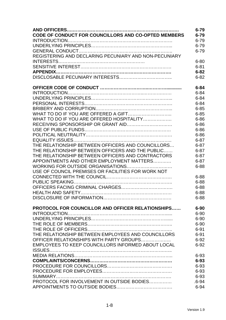|                                                           | $6 - 79$  |
|-----------------------------------------------------------|-----------|
| CODE OF CONDUCT FOR COUNCILLORS AND CO-OPTED MEMBERS      | $6 - 79$  |
|                                                           | $6 - 79$  |
|                                                           | $6 - 79$  |
|                                                           | $6 - 79$  |
| REGISTERING AND DECLARING PECUNIARY AND NON-PECUNIARY     |           |
|                                                           | $6 - 80$  |
|                                                           | $6 - 81$  |
|                                                           | $6 - 82$  |
|                                                           | $6 - 82$  |
|                                                           | $6 - 84$  |
|                                                           | $6 - 84$  |
|                                                           | $6 - 84$  |
|                                                           | $6 - 84$  |
|                                                           | $6 - 85$  |
|                                                           | $6 - 85$  |
| WHAT TO DO IF YOU ARE OFFERED HOSPITALITY                 | $6 - 86$  |
|                                                           | $6 - 86$  |
|                                                           | $6 - 86$  |
|                                                           | $6 - 86$  |
|                                                           | $6 - 87$  |
| THE RELATIONSHIP BETWEEN OFFICERS AND COUNCILLORS         | $6 - 87$  |
| THE RELATIONSHIP BETWEEN OFFICERS AND THE PUBLIC          | $6 - 87$  |
| THE RELATIONSHIP BETWEEN OFFICERS AND CONTRACTORS         | $6 - 87$  |
| APPOINTMENTS AND OTHER EMPLOYMENT MATTERS                 | $6 - 87$  |
| WORKING FOR OUTSIDE ORGANISATIONS                         | $6 - 88$  |
| USE OF COUNCIL PREMISES OR FACILITIES FOR WORK NOT        |           |
|                                                           | $6 - 88$  |
|                                                           | $6 - 88$  |
|                                                           | $6 - 88$  |
|                                                           | $6 - 88$  |
|                                                           | $6 - 88$  |
| <b>PROTOCOL FOR COUNCILLOR AND OFFICER RELATIONSHIPS</b>  | $6 - 90$  |
|                                                           | $6 - 90$  |
|                                                           | $6 - 90$  |
|                                                           | $6 - 90$  |
|                                                           | $6 - 91$  |
| THE RELATIONSHIP BETWEEN EMPLOYEES AND COUNCILLORS        | $6 - 91$  |
| OFFICER RELATIONSHIPS WITH PARTY GROUPS                   | $6 - 92$  |
| <b>EMPLOYEES TO KEEP COUNCILLORS INFORMED ABOUT LOCAL</b> | $6-92$    |
|                                                           |           |
|                                                           | $6 - 93$  |
|                                                           | $6 - 93$  |
|                                                           | 6-93      |
|                                                           | $6 - 93$  |
|                                                           | 6-93      |
| PROTOCOL FOR INVOLVEMENT IN OUTSIDE BODIES                | $.6 - 94$ |
|                                                           | $6 - 94$  |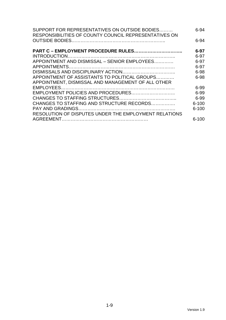| SUPPORT FOR REPRESENTATIVES ON OUTSIDE BODIES<br>RESPONSIBILITIES OF COUNTY COUNCIL REPRESENTATIVES ON | $6 - 94$  |
|--------------------------------------------------------------------------------------------------------|-----------|
|                                                                                                        | $6 - 94$  |
| PART C - EMPLOYMENT PROCEDURE RULES                                                                    | $6 - 97$  |
|                                                                                                        | $6 - 97$  |
| APPOINTMENT AND DISMISSAL - SENIOR EMPLOYEES                                                           | $6 - 97$  |
|                                                                                                        | $6 - 97$  |
|                                                                                                        | 6-98      |
| APPOINTMENT OF ASSISTANTS TO POLITICAL GROUPS                                                          | $6 - 98$  |
| APPOINTMENT, DISMISSAL AND MANAGEMENT OF ALL OTHER                                                     |           |
|                                                                                                        | 6-99      |
|                                                                                                        | 6-99      |
|                                                                                                        | 6-99      |
| CHANGES TO STAFFING AND STRUCTURE RECORDS                                                              | $6 - 100$ |
|                                                                                                        | $6 - 100$ |
| RESOLUTION OF DISPUTES UNDER THE EMPLOYMENT RELATIONS                                                  |           |
|                                                                                                        | $6 - 100$ |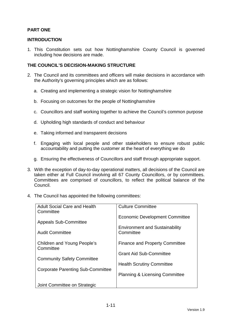#### **PART ONE**

#### **INTRODUCTION**

1. This Constitution sets out how Nottinghamshire County Council is governed including how decisions are made.

#### **THE COUNCIL'S DECISION-MAKING STRUCTURE**

- 2. The Council and its committees and officers will make decisions in accordance with the Authority's governing principles which are as follows:
	- a. Creating and implementing a strategic vision for Nottinghamshire
	- b. Focusing on outcomes for the people of Nottinghamshire
	- c. Councillors and staff working together to achieve the Council's common purpose
	- d. Upholding high standards of conduct and behaviour
	- e. Taking informed and transparent decisions
	- f. Engaging with local people and other stakeholders to ensure robust public accountability and putting the customer at the heart of everything we do
	- g. Ensuring the effectiveness of Councillors and staff through appropriate support.
- 3. With the exception of day-to-day operational matters, all decisions of the Council are taken either at Full Council involving all 67 County Councillors, or by committees. Committees are comprised of councillors, to reflect the political balance of the Council.
- 4. The Council has appointed the following committees:

| <b>Adult Social Care and Health</b><br>Committee | <b>Culture Committee</b>                  |
|--------------------------------------------------|-------------------------------------------|
|                                                  | <b>Economic Development Committee</b>     |
| <b>Appeals Sub-Committee</b>                     | <b>Environment and Sustainability</b>     |
| <b>Audit Committee</b>                           | Committee                                 |
| <b>Children and Young People's</b><br>Committee  | <b>Finance and Property Committee</b>     |
|                                                  | <b>Grant Aid Sub-Committee</b>            |
| <b>Community Safety Committee</b>                | <b>Health Scrutiny Committee</b>          |
| Corporate Parenting Sub-Committee                | <b>Planning &amp; Licensing Committee</b> |
|                                                  |                                           |
| Joint Committee on Strategic                     |                                           |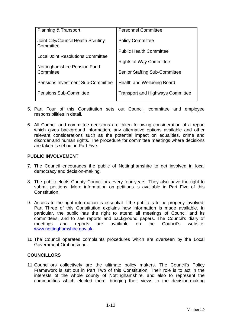| <b>Planning &amp; Transport</b>                 | <b>Personnel Committee</b>              |
|-------------------------------------------------|-----------------------------------------|
| Joint City/Council Health Scrutiny<br>Committee | <b>Policy Committee</b>                 |
|                                                 | <b>Public Health Committee</b>          |
| <b>Local Joint Resolutions Committee</b>        | <b>Rights of Way Committee</b>          |
| Nottinghamshire Pension Fund<br>Committee       | <b>Senior Staffing Sub-Committee</b>    |
| <b>Pensions Investment Sub-Committee</b>        | Health and Wellbeing Board              |
| <b>Pensions Sub-Committee</b>                   | <b>Transport and Highways Committee</b> |

- 5. Part Four of this Constitution sets out Council, committee and employee responsibilities in detail.
- 6. All Council and committee decisions are taken following consideration of a report which gives background information, any alternative options available and other relevant considerations such as the potential impact on equalities, crime and disorder and human rights. The procedure for committee meetings where decisions are taken is set out in Part Five.

#### **PUBLIC INVOLVEMENT**

- 7. The Council encourages the public of Nottinghamshire to get involved in local democracy and decision-making.
- 8. The public elects County Councillors every four years. They also have the right to submit petitions. More information on petitions is available in Part Five of this Constitution.
- 9. Access to the right information is essential if the public is to be properly involved; Part Three of this Constitution explains how information is made available. In particular, the public has the right to attend all meetings of Council and its committees, and to see reports and background papers. The Council's diary of meetings and reports are available on the Council's website: www.nottinghamshire.gov.uk
- 10. The Council operates complaints procedures which are overseen by the Local Government Ombudsman.

#### **COUNCILLORS**

11. Councillors collectively are the ultimate policy makers. The Council's Policy Framework is set out in Part Two of this Constitution. Their role is to act in the interests of the whole county of Nottinghamshire, and also to represent the communities which elected them, bringing their views to the decision-making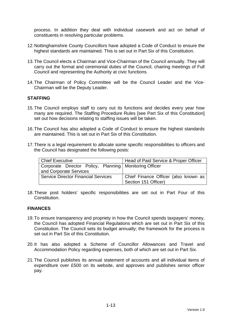process. In addition they deal with individual casework and act on behalf of constituents in resolving particular problems.

- 12. Nottinghamshire County Councillors have adopted a Code of Conduct to ensure the highest standards are maintained. This is set out in Part Six of this Constitution.
- 13. The Council elects a Chairman and Vice-Chairman of the Council annually. They will carry out the formal and ceremonial duties of the Council, chairing meetings of Full Council and representing the Authority at civic functions.
- 14. The Chairman of Policy Committee will be the Council Leader and the Vice-Chairman will be the Deputy Leader.

#### **STAFFING**

- 15. The Council employs staff to carry out its functions and decides every year how many are required. The Staffing Procedure Rules [see Part Six of this Constitution] set out how decisions relating to staffing issues will be taken.
- 16. The Council has also adopted a Code of Conduct to ensure the highest standards are maintained. This is set out in Part Six of this Constitution.
- 17. There is a legal requirement to allocate some specific responsibilities to officers and the Council has designated the following posts:

| <b>Chief Executive</b>                                   | Head of Paid Service & Proper Officer |
|----------------------------------------------------------|---------------------------------------|
| Corporate Director Policy, Planning   Monitoring Officer |                                       |
| and Corporate Services                                   |                                       |
| <b>Service Director Financial Services</b>               | Chief Finance Officer (also known as  |
|                                                          | Section 151 Officer)                  |

18. These post holders' specific responsibilities are set out in Part Four of this Constitution.

#### **FINANCES**

- 19. To ensure transparency and propriety in how the Council spends taxpayers' money, the Council has adopted Financial Regulations which are set out in Part Six of this Constitution. The Council sets its budget annually; the framework for the process is set out in Part Six of this Constitution.
- 20. It has also adopted a Scheme of Councillor Allowances and Travel and Accommodation Policy regarding expenses, both of which are set out in Part Six.
- 21. The Council publishes its annual statement of accounts and all individual items of expenditure over £500 on its website, and approves and publishes senior officer pay.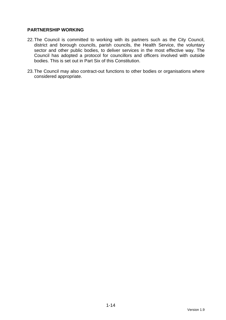#### **PARTNERSHIP WORKING**

- 22. The Council is committed to working with its partners such as the City Council, district and borough councils, parish councils, the Health Service, the voluntary sector and other public bodies, to deliver services in the most effective way. The Council has adopted a protocol for councillors and officers involved with outside bodies. This is set out in Part Six of this Constitution.
- 23. The Council may also contract-out functions to other bodies or organisations where considered appropriate.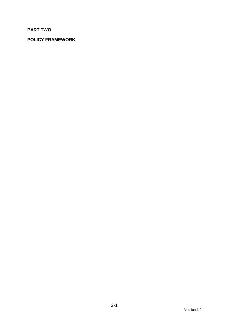### **PART TWO**

### **POLICY FRAMEWORK**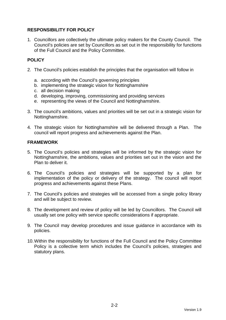#### **RESPONSIBILITY FOR POLICY**

1. Councillors are collectively the ultimate policy makers for the County Council. The Council's policies are set by Councillors as set out in the responsibility for functions of the Full Council and the Policy Committee.

#### **POLICY**

- 2. The Council's policies establish the principles that the organisation will follow in
	- a. according with the Council's governing principles
	- b. implementing the strategic vision for Nottinghamshire
	- c. all decision making
	- d. developing, improving, commissioning and providing services
	- e. representing the views of the Council and Nottinghamshire.
- 3. The council's ambitions, values and priorities will be set out in a strategic vision for Nottinghamshire.
- 4. The strategic vision for Nottinghamshire will be delivered through a Plan. The council will report progress and achievements against the Plan.

#### **FRAMEWORK**

- 5. The Council's policies and strategies will be informed by the strategic vision for Nottinghamshire, the ambitions, values and priorities set out in the vision and the Plan to deliver it.
- 6. The Council's policies and strategies will be supported by a plan for implementation of the policy or delivery of the strategy. The council will report progress and achievements against these Plans.
- 7. The Council's policies and strategies will be accessed from a single policy library and will be subject to review.
- 8. The development and review of policy will be led by Councillors. The Council will usually set one policy with service specific considerations if appropriate.
- 9. The Council may develop procedures and issue guidance in accordance with its policies.
- 10. Within the responsibility for functions of the Full Council and the Policy Committee Policy is a collective term which includes the Council's policies, strategies and statutory plans.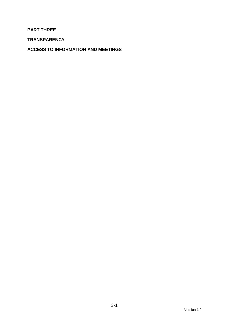#### **PART THREE**

**TRANSPARENCY** 

**ACCESS TO INFORMATION AND MEETINGS**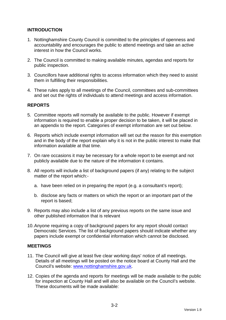#### **INTRODUCTION**

- 1. Nottinghamshire County Council is committed to the principles of openness and accountability and encourages the public to attend meetings and take an active interest in how the Council works.
- 2. The Council is committed to making available minutes, agendas and reports for public inspection.
- 3. Councillors have additional rights to access information which they need to assist them in fulfilling their responsibilities.
- 4. These rules apply to all meetings of the Council, committees and sub-committees and set out the rights of individuals to attend meetings and access information.

#### **REPORTS**

- 5. Committee reports will normally be available to the public. However if exempt information is required to enable a proper decision to be taken, it will be placed in an appendix to the report. Categories of exempt information are set out below.
- 6. Reports which include exempt information will set out the reason for this exemption and in the body of the report explain why it is not in the public interest to make that information available at that time.
- 7. On rare occasions it may be necessary for a whole report to be exempt and not publicly available due to the nature of the information it contains.
- 8. All reports will include a list of background papers (if any) relating to the subject matter of the report which:
	- a. have been relied on in preparing the report (e.g. a consultant's report);
	- b. disclose any facts or matters on which the report or an important part of the report is based;
- 9. Reports may also include a list of any previous reports on the same issue and other published information that is relevant
- 10. Anyone requiring a copy of background papers for any report should contact Democratic Services. The list of background papers should indicate whether any papers include exempt or confidential information which cannot be disclosed.

#### **MEETINGS**

- 11. The Council will give at least five clear working days' notice of all meetings. Details of all meetings will be posted on the notice board at County Hall and the Council's website: www.nottinghamshire.gov.uk.
- 12. Copies of the agenda and reports for meetings will be made available to the public for inspection at County Hall and will also be available on the Council's website. These documents will be made available: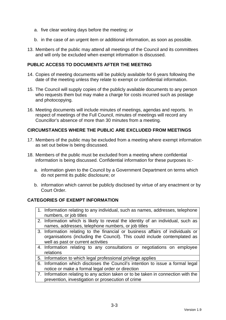- a. five clear working days before the meeting; or
- b. in the case of an urgent item or additional information, as soon as possible.
- 13. Members of the public may attend all meetings of the Council and its committees and will only be excluded when exempt information is discussed.

#### **PUBLIC ACCESS TO DOCUMENTS AFTER THE MEETING**

- 14. Copies of meeting documents will be publicly available for 6 years following the date of the meeting unless they relate to exempt or confidential information.
- 15. The Council will supply copies of the publicly available documents to any person who requests them but may make a charge for costs incurred such as postage and photocopying.
- 16. Meeting documents will include minutes of meetings, agendas and reports. In respect of meetings of the Full Council, minutes of meetings will record any Councillor's absence of more than 30 minutes from a meeting.

#### **CIRCUMSTANCES WHERE THE PUBLIC ARE EXCLUDED FROM MEETINGS**

- 17. Members of the public may be excluded from a meeting where exempt information as set out below is being discussed.
- 18. Members of the public must be excluded from a meeting where confidential information is being discussed. Confidential information for these purposes is:
	- a. information given to the Council by a Government Department on terms which do not permit its public disclosure; or
	- b. information which cannot be publicly disclosed by virtue of any enactment or by Court Order.

#### **CATEGORIES OF EXEMPT INFORMATION**

- 1. Information relating to any individual, such as names, addresses, telephone numbers, or job titles
- 2. Information which is likely to reveal the identity of an individual, such as names, addresses, telephone numbers, or job titles
- 3. Information relating to the financial or business affairs of individuals or organisations (including the Council). This could include contemplated as well as past or current activities
- 4. Information relating to any consultations or negotiations on employee relations
- 5. Information to which legal professional privilege applies
- 6. Information which discloses the Council's intention to issue a formal legal notice or make a formal legal order or direction
- 7. Information relating to any action taken or to be taken in connection with the prevention, investigation or prosecution of crime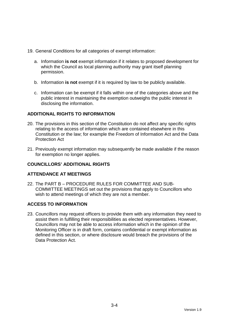- 19. General Conditions for all categories of exempt information:
	- a. Information **is not** exempt information if it relates to proposed development for which the Council as local planning authority may grant itself planning permission.
	- b. Information **is not** exempt if it is required by law to be publicly available.
	- c. Information can be exempt if it falls within one of the categories above and the public interest in maintaining the exemption outweighs the public interest in disclosing the information.

#### **ADDITIONAL RIGHTS TO INFORMATION**

- 20. The provisions in this section of the Constitution do not affect any specific rights relating to the access of information which are contained elsewhere in this Constitution or the law; for example the Freedom of Information Act and the Data Protection Act
- 21. Previously exempt information may subsequently be made available if the reason for exemption no longer applies.

#### **COUNCILLORS' ADDITIONAL RIGHTS**

#### **ATTENDANCE AT MEETINGS**

22. The PART B – PROCEDURE RULES FOR COMMITTEE AND SUB-COMMITTEE MEETINGS set out the provisions that apply to Councillors who wish to attend meetings of which they are not a member.

#### **ACCESS TO INFORMATION**

23. Councillors may request officers to provide them with any information they need to assist them in fulfilling their responsibilities as elected representatives. However, Councillors may not be able to access information which in the opinion of the Monitoring Officer is in draft form, contains confidential or exempt information as defined in this section, or where disclosure would breach the provisions of the Data Protection Act.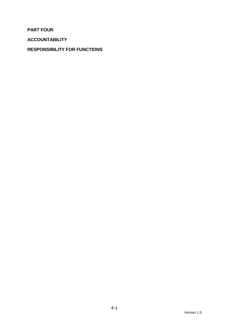**PART FOUR** 

**ACCOUNTABILITY** 

#### **RESPONSIBILITY FOR FUNCTIONS**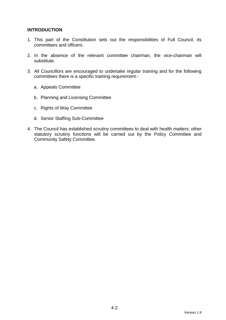#### **INTRODUCTION**

- 1. This part of the Constitution sets out the responsibilities of Full Council, its committees and officers.
- 2. In the absence of the relevant committee chairman, the vice-chairman will substitute.
- 3. All Councillors are encouraged to undertake regular training and for the following committees there is a specific training requirement:
	- a. Appeals Committee
	- b. Planning and Licensing Committee
	- c. Rights of Way Committee
	- d. Senior Staffing Sub-Committee
- 4. The Council has established scrutiny committees to deal with health matters; other statutory scrutiny functions will be carried out by the Policy Committee and Community Safety Committee.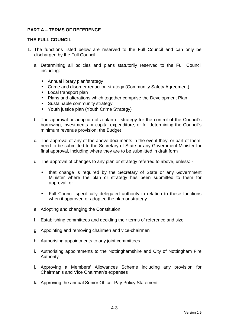#### **PART A – TERMS OF REFERENCE**

#### **THE FULL COUNCIL**

- 1. The functions listed below are reserved to the Full Council and can only be discharged by the Full Council:
	- a. Determining all policies and plans statutorily reserved to the Full Council including:
		- Annual library plan/strategy
		- Crime and disorder reduction strategy (Community Safety Agreement)
		- Local transport plan
		- Plans and alterations which together comprise the Development Plan
		- Sustainable community strategy
		- Youth justice plan (Youth Crime Strategy)
	- b. The approval or adoption of a plan or strategy for the control of the Council's borrowing, investments or capital expenditure, or for determining the Council's minimum revenue provision; the Budget
	- c. The approval of any of the above documents in the event they, or part of them, need to be submitted to the Secretary of State or any Government Minister for final approval, including where they are to be submitted in draft form
	- d. The approval of changes to any plan or strategy referred to above, unless:
		- that change is required by the Secretary of State or any Government Minister where the plan or strategy has been submitted to them for approval, or
		- Full Council specifically delegated authority in relation to these functions when it approved or adopted the plan or strategy
	- e. Adopting and changing the Constitution
	- f. Establishing committees and deciding their terms of reference and size
	- g. Appointing and removing chairmen and vice-chairmen
	- h. Authorising appointments to any joint committees
	- i. Authorising appointments to the Nottinghamshire and City of Nottingham Fire Authority
	- j. Approving a Members' Allowances Scheme including any provision for Chairman's and Vice Chairman's expenses
	- k. Approving the annual Senior Officer Pay Policy Statement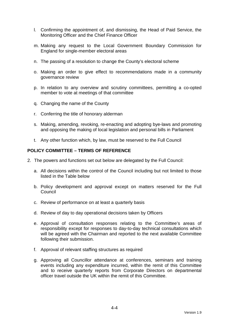- l. Confirming the appointment of, and dismissing, the Head of Paid Service, the Monitoring Officer and the Chief Finance Officer
- m. Making any request to the Local Government Boundary Commission for England for single-member electoral areas
- n. The passing of a resolution to change the County's electoral scheme
- o. Making an order to give effect to recommendations made in a community governance review
- p. In relation to any overview and scrutiny committees, permitting a co-opted member to vote at meetings of that committee
- q. Changing the name of the County
- r. Conferring the title of honorary alderman
- s. Making, amending, revoking, re-enacting and adopting bye-laws and promoting and opposing the making of local legislation and personal bills in Parliament
- t. Any other function which, by law, must be reserved to the Full Council

#### **POLICY COMMITTEE – TERMS OF REFERENCE**

- 2. The powers and functions set out below are delegated by the Full Council:
	- a. All decisions within the control of the Council including but not limited to those listed in the Table below
	- b. Policy development and approval except on matters reserved for the Full Council
	- c. Review of performance on at least a quarterly basis
	- d. Review of day to day operational decisions taken by Officers
	- e. Approval of consultation responses relating to the Committee's areas of responsibility except for responses to day-to-day technical consultations which will be agreed with the Chairman and reported to the next available Committee following their submission.
	- f. Approval of relevant staffing structures as required
	- g. Approving all Councillor attendance at conferences, seminars and training events including any expenditure incurred, within the remit of this Committee and to receive quarterly reports from Corporate Directors on departmental officer travel outside the UK within the remit of this Committee.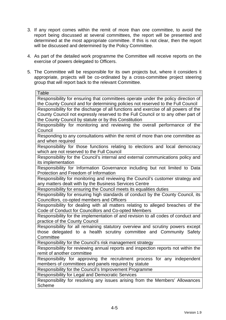- 3. If any report comes within the remit of more than one committee, to avoid the report being discussed at several committees, the report will be presented and determined at the most appropriate committee. If this is not clear, then the report will be discussed and determined by the Policy Committee.
- 4. As part of the detailed work programme the Committee will receive reports on the exercise of powers delegated to Officers.
- 5. The Committee will be responsible for its own projects but, where it considers it appropriate, projects will be co-ordinated by a cross-committee project steering group that will report back to the relevant Committee.

| <b>Table</b>                                                                        |
|-------------------------------------------------------------------------------------|
| Responsibility for ensuring that committees operate under the policy direction of   |
| the County Council and for determining policies not reserved to the Full Council    |
| Responsibility for the discharge of all functions and exercise of all powers of the |
| County Council not expressly reserved to the Full Council or to any other part of   |
| the County Council by statute or by this Constitution                               |
| Responsibility for monitoring and reviewing the overall performance of the          |
| Council                                                                             |
| Responding to any consultations within the remit of more than one committee as      |
| and when required                                                                   |
| Responsibility for those functions relating to elections and local democracy        |
| which are not reserved to the Full Council                                          |
| Responsibility for the Council's internal and external communications policy and    |
| its implementation                                                                  |
| Responsibility for Information Governance including but not limited to Data         |
| Protection and Freedom of Information                                               |
| Responsibility for monitoring and reviewing the Council's customer strategy and     |
| any matters dealt with by the Business Services Centre                              |
| Responsibility for ensuring the Council meets its equalities duties                 |
| Responsibility for ensuring high standards of conduct by the County Council, its    |
| Councillors, co-opted members and Officers                                          |
| Responsibility for dealing with all matters relating to alleged breaches of the     |
| Code of Conduct for Councillors and Co-opted Members                                |
| Responsibility for the implementation of and revision to all codes of conduct and   |
| practice of the County Council                                                      |
| Responsibility for all remaining statutory overview and scrutiny powers except      |
| those delegated to a health scrutiny committee and Community Safety                 |
| Committee                                                                           |
| Responsibility for the Council's risk management strategy                           |
| Responsibility for reviewing annual reports and inspection reports not within the   |
| remit of another committee                                                          |
| Responsibility for approving the recruitment process for any independent            |
| members of committees and panels required by statute                                |
| Responsibility for the Council's Improvement Programme                              |
| Responsibility for Legal and Democratic Services                                    |
| Responsibility for resolving any issues arising from the Members' Allowances        |
| <b>Scheme</b>                                                                       |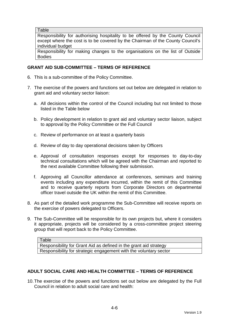**Table** 

Responsibility for authorising hospitality to be offered by the County Council except where the cost is to be covered by the Chairman of the County Council's individual budget

Responsibility for making changes to the organisations on the list of Outside Bodies

#### **GRANT AID SUB-COMMITTEE – TERMS OF REFERENCE**

- 6. This is a sub-committee of the Policy Committee.
- 7. The exercise of the powers and functions set out below are delegated in relation to grant aid and voluntary sector liaison:
	- a. All decisions within the control of the Council including but not limited to those listed in the Table below
	- b. Policy development in relation to grant aid and voluntary sector liaison, subject to approval by the Policy Committee or the Full Council
	- c. Review of performance on at least a quarterly basis
	- d. Review of day to day operational decisions taken by Officers
	- e. Approval of consultation responses except for responses to day-to-day technical consultations which will be agreed with the Chairman and reported to the next available Committee following their submission.
	- f. Approving all Councillor attendance at conferences, seminars and training events including any expenditure incurred, within the remit of this Committee and to receive quarterly reports from Corporate Directors on departmental officer travel outside the UK within the remit of this Committee.
- 8. As part of the detailed work programme the Sub-Committee will receive reports on the exercise of powers delegated to Officers.
- 9. The Sub-Committee will be responsible for its own projects but, where it considers it appropriate, projects will be considered by a cross-committee project steering group that will report back to the Policy Committee.

Table Responsibility for Grant Aid as defined in the grant aid strategy Responsibility for strategic engagement with the voluntary sector

#### **ADULT SOCIAL CARE AND HEALTH COMMITTEE – TERMS OF REFERENCE**

10. The exercise of the powers and functions set out below are delegated by the Full Council in relation to adult social care and health: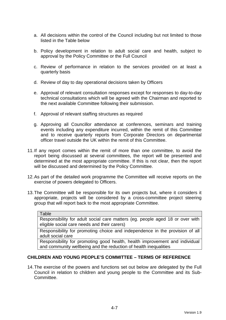- a. All decisions within the control of the Council including but not limited to those listed in the Table below
- b. Policy development in relation to adult social care and health, subject to approval by the Policy Committee or the Full Council
- c. Review of performance in relation to the services provided on at least a quarterly basis
- d. Review of day to day operational decisions taken by Officers
- e. Approval of relevant consultation responses except for responses to day-to-day technical consultations which will be agreed with the Chairman and reported to the next available Committee following their submission.
- f. Approval of relevant staffing structures as required
- g. Approving all Councillor attendance at conferences, seminars and training events including any expenditure incurred, within the remit of this Committee and to receive quarterly reports from Corporate Directors on departmental officer travel outside the UK within the remit of this Committee.
- 11. If any report comes within the remit of more than one committee, to avoid the report being discussed at several committees, the report will be presented and determined at the most appropriate committee. If this is not clear, then the report will be discussed and determined by the Policy Committee.
- 12. As part of the detailed work programme the Committee will receive reports on the exercise of powers delegated to Officers.
- 13. The Committee will be responsible for its own projects but, where it considers it appropriate, projects will be considered by a cross-committee project steering group that will report back to the most appropriate Committee.

#### Table

Responsibility for adult social care matters (eg. people aged 18 or over with eligible social care needs and their carers)

Responsibility for promoting choice and independence in the provision of all adult social care

Responsibility for promoting good health, health improvement and individual and community wellbeing and the reduction of health inequalities

#### **CHILDREN AND YOUNG PEOPLE'S COMMITTEE – TERMS OF REFERENCE**

14. The exercise of the powers and functions set out below are delegated by the Full Council in relation to children and young people to the Committee and its Sub-Committee.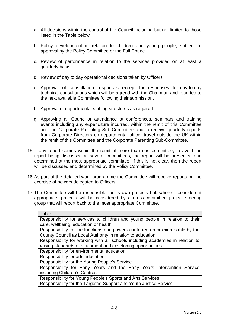- a. All decisions within the control of the Council including but not limited to those listed in the Table below
- b. Policy development in relation to children and young people, subject to approval by the Policy Committee or the Full Council
- c. Review of performance in relation to the services provided on at least a quarterly basis
- d. Review of day to day operational decisions taken by Officers
- e. Approval of consultation responses except for responses to day-to-day technical consultations which will be agreed with the Chairman and reported to the next available Committee following their submission.
- f. Approval of departmental staffing structures as required
- g. Approving all Councillor attendance at conferences, seminars and training events including any expenditure incurred, within the remit of this Committee and the Corporate Parenting Sub-Committee and to receive quarterly reports from Corporate Directors on departmental officer travel outside the UK within the remit of this Committee and the Corporate Parenting Sub-Committee.
- 15. If any report comes within the remit of more than one committee, to avoid the report being discussed at several committees, the report will be presented and determined at the most appropriate committee. If this is not clear, then the report will be discussed and determined by the Policy Committee.
- 16. As part of the detailed work programme the Committee will receive reports on the exercise of powers delegated to Officers.
- 17. The Committee will be responsible for its own projects but, where it considers it appropriate, projects will be considered by a cross-committee project steering group that will report back to the most appropriate Committee.

| Table                                                                          |
|--------------------------------------------------------------------------------|
| Responsibility for services to children and young people in relation to their  |
| care, wellbeing, education or health                                           |
| Responsibility for the functions and powers conferred on or exercisable by the |
| County Council as Local Authority in relation to education                     |
| Responsibility for working with all schools including academies in relation to |
| raising standards of attainment and developing opportunities                   |
| Responsibility for environmental education                                     |
| Responsibility for arts education                                              |
| Responsibility for the Young People's Service                                  |
| Responsibility for Early Years and the Early Years Intervention Service        |
| including Children's Centres                                                   |
| Responsibility for Young People's Sports and Arts Services                     |
| Responsibility for the Targeted Support and Youth Justice Service              |
|                                                                                |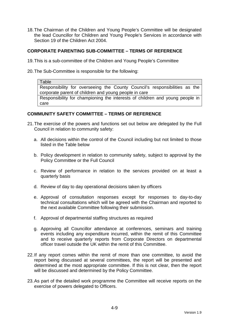18. The Chairman of the Children and Young People's Committee will be designated the lead Councillor for Children and Young People's Services in accordance with Section 19 of the Children Act 2004.

#### **CORPORATE PARENTING SUB-COMMITTEE – TERMS OF REFERENCE**

- 19. This is a sub-committee of the Children and Young People's Committee
- 20. The Sub-Committee is responsible for the following:

Table Responsibility for overseeing the County Council's responsibilities as the corporate parent of children and young people in care Responsibility for championing the interests of children and young people in care

#### **COMMUNITY SAFETY COMMITTEE – TERMS OF REFERENCE**

- 21. The exercise of the powers and functions set out below are delegated by the Full Council in relation to community safety:
	- a. All decisions within the control of the Council including but not limited to those listed in the Table below
	- b. Policy development in relation to community safety, subject to approval by the Policy Committee or the Full Council
	- c. Review of performance in relation to the services provided on at least a quarterly basis
	- d. Review of day to day operational decisions taken by officers
	- e. Approval of consultation responses except for responses to day-to-day technical consultations which will be agreed with the Chairman and reported to the next available Committee following their submission.
	- f. Approval of departmental staffing structures as required
	- g. Approving all Councillor attendance at conferences, seminars and training events including any expenditure incurred, within the remit of this Committee and to receive quarterly reports from Corporate Directors on departmental officer travel outside the UK within the remit of this Committee.
- 22. If any report comes within the remit of more than one committee, to avoid the report being discussed at several committees, the report will be presented and determined at the most appropriate committee. If this is not clear, then the report will be discussed and determined by the Policy Committee.
- 23. As part of the detailed work programme the Committee will receive reports on the exercise of powers delegated to Officers.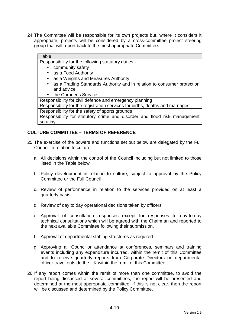24. The Committee will be responsible for its own projects but, where it considers it appropriate, projects will be considered by a cross-committee project steering group that will report back to the most appropriate Committee.

## **Table**

Responsibility for the following statutory duties:-

- community safety
- as a Food Authority
- as a Weights and Measures Authority
- as a Trading Standards Authority and in relation to consumer protection and advice
- the Coroner's Service

Responsibility for civil defence and emergency planning

Responsibility for the registration services for births, deaths and marriages Responsibility for the safety of sports grounds

Responsibility for statutory crime and disorder and flood risk management scrutiny

#### **CULTURE COMMITTEE – TERMS OF REFERENCE**

- 25. The exercise of the powers and functions set out below are delegated by the Full Council in relation to culture:
	- a. All decisions within the control of the Council including but not limited to those listed in the Table below
	- b. Policy development in relation to culture, subject to approval by the Policy Committee or the Full Council
	- c. Review of performance in relation to the services provided on at least a quarterly basis
	- d. Review of day to day operational decisions taken by officers
	- e. Approval of consultation responses except for responses to day-to-day technical consultations which will be agreed with the Chairman and reported to the next available Committee following their submission.
	- f. Approval of departmental staffing structures as required
	- g. Approving all Councillor attendance at conferences, seminars and training events including any expenditure incurred, within the remit of this Committee and to receive quarterly reports from Corporate Directors on departmental officer travel outside the UK within the remit of this Committee.
- 26. If any report comes within the remit of more than one committee, to avoid the report being discussed at several committees, the report will be presented and determined at the most appropriate committee. If this is not clear, then the report will be discussed and determined by the Policy Committee.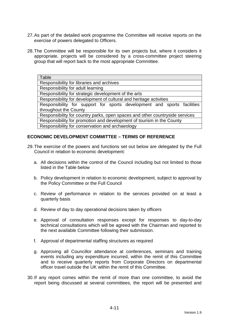- 27. As part of the detailed work programme the Committee will receive reports on the exercise of powers delegated to Officers.
- 28. The Committee will be responsible for its own projects but, where it considers it appropriate, projects will be considered by a cross-committee project steering group that will report back to the most appropriate Committee.

| Table                                                                        |
|------------------------------------------------------------------------------|
| Responsibility for libraries and archives                                    |
| Responsibility for adult learning                                            |
| Responsibility for strategic development of the arts                         |
| Responsibility for development of cultural and heritage activities           |
| Responsibility for support for sports development and sports facilities      |
| throughout the County                                                        |
| Responsibility for country parks, open spaces and other countryside services |
| Responsibility for promotion and development of tourism in the County        |
| Responsibility for conservation and archaeology                              |

#### **ECONOMIC DEVELOPMENT COMMITTEE – TERMS OF REFERENCE**

- 29. The exercise of the powers and functions set out below are delegated by the Full Council in relation to economic development:
	- a. All decisions within the control of the Council including but not limited to those listed in the Table below
	- b. Policy development in relation to economic development, subject to approval by the Policy Committee or the Full Council
	- c. Review of performance in relation to the services provided on at least a quarterly basis
	- d. Review of day to day operational decisions taken by officers
	- e. Approval of consultation responses except for responses to day-to-day technical consultations which will be agreed with the Chairman and reported to the next available Committee following their submission.
	- f. Approval of departmental staffing structures as required
	- g. Approving all Councillor attendance at conferences, seminars and training events including any expenditure incurred, within the remit of this Committee and to receive quarterly reports from Corporate Directors on departmental officer travel outside the UK within the remit of this Committee.
- 30. If any report comes within the remit of more than one committee, to avoid the report being discussed at several committees, the report will be presented and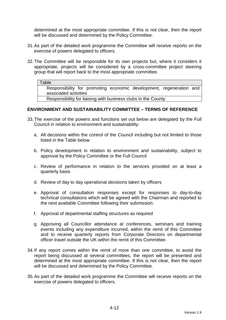determined at the most appropriate committee. If this is not clear, then the report will be discussed and determined by the Policy Committee.

- 31. As part of the detailed work programme the Committee will receive reports on the exercise of powers delegated to officers.
- 32. The Committee will be responsible for its own projects but, where it considers it appropriate, projects will be considered by a cross-committee project steering group that will report back to the most appropriate committee.

#### **Table**

Responsibility for promoting economic development, regeneration and associated activities

Responsibility for liaising with business clubs in the County

#### **ENVIRONMENT AND SUSTAINABILITY COMMITTEE – TERMS OF REFERENCE**

- 33. The exercise of the powers and functions set out below are delegated by the Full Council in relation to environment and sustainability:
	- a. All decisions within the control of the Council including but not limited to those listed in the Table below
	- b. Policy development in relation to environment and sustainability, subject to approval by the Policy Committee or the Full Council
	- c. Review of performance in relation to the services provided on at least a quarterly basis
	- d. Review of day to day operational decisions taken by officers
	- e. Approval of consultation responses except for responses to day-to-day technical consultations which will be agreed with the Chairman and reported to the next available Committee following their submission.
	- f. Approval of departmental staffing structures as required
	- g. Approving all Councillor attendance at conferences, seminars and training events including any expenditure incurred, within the remit of this Committee and to receive quarterly reports from Corporate Directors on departmental officer travel outside the UK within the remit of this Committee.
- 34. If any report comes within the remit of more than one committee, to avoid the report being discussed at several committees, the report will be presented and determined at the most appropriate committee. If this is not clear, then the report will be discussed and determined by the Policy Committee.
- 35. As part of the detailed work programme the Committee will receive reports on the exercise of powers delegated to officers.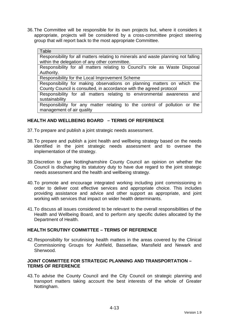36. The Committee will be responsible for its own projects but, where it considers it appropriate, projects will be considered by a cross-committee project steering group that will report back to the most appropriate Committee.

#### Table

Responsibility for all matters relating to minerals and waste planning not falling within the delegation of any other committee.

Responsibility for all matters relating to Council's role as Waste Disposal Authority.

Responsibility for the Local Improvement Scheme

Responsibility for making observations on planning matters on which the County Council is consulted, in accordance with the agreed protocol

Responsibility for all matters relating to environmental awareness and sustainability

Responsibility for any matter relating to the control of pollution or the management of air quality

#### **HEALTH AND WELLBEING BOARD – TERMS OF REFERENCE**

37. To prepare and publish a joint strategic needs assessment.

- 38. To prepare and publish a joint health and wellbeing strategy based on the needs identified in the joint strategic needs assessment and to oversee the implementation of the strategy.
- 39. Discretion to give Nottinghamshire County Council an opinion on whether the Council is discharging its statutory duty to have due regard to the joint strategic needs assessment and the health and wellbeing strategy.
- 40. To promote and encourage integrated working including joint commissioning in order to deliver cost effective services and appropriate choice. This includes providing assistance and advice and other support as appropriate, and joint working with services that impact on wider health determinants.
- 41. To discuss all issues considered to be relevant to the overall responsibilities of the Health and Wellbeing Board, and to perform any specific duties allocated by the Department of Health.

#### **HEALTH SCRUTINY COMMITTEE – TERMS OF REFERENCE**

42. Responsibility for scrutinising health matters in the areas covered by the Clinical Commissioning Groups for Ashfield, Bassetlaw, Mansfield and Newark and Sherwood.

#### **JOINT COMMITTEE FOR STRATEGIC PLANNING AND TRANSPORTATION – TERMS OF REFERENCE**

43. To advise the County Council and the City Council on strategic planning and transport matters taking account the best interests of the whole of Greater Nottingham.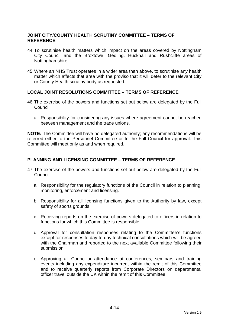#### **JOINT CITY/COUNTY HEALTH SCRUTINY COMMITTEE – TERMS OF REFERENCE**

- 44. To scrutinise health matters which impact on the areas covered by Nottingham City Council and the Broxtowe, Gedling, Hucknall and Rushcliffe areas of Nottinghamshire.
- 45. Where an NHS Trust operates in a wider area than above, to scrutinise any health matter which affects that area with the proviso that it will defer to the relevant City or County Health scrutiny body as requested.

#### **LOCAL JOINT RESOLUTIONS COMMITTEE – TERMS OF REFERENCE**

- 46. The exercise of the powers and functions set out below are delegated by the Full Council:
	- a. Responsibility for considering any issues where agreement cannot be reached between management and the trade unions.

**NOTE:** The Committee will have no delegated authority; any recommendations will be referred either to the Personnel Committee or to the Full Council for approval. This Committee will meet only as and when required.

#### **PLANNING AND LICENSING COMMITTEE – TERMS OF REFERENCE**

- 47. The exercise of the powers and functions set out below are delegated by the Full Council:
	- a. Responsibility for the regulatory functions of the Council in relation to planning, monitoring, enforcement and licensing.
	- b. Responsibility for all licensing functions given to the Authority by law, except safety of sports grounds.
	- c. Receiving reports on the exercise of powers delegated to officers in relation to functions for which this Committee is responsible.
	- d. Approval for consultation responses relating to the Committee's functions except for responses to day-to-day technical consultations which will be agreed with the Chairman and reported to the next available Committee following their submission.
	- e. Approving all Councillor attendance at conferences, seminars and training events including any expenditure incurred, within the remit of this Committee and to receive quarterly reports from Corporate Directors on departmental officer travel outside the UK within the remit of this Committee.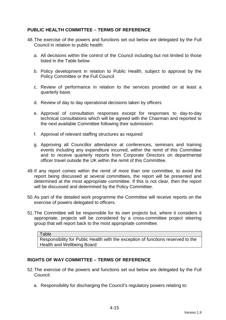#### **PUBLIC HEALTH COMMITTEE – TERMS OF REFERENCE**

- 48. The exercise of the powers and functions set out below are delegated by the Full Council in relation to public health:
	- a. All decisions within the control of the Council including but not limited to those listed in the Table below
	- b. Policy development in relation to Public Health, subject to approval by the Policy Committee or the Full Council
	- c. Review of performance in relation to the services provided on at least a quarterly basis
	- d. Review of day to day operational decisions taken by officers
	- e. Approval of consultation responses except for responses to day-to-day technical consultations which will be agreed with the Chairman and reported to the next available Committee following their submission.
	- f. Approval of relevant staffing structures as required
	- g. Approving all Councillor attendance at conferences, seminars and training events including any expenditure incurred, within the remit of this Committee and to receive quarterly reports from Corporate Directors on departmental officer travel outside the UK within the remit of this Committee.
- 49. If any report comes within the remit of more than one committee, to avoid the report being discussed at several committees, the report will be presented and determined at the most appropriate committee. If this is not clear, then the report will be discussed and determined by the Policy Committee.
- 50. As part of the detailed work programme the Committee will receive reports on the exercise of powers delegated to officers.
- 51. The Committee will be responsible for its own projects but, where it considers it appropriate, projects will be considered by a cross-committee project steering group that will report back to the most appropriate committee.

**Table** 

Responsibility for Public Health with the exception of functions reserved to the Health and Wellbeing Board

#### **RIGHTS OF WAY COMMITTEE – TERMS OF REFERENCE**

- 52. The exercise of the powers and functions set out below are delegated by the Full Council:
	- a. Responsibility for discharging the Council's regulatory powers relating to: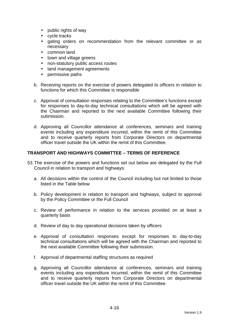- public rights of way
- cycle tracks
- gating orders on recommendation from the relevant committee or as necessary
- common land
- town and village greens
- non-statutory public access routes
- land management agreements
- permissive paths
- b. Receiving reports on the exercise of powers delegated to officers in relation to functions for which this Committee is responsible
- c. Approval of consultation responses relating to the Committee's functions except for responses to day-to-day technical consultations which will be agreed with the Chairman and reported to the next available Committee following their submission.
- d. Approving all Councillor attendance at conferences, seminars and training events including any expenditure incurred, within the remit of this Committee and to receive quarterly reports from Corporate Directors on departmental officer travel outside the UK within the remit of this Committee.

#### **TRANSPORT AND HIGHWAYS COMMITTEE – TERMS OF REFERENCE**

- 53. The exercise of the powers and functions set out below are delegated by the Full Council in relation to transport and highways:
	- a. All decisions within the control of the Council including but not limited to those listed in the Table below
	- b. Policy development in relation to transport and highways, subject to approval by the Policy Committee or the Full Council
	- c. Review of performance in relation to the services provided on at least a quarterly basis
	- d. Review of day to day operational decisions taken by officers
	- e. Approval of consultation responses except for responses to day-to-day technical consultations which will be agreed with the Chairman and reported to the next available Committee following their submission.
	- f. Approval of departmental staffing structures as required
	- g. Approving all Councillor attendance at conferences, seminars and training events including any expenditure incurred, within the remit of this Committee and to receive quarterly reports from Corporate Directors on departmental officer travel outside the UK within the remit of this Committee.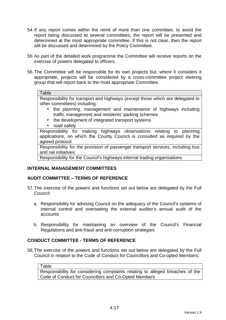- 54. If any report comes within the remit of more than one committee, to avoid the report being discussed at several committees, the report will be presented and determined at the most appropriate committee. If this is not clear, then the report will be discussed and determined by the Policy Committee.
- 55. As part of the detailed work programme the Committee will receive reports on the exercise of powers delegated to officers.
- 56. The Committee will be responsible for its own projects but, where it considers it appropriate, projects will be considered by a cross-committee project steering group that will report back to the most appropriate Committee.

#### **Table**

Responsibility for transport and highways (except those which are delegated to other committees) including:

- the planning, management and maintenance of highways including traffic management and residents' parking schemes
- the development of integrated transport systems
- road safety

Responsibility for making highways observations relating to planning applications, on which the County Council is consulted as required by the agreed protocol

Responsibility for the provision of passenger transport services, including bus and rail initiatives

Responsibility for the Council's highways internal trading organisations

### **INTERNAL MANAGEMENT COMMITTEES**

### **AUDIT COMMITTEE – TERMS OF REFERENCE**

- 57. The exercise of the powers and functions set out below are delegated by the Full Council:
	- a. Responsibility for advising Council on the adequacy of the Council's systems of internal control and overseeing the external auditor's annual audit of the accounts
	- b. Responsibility for maintaining an overview of the Council's Financial Regulations and anti-fraud and anti-corruption strategies

## **CONDUCT COMMITTEE - TERMS OF REFERENCE**

58. The exercise of the powers and functions set out below are delegated by the Full Council in relation to the Code of Conduct for Councillors and Co-opted Members:

**Table** 

Responsibility for considering complaints relating to alleged breaches of the Code of Conduct for Councillors and Co-Opted Members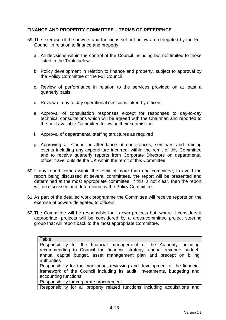## **FINANCE AND PROPERTY COMMITTEE – TERMS OF REFERENCE**

- 59. The exercise of the powers and functions set out below are delegated by the Full Council in relation to finance and property:
	- a. All decisions within the control of the Council including but not limited to those listed in the Table below
	- b. Policy development in relation to finance and property, subject to approval by the Policy Committee or the Full Council
	- c. Review of performance in relation to the services provided on at least a quarterly basis
	- d. Review of day to day operational decisions taken by officers
	- e. Approval of consultation responses except for responses to day-to-day technical consultations which will be agreed with the Chairman and reported to the next available Committee following their submission.
	- f. Approval of departmental staffing structures as required
	- g. Approving all Councillor attendance at conferences, seminars and training events including any expenditure incurred, within the remit of this Committee and to receive quarterly reports from Corporate Directors on departmental officer travel outside the UK within the remit of this Committee.
- 60. If any report comes within the remit of more than one committee, to avoid the report being discussed at several committees, the report will be presented and determined at the most appropriate committee. If this is not clear, then the report will be discussed and determined by the Policy Committee.
- 61. As part of the detailed work programme the Committee will receive reports on the exercise of powers delegated to officers.
- 62. The Committee will be responsible for its own projects but, where it considers it appropriate, projects will be considered by a cross-committee project steering group that will report back to the most appropriate Committee.

| Table                                                                                                                                                                                                                                  |
|----------------------------------------------------------------------------------------------------------------------------------------------------------------------------------------------------------------------------------------|
| Responsibility for the financial management of the Authority including<br>recommending to Council the financial strategy, annual revenue budget,<br>annual capital budget, asset management plan and precept on billing<br>authorities |
| Responsibility for the monitoring, reviewing and development of the financial<br>framework of the Council including its audit, investments, budgeting and                                                                              |
| accounting functions                                                                                                                                                                                                                   |

Responsibility for corporate procurement

Responsibility for all property related functions including acquisitions and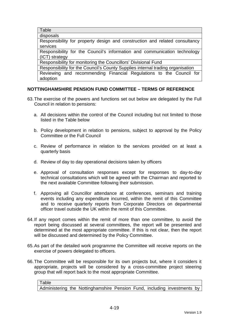**Table** 

disposals

Responsibility for property design and construction and related consultancy services

Responsibility for the Council's information and communication technology (ICT) strategy

Responsibility for monitoring the Councillors' Divisional Fund

Responsibility for the Council's County Supplies internal trading organisation

Reviewing and recommending Financial Regulations to the Council for adoption

# **NOTTINGHAMSHIRE PENSION FUND COMMITTEE – TERMS OF REFERENCE**

- 63. The exercise of the powers and functions set out below are delegated by the Full Council in relation to pensions:
	- a. All decisions within the control of the Council including but not limited to those listed in the Table below
	- b. Policy development in relation to pensions, subject to approval by the Policy Committee or the Full Council
	- c. Review of performance in relation to the services provided on at least a quarterly basis
	- d. Review of day to day operational decisions taken by officers
	- e. Approval of consultation responses except for responses to day-to-day technical consultations which will be agreed with the Chairman and reported to the next available Committee following their submission.
	- f. Approving all Councillor attendance at conferences, seminars and training events including any expenditure incurred, within the remit of this Committee and to receive quarterly reports from Corporate Directors on departmental officer travel outside the UK within the remit of this Committee.
- 64. If any report comes within the remit of more than one committee, to avoid the report being discussed at several committees, the report will be presented and determined at the most appropriate committee. If this is not clear, then the report will be discussed and determined by the Policy Committee.
- 65. As part of the detailed work programme the Committee will receive reports on the exercise of powers delegated to officers.
- 66. The Committee will be responsible for its own projects but, where it considers it appropriate, projects will be considered by a cross-committee project steering group that will report back to the most appropriate Committee.

Table Administering the Nottinghamshire Pension Fund, including investments by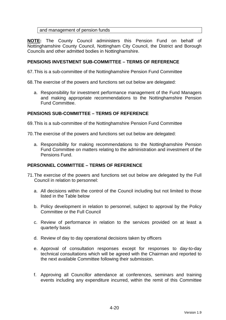### and management of pension funds

**NOTE:** The County Council administers this Pension Fund on behalf of Nottinghamshire County Council, Nottingham City Council, the District and Borough Councils and other admitted bodies in Nottinghamshire.

### **PENSIONS INVESTMENT SUB-COMMITTEE – TERMS OF REFERENCE**

67. This is a sub-committee of the Nottinghamshire Pension Fund Committee

68. The exercise of the powers and functions set out below are delegated:

a. Responsibility for investment performance management of the Fund Managers and making appropriate recommendations to the Nottinghamshire Pension Fund Committee.

### **PENSIONS SUB-COMMITTEE – TERMS OF REFERENCE**

69. This is a sub-committee of the Nottinghamshire Pension Fund Committee

70. The exercise of the powers and functions set out below are delegated:

a. Responsibility for making recommendations to the Nottinghamshire Pension Fund Committee on matters relating to the administration and investment of the Pensions Fund.

### **PERSONNEL COMMITTEE – TERMS OF REFERENCE**

- 71. The exercise of the powers and functions set out below are delegated by the Full Council in relation to personnel:
	- a. All decisions within the control of the Council including but not limited to those listed in the Table below
	- b. Policy development in relation to personnel, subject to approval by the Policy Committee or the Full Council
	- c. Review of performance in relation to the services provided on at least a quarterly basis
	- d. Review of day to day operational decisions taken by officers
	- e. Approval of consultation responses except for responses to day-to-day technical consultations which will be agreed with the Chairman and reported to the next available Committee following their submission.
	- f. Approving all Councillor attendance at conferences, seminars and training events including any expenditure incurred, within the remit of this Committee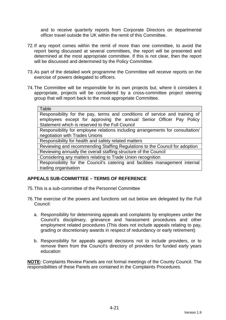and to receive quarterly reports from Corporate Directors on departmental officer travel outside the UK within the remit of this Committee.

- 72. If any report comes within the remit of more than one committee, to avoid the report being discussed at several committees, the report will be presented and determined at the most appropriate committee. If this is not clear, then the report will be discussed and determined by the Policy Committee.
- 73. As part of the detailed work programme the Committee will receive reports on the exercise of powers delegated to officers.
- 74. The Committee will be responsible for its own projects but, where it considers it appropriate, projects will be considered by a cross-committee project steering group that will report back to the most appropriate Committee.

# **APPEALS SUB-COMMITTEE – TERMS OF REFERENCE**

- 75. This is a sub-committee of the Personnel Committee
- 76. The exercise of the powers and functions set out below are delegated by the Full Council:
	- a. Responsibility for determining appeals and complaints by employees under the Council's disciplinary, grievance and harassment procedures and other employment related procedures (This does not include appeals relating to pay, grading or discretionary awards in respect of redundancy or early retirement)
	- b. Responsibility for appeals against decisions not to include providers, or to remove them from the Council's directory of providers for funded early years education

**NOTE:** Complaints Review Panels are not formal meetings of the County Council. The responsibilities of these Panels are contained in the Complaints Procedures.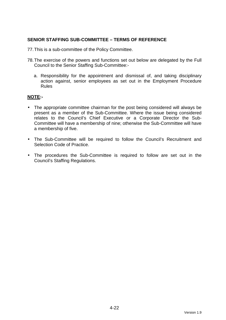# **SENIOR STAFFING SUB-COMMITTEE – TERMS OF REFERENCE**

77. This is a sub-committee of the Policy Committee.

- 78. The exercise of the powers and functions set out below are delegated by the Full Council to the Senior Staffing Sub-Committee:
	- a. Responsibility for the appointment and dismissal of, and taking disciplinary action against, senior employees as set out in the Employment Procedure Rules

## **NOTE:-**

- The appropriate committee chairman for the post being considered will always be present as a member of the Sub-Committee. Where the issue being considered relates to the Council's Chief Executive or a Corporate Director the Sub-Committee will have a membership of nine; otherwise the Sub-Committee will have a membership of five.
- The Sub-Committee will be required to follow the Council's Recruitment and Selection Code of Practice.
- The procedures the Sub-Committee is required to follow are set out in the Council's Staffing Regulations.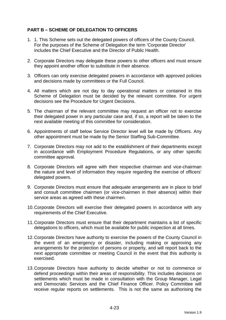# **PART B – SCHEME OF DELEGATION TO OFFICERS**

- 1. 1. This Scheme sets out the delegated powers of officers of the County Council. For the purposes of the Scheme of Delegation the term 'Corporate Director' includes the Chief Executive and the Director of Public Health.
- 2. Corporate Directors may delegate these powers to other officers and must ensure they appoint another officer to substitute in their absence.
- 3. Officers can only exercise delegated powers in accordance with approved policies and decisions made by committees or the Full Council.
- 4. All matters which are not day to day operational matters or contained in this Scheme of Delegation must be decided by the relevant committee. For urgent decisions see the Procedure for Urgent Decisions.
- 5. The chairman of the relevant committee may request an officer not to exercise their delegated power in any particular case and, if so, a report will be taken to the next available meeting of this committee for consideration.
- 6. Appointments of staff below Service Director level will be made by Officers. Any other appointment must be made by the Senior Staffing Sub-Committee.
- 7. Corporate Directors may not add to the establishment of their departments except in accordance with Employment Procedure Regulations, or any other specific committee approval.
- 8. Corporate Directors will agree with their respective chairman and vice-chairman the nature and level of information they require regarding the exercise of officers' delegated powers.
- 9. Corporate Directors must ensure that adequate arrangements are in place to brief and consult committee chairmen (or vice-chairmen in their absence) within their service areas as agreed with these chairmen.
- 10. Corporate Directors will exercise their delegated powers in accordance with any requirements of the Chief Executive.
- 11. Corporate Directors must ensure that their department maintains a list of specific delegations to officers, which must be available for public inspection at all times.
- 12. Corporate Directors have authority to exercise the powers of the County Council in the event of an emergency or disaster, including making or approving any arrangements for the protection of persons or property, and will report back to the next appropriate committee or meeting Council in the event that this authority is exercised.
- 13. Corporate Directors have authority to decide whether or not to commence or defend proceedings within their areas of responsibility. This includes decisions on settlements which must be made in consultation with the Group Manager, Legal and Democratic Services and the Chief Finance Officer. Policy Committee will receive regular reports on settlements. This is not the same as authorising the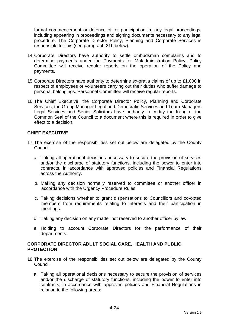formal commencement or defence of, or participation in, any legal proceedings, including appearing in proceedings and signing documents necessary to any legal procedure. The Corporate Director Policy, Planning and Corporate Services is responsible for this (see paragraph 21b below).

- 14. Corporate Directors have authority to settle ombudsman complaints and to determine payments under the Payments for Maladministration Policy. Policy Committee will receive regular reports on the operation of the Policy and payments.
- 15. Corporate Directors have authority to determine ex-gratia claims of up to £1,000 in respect of employees or volunteers carrying out their duties who suffer damage to personal belongings. Personnel Committee will receive regular reports.
- 16. The Chief Executive, the Corporate Director Policy, Planning and Corporate Services, the Group Manager Legal and Democratic Services and Team Managers Legal Services and Senior Solicitors have authority to certify the fixing of the Common Seal of the Council to a document where this is required in order to give effect to a decision.

## **CHIEF EXECUTIVE**

- 17. The exercise of the responsibilities set out below are delegated by the County Council:
	- a. Taking all operational decisions necessary to secure the provision of services and/or the discharge of statutory functions, including the power to enter into contracts, in accordance with approved policies and Financial Regulations across the Authority.
	- b. Making any decision normally reserved to committee or another officer in accordance with the Urgency Procedure Rules.
	- c. Taking decisions whether to grant dispensations to Councillors and co-opted members from requirements relating to interests and their participation in meetings.
	- d. Taking any decision on any matter not reserved to another officer by law.
	- e. Holding to account Corporate Directors for the performance of their departments.

## **CORPORATE DIRECTOR ADULT SOCIAL CARE, HEALTH AND PUBLIC PROTECTION**

- 18. The exercise of the responsibilities set out below are delegated by the County Council:
	- a. Taking all operational decisions necessary to secure the provision of services and/or the discharge of statutory functions, including the power to enter into contracts, in accordance with approved policies and Financial Regulations in relation to the following areas: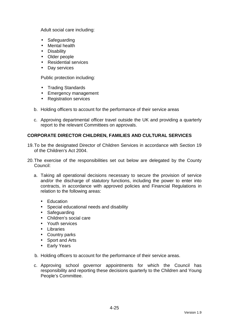Adult social care including:

- Safeguarding
- Mental health
- Disability
- Older people
- Residential services
- Day services

Public protection including:

- Trading Standards
- Emergency management
- Registration services
- b. Holding officers to account for the performance of their service areas
- c. Approving departmental officer travel outside the UK and providing a quarterly report to the relevant Committees on approvals.

## **CORPORATE DIRECTOR CHILDREN, FAMILIES AND CULTURAL SERVICES**

- 19. To be the designated Director of Children Services in accordance with Section 19 of the Children's Act 2004.
- 20. The exercise of the responsibilities set out below are delegated by the County Council:
	- a. Taking all operational decisions necessary to secure the provision of service and/or the discharge of statutory functions, including the power to enter into contracts, in accordance with approved policies and Financial Regulations in relation to the following areas:
		- Education
		- Special educational needs and disability
		- Safeguarding
		- Children's social care
		- Youth services
		- Libraries
		- Country parks
		- Sport and Arts
		- Early Years
	- b. Holding officers to account for the performance of their service areas.
	- c. Approving school governor appointments for which the Council has responsibility and reporting these decisions quarterly to the Children and Young People's Committee.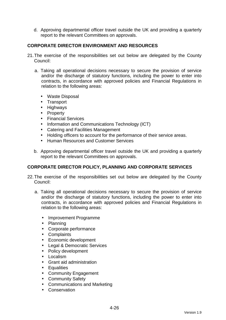d. Approving departmental officer travel outside the UK and providing a quarterly report to the relevant Committees on approvals.

# **CORPORATE DIRECTOR ENVIRONMENT AND RESOURCES**

- 21. The exercise of the responsibilities set out below are delegated by the County Council:
	- a. Taking all operational decisions necessary to secure the provision of service and/or the discharge of statutory functions, including the power to enter into contracts, in accordance with approved policies and Financial Regulations in relation to the following areas:
		- Waste Disposal
		- Transport
		- Highways
		- Property
		- Financial Services
		- Information and Communications Technology (ICT)
		- Catering and Facilities Management
		- Holding officers to account for the performance of their service areas.
		- Human Resources and Customer Services
	- b. Approving departmental officer travel outside the UK and providing a quarterly report to the relevant Committees on approvals.

### **CORPORATE DIRECTOR POLICY, PLANNING AND CORPORATE SERVICES**

- 22. The exercise of the responsibilities set out below are delegated by the County Council:
	- a. Taking all operational decisions necessary to secure the provision of service and/or the discharge of statutory functions, including the power to enter into contracts, in accordance with approved policies and Financial Regulations in relation to the following areas:
		- Improvement Programme
		- Planning
		- Corporate performance
		- Complaints
		- Economic development
		- Legal & Democratic Services
		- Policy development
		- Localism
		- Grant aid administration
		- Equalities
		- Community Engagement
		- Community Safety
		- Communications and Marketing
		- Conservation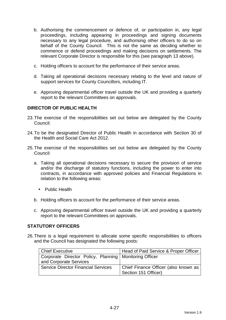- b. Authorising the commencement or defence of, or participation in, any legal proceedings, including appearing in proceedings and signing documents necessary to any legal procedure, and authorising other officers to do so on behalf of the County Council. This is not the same as deciding whether to commence or defend proceedings and making decisions on settlements. The relevant Corporate Director is responsible for this (see paragraph 13 above).
- c. Holding officers to account for the performance of their service areas.
- d. Taking all operational decisions necessary relating to the level and nature of support services for County Councillors, including IT.
- e. Approving departmental officer travel outside the UK and providing a quarterly report to the relevant Committees on approvals.

# **DIRECTOR OF PUBLIC HEALTH**

- 23. The exercise of the responsibilities set out below are delegated by the County Council:
- 24. To be the designated Director of Public Health in accordance with Section 30 of the Health and Social Care Act 2012.
- 25. The exercise of the responsibilities set out below are delegated by the County Council:
	- a. Taking all operational decisions necessary to secure the provision of service and/or the discharge of statutory functions, including the power to enter into contracts, in accordance with approved policies and Financial Regulations in relation to the following areas:
		- Public Health
	- b. Holding officers to account for the performance of their service areas.
	- c. Approving departmental officer travel outside the UK and providing a quarterly report to the relevant Committees on approvals.

### **STATUTORY OFFICERS**

26. There is a legal requirement to allocate some specific responsibilities to officers and the Council has designated the following posts:

| Chief Executive                                          | Head of Paid Service & Proper Officer |
|----------------------------------------------------------|---------------------------------------|
| Corporate Director Policy, Planning   Monitoring Officer |                                       |
| and Corporate Services                                   |                                       |
| <b>Service Director Financial Services</b>               | Chief Finance Officer (also known as  |
|                                                          | Section 151 Officer)                  |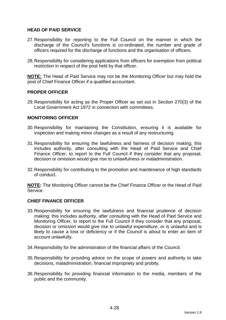## **HEAD OF PAID SERVICE**

- 27. Responsibility for reporting to the Full Council on the manner in which the discharge of the Council's functions is co-ordinated, the number and grade of officers required for the discharge of functions and the organisation of officers.
- 28. Responsibility for considering applications from officers for exemption from political restriction in respect of the post held by that officer.

**NOTE:** The Head of Paid Service may not be the Monitoring Officer but may hold the post of Chief Finance Officer if a qualified accountant.

### **PROPER OFFICER**

29. Responsibility for acting as the Proper Officer as set out in Section 270(3) of the Local Government Act 1972 in connection with committees.

#### **MONITORING OFFICER**

- 30. Responsibility for maintaining the Constitution, ensuring it is available for inspection and making minor changes as a result of any restructuring.
- 31. Responsibility for ensuring the lawfulness and fairness of decision making; this includes authority, after consulting with the Head of Paid Service and Chief Finance Officer, to report to the Full Council if they consider that any proposal, decision or omission would give rise to unlawfulness or maladministration.
- 32. Responsibility for contributing to the promotion and maintenance of high standards of conduct.

**NOTE:** The Monitoring Officer cannot be the Chief Finance Officer or the Head of Paid Service.

#### **CHIEF FINANCE OFFICER**

- 33. Responsibility for ensuring the lawfulness and financial prudence of decision making; this includes authority, after consulting with the Head of Paid Service and Monitoring Officer, to report to the Full Council if they consider that any proposal, decision or omission would give rise to unlawful expenditure, or is unlawful and is likely to cause a loss or deficiency or if the Council is about to enter an item of account unlawfully.
- 34. Responsibility for the administration of the financial affairs of the Council.
- 35. Responsibility for providing advice on the scope of powers and authority to take decisions, maladministration, financial impropriety and probity.
- 36. Responsibility for providing financial information to the media, members of the public and the community.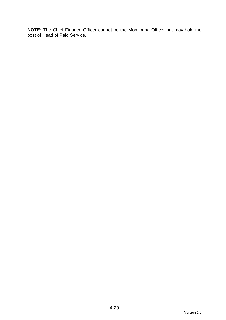**NOTE:** The Chief Finance Officer cannot be the Monitoring Officer but may hold the post of Head of Paid Service.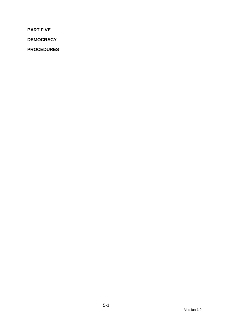**PART FIVE** 

**DEMOCRACY** 

**PROCEDURES**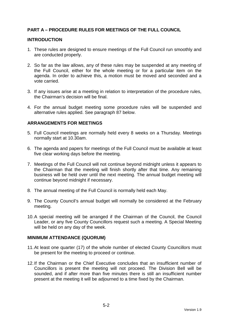# **PART A – PROCEDURE RULES FOR MEETINGS OF THE FULL COUNCIL**

#### **INTRODUCTION**

- 1. These rules are designed to ensure meetings of the Full Council run smoothly and are conducted properly.
- 2. So far as the law allows, any of these rules may be suspended at any meeting of the Full Council, either for the whole meeting or for a particular item on the agenda. In order to achieve this, a motion must be moved and seconded and a vote carried.
- 3. If any issues arise at a meeting in relation to interpretation of the procedure rules, the Chairman's decision will be final.
- 4. For the annual budget meeting some procedure rules will be suspended and alternative rules applied. See paragraph 87 below.

### **ARRANGEMENTS FOR MEETINGS**

- 5. Full Council meetings are normally held every 8 weeks on a Thursday. Meetings normally start at 10.30am.
- 6. The agenda and papers for meetings of the Full Council must be available at least five clear working days before the meeting.
- 7. Meetings of the Full Council will not continue beyond midnight unless it appears to the Chairman that the meeting will finish shortly after that time. Any remaining business will be held over until the next meeting. The annual budget meeting will continue beyond midnight if necessary.
- 8. The annual meeting of the Full Council is normally held each May.
- 9. The County Council's annual budget will normally be considered at the February meeting.
- 10. A special meeting will be arranged if the Chairman of the Council, the Council Leader, or any five County Councillors request such a meeting. A Special Meeting will be held on any day of the week.

#### **MINIMUM ATTENDANCE (QUORUM)**

- 11. At least one quarter (17) of the whole number of elected County Councillors must be present for the meeting to proceed or continue.
- 12. If the Chairman or the Chief Executive concludes that an insufficient number of Councillors is present the meeting will not proceed. The Division Bell will be sounded, and if after more than five minutes there is still an insufficient number present at the meeting it will be adjourned to a time fixed by the Chairman.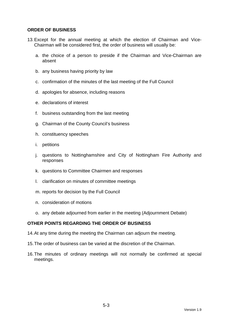### **ORDER OF BUSINESS**

- 13. Except for the annual meeting at which the election of Chairman and Vice-Chairman will be considered first, the order of business will usually be:
	- a. the choice of a person to preside if the Chairman and Vice-Chairman are absent
	- b. any business having priority by law
	- c. confirmation of the minutes of the last meeting of the Full Council
	- d. apologies for absence, including reasons
	- e. declarations of interest
	- f. business outstanding from the last meeting
	- g. Chairman of the County Council's business
	- h. constituency speeches
	- i. petitions
	- j. questions to Nottinghamshire and City of Nottingham Fire Authority and responses
	- k. questions to Committee Chairmen and responses
	- l. clarification on minutes of committee meetings
	- m. reports for decision by the Full Council
	- n. consideration of motions
	- o. any debate adjourned from earlier in the meeting (Adjournment Debate)

### **OTHER POINTS REGARDING THE ORDER OF BUSINESS**

- 14. At any time during the meeting the Chairman can adjourn the meeting.
- 15. The order of business can be varied at the discretion of the Chairman.
- 16. The minutes of ordinary meetings will not normally be confirmed at special meetings.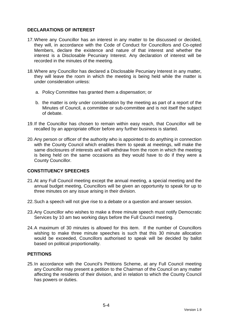## **DECLARATIONS OF INTEREST**

- 17. Where any Councillor has an interest in any matter to be discussed or decided, they will, in accordance with the Code of Conduct for Councillors and Co-opted Members, declare the existence and nature of that interest and whether the interest is a Disclosable Pecuniary Interest. Any declaration of interest will be recorded in the minutes of the meeting.
- 18. Where any Councillor has declared a Disclosable Pecuniary Interest in any matter, they will leave the room in which the meeting is being held while the matter is under consideration unless:
	- a. Policy Committee has granted them a dispensation; or
	- b. the matter is only under consideration by the meeting as part of a report of the Minutes of Council, a committee or sub-committee and is not itself the subject of debate.
- 19. If the Councillor has chosen to remain within easy reach, that Councillor will be recalled by an appropriate officer before any further business is started.
- 20. Any person or officer of the authority who is appointed to do anything in connection with the County Council which enables them to speak at meetings, will make the same disclosures of interests and will withdraw from the room in which the meeting is being held on the same occasions as they would have to do if they were a County Councillor.

# **CONSTITUENCY SPEECHES**

- 21. At any Full Council meeting except the annual meeting, a special meeting and the annual budget meeting, Councillors will be given an opportunity to speak for up to three minutes on any issue arising in their division.
- 22. Such a speech will not give rise to a debate or a question and answer session.
- 23. Any Councillor who wishes to make a three minute speech must notify Democratic Services by 10 am two working days before the Full Council meeting.
- 24. A maximum of 30 minutes is allowed for this item. If the number of Councillors wishing to make three minute speeches is such that this 30 minute allocation would be exceeded, Councillors authorised to speak will be decided by ballot based on political proportionality.

### **PETITIONS**

25. In accordance with the Council's Petitions Scheme, at any Full Council meeting any Councillor may present a petition to the Chairman of the Council on any matter affecting the residents of their division, and in relation to which the County Council has powers or duties.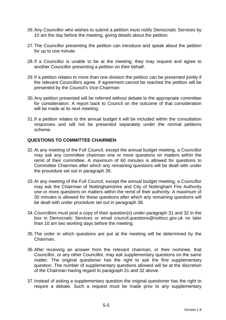- 26. Any Councillor who wishes to submit a petition must notify Democratic Services by 10 am the day before the meeting, giving details about the petition.
- 27. The Councillor presenting the petition can introduce and speak about the petition for up to one minute.
- 28. If a Councillor is unable to be at the meeting, they may request and agree to another Councillor presenting a petition on their behalf.
- 29. If a petition relates to more than one division the petition can be presented jointly if the relevant Councillors agree. If agreement cannot be reached the petition will be presented by the Council's Vice-Chairman.
- 30. Any petition presented will be referred without debate to the appropriate committee for consideration. A report back to Council on the outcome of that consideration will be made at its next meeting.
- 31. If a petition relates to the annual budget it will be included within the consultation responses and will not be presented separately under the normal petitions scheme.

### **QUESTIONS TO COMMITTEE CHAIRMEN**

- 32. At any meeting of the Full Council, except the annual budget meeting, a Councillor may ask any committee chairman one or more questions on matters within the remit of their committee. A maximum of 60 minutes is allowed for questions to Committee Chairmen after which any remaining questions will be dealt with under the procedure set out in paragraph 39.
- 33. At any meeting of the Full Council, except the annual budget meeting, a Councillor may ask the Chairman of Nottinghamshire and City of Nottingham Fire Authority one or more questions on matters within the remit of their authority. A maximum of 30 minutes is allowed for these questions after which any remaining questions will be dealt with under procedure set out in paragraph 38.
- 34. Councillors must post a copy of their question(s) under paragraph 31 and 32 in the box in Democratic Services or email council.questions@nottscc.gov.uk no later than 10 am two working days before the meeting.
- 35. The order in which questions are put at the meeting will be determined by the Chairman.
- 36. After receiving an answer from the relevant chairman, or their nominee, that Councillor, or any other Councillor, may ask supplementary questions on the same matter. The original questioner has the right to ask the first supplementary question. The number of supplementary questions allowed will be at the discretion of the Chairman having regard to paragraph 31 and 32 above.
- 37. Instead of asking a supplementary question the original questioner has the right to require a debate. Such a request must be made prior to any supplementary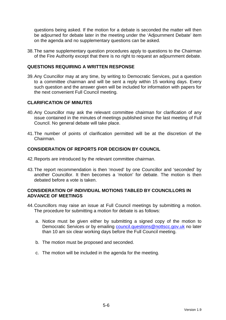questions being asked. If the motion for a debate is seconded the matter will then be adjourned for debate later in the meeting under the 'Adjournment Debate' item on the agenda and no supplementary questions can be asked.

38. The same supplementary question procedures apply to questions to the Chairman of the Fire Authority except that there is no right to request an adjournment debate.

## **QUESTIONS REQUIRING A WRITTEN RESPONSE**

39. Any Councillor may at any time, by writing to Democratic Services, put a question to a committee chairman and will be sent a reply within 15 working days. Every such question and the answer given will be included for information with papers for the next convenient Full Council meeting.

### **CLARIFICATION OF MINUTES**

- 40. Any Councillor may ask the relevant committee chairman for clarification of any issue contained in the minutes of meetings published since the last meeting of Full Council. No general debate will take place.
- 41. The number of points of clarification permitted will be at the discretion of the Chairman.

### **CONSIDERATION OF REPORTS FOR DECISION BY COUNCIL**

- 42. Reports are introduced by the relevant committee chairman.
- 43. The report recommendation is then 'moved' by one Councillor and 'seconded' by another Councillor. It then becomes a 'motion' for debate. The motion is then debated before a vote is taken.

### **CONSIDERATION OF INDIVIDUAL MOTIONS TABLED BY COUNCILLORS IN ADVANCE OF MEETINGS**

- 44. Councillors may raise an issue at Full Council meetings by submitting a motion. The procedure for submitting a motion for debate is as follows:
	- a. Notice must be given either by submitting a signed copy of the motion to Democratic Services or by emailing council.questions@nottscc.gov.uk no later than 10 am six clear working days before the Full Council meeting.
	- b. The motion must be proposed and seconded.
	- c. The motion will be included in the agenda for the meeting.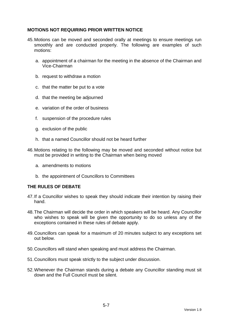## **MOTIONS NOT REQUIRING PRIOR WRITTEN NOTICE**

- 45. Motions can be moved and seconded orally at meetings to ensure meetings run smoothly and are conducted properly. The following are examples of such motions:
	- a. appointment of a chairman for the meeting in the absence of the Chairman and Vice-Chairman
	- b. request to withdraw a motion
	- c. that the matter be put to a vote
	- d. that the meeting be adjourned
	- e. variation of the order of business
	- f. suspension of the procedure rules
	- g. exclusion of the public
	- h. that a named Councillor should not be heard further
- 46. Motions relating to the following may be moved and seconded without notice but must be provided in writing to the Chairman when being moved
	- a. amendments to motions
	- b. the appointment of Councillors to Committees

### **THE RULES OF DEBATE**

- 47. If a Councillor wishes to speak they should indicate their intention by raising their hand.
- 48. The Chairman will decide the order in which speakers will be heard. Any Councillor who wishes to speak will be given the opportunity to do so unless any of the exceptions contained in these rules of debate apply.
- 49. Councillors can speak for a maximum of 20 minutes subject to any exceptions set out below.
- 50. Councillors will stand when speaking and must address the Chairman.
- 51. Councillors must speak strictly to the subject under discussion.
- 52. Whenever the Chairman stands during a debate any Councillor standing must sit down and the Full Council must be silent.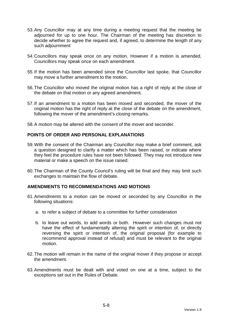- 53. Any Councillor may at any time during a meeting request that the meeting be adjourned for up to one hour. The Chairman of the meeting has discretion to decide whether to agree the request and, if agreed, to determine the length of any such adjournment
- 54. Councillors may speak once on any motion. However if a motion is amended, Councillors may speak once on each amendment.
- 55. If the motion has been amended since the Councillor last spoke, that Councillor may move a further amendment to the motion.
- 56. The Councillor who moved the original motion has a right of reply at the close of the debate on that motion or any agreed amendment.
- 57. If an amendment to a motion has been moved and seconded, the mover of the original motion has the right of reply at the close of the debate on the amendment, following the mover of the amendment's closing remarks.
- 58. A motion may be altered with the consent of the mover and seconder.

## **POINTS OF ORDER AND PERSONAL EXPLANATIONS**

- 59. With the consent of the Chairman any Councillor may make a brief comment, ask a question designed to clarify a matter which has been raised, or indicate where they feel the procedure rules have not been followed. They may not introduce new material or make a speech on the issue raised.
- 60. The Chairman of the County Council's ruling will be final and they may limit such exchanges to maintain the flow of debate.

### **AMENDMENTS TO RECOMMENDATIONS AND MOTIONS**

- 61. Amendments to a motion can be moved or seconded by any Councillor in the following situations:
	- a. to refer a subject of debate to a committee for further consideration
	- b. to leave out words, to add words or both. However such changes must not have the effect of fundamentally altering the spirit or intention of, or directly reversing the spirit or intention of, the original proposal (for example to recommend approval instead of refusal) and must be relevant to the original motion.
- 62. The motion will remain in the name of the original mover if they propose or accept the amendment.
- 63. Amendments must be dealt with and voted on one at a time, subject to the exceptions set out in the Rules of Debate.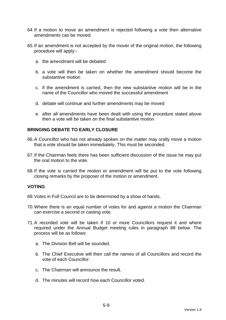- 64. If a motion to move an amendment is rejected following a vote then alternative amendments can be moved.
- 65. If an amendment is not accepted by the mover of the original motion, the following procedure will apply:
	- a. the amendment will be debated
	- b. a vote will then be taken on whether the amendment should become the substantive motion
	- c. if the amendment is carried, then the new substantive motion will be in the name of the Councillor who moved the successful amendment
	- d. debate will continue and further amendments may be moved
	- e. after all amendments have been dealt with using the procedure stated above then a vote will be taken on the final substantive motion

### **BRINGING DEBATE TO EARLY CLOSURE**

- 66. A Councillor who has not already spoken on the matter may orally move a motion that a vote should be taken immediately. This must be seconded.
- 67. If the Chairman feels there has been sufficient discussion of the issue he may put the oral motion to the vote.
- 68. If the vote is carried the motion or amendment will be put to the vote following closing remarks by the proposer of the motion or amendment.

### **VOTING**

- 69. Votes in Full Council are to be determined by a show of hands.
- 70. Where there is an equal number of votes for and against a motion the Chairman can exercise a second or casting vote.
- 71. A recorded vote will be taken if 10 or more Councillors request it and where required under the Annual Budget meeting rules in paragraph 88 below. The process will be as follows:
	- a. The Division Bell will be sounded.
	- b. The Chief Executive will then call the names of all Councillors and record the vote of each Councillor.
	- c. The Chairman will announce the result.
	- d. The minutes will record how each Councillor voted.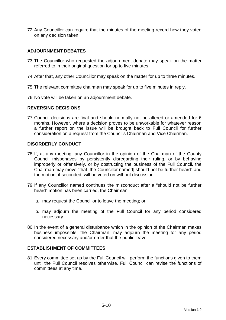72. Any Councillor can require that the minutes of the meeting record how they voted on any decision taken.

## **ADJOURNMENT DEBATES**

- 73. The Councillor who requested the adjournment debate may speak on the matter referred to in their original question for up to five minutes.
- 74. After that, any other Councillor may speak on the matter for up to three minutes.
- 75. The relevant committee chairman may speak for up to five minutes in reply.
- 76. No vote will be taken on an adjournment debate.

### **REVERSING DECISIONS**

77. Council decisions are final and should normally not be altered or amended for 6 months. However, where a decision proves to be unworkable for whatever reason a further report on the issue will be brought back to Full Council for further consideration on a request from the Council's Chairman and Vice Chairman.

### **DISORDERLY CONDUCT**

- 78. If, at any meeting, any Councillor in the opinion of the Chairman of the County Council misbehaves by persistently disregarding their ruling, or by behaving improperly or offensively, or by obstructing the business of the Full Council, the Chairman may move "that [the Councillor named] should not be further heard" and the motion, if seconded, will be voted on without discussion.
- 79. If any Councillor named continues the misconduct after a "should not be further heard" motion has been carried, the Chairman:
	- a. may request the Councillor to leave the meeting; or
	- b. may adjourn the meeting of the Full Council for any period considered necessary
- 80. In the event of a general disturbance which in the opinion of the Chairman makes business impossible, the Chairman, may adjourn the meeting for any period considered necessary and/or order that the public leave.

## **ESTABLISHMENT OF COMMITTEES**

81. Every committee set up by the Full Council will perform the functions given to them until the Full Council resolves otherwise. Full Council can revise the functions of committees at any time.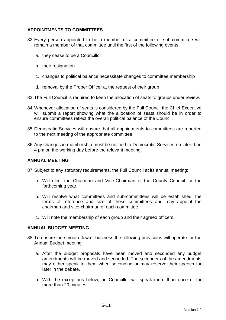# **APPOINTMENTS TO COMMITTEES**

- 82. Every person appointed to be a member of a committee or sub-committee will remain a member of that committee until the first of the following events:
	- a. they cease to be a Councillor
	- b. their resignation
	- c. changes to political balance necessitate changes to committee membership
	- d. removal by the Proper Officer at the request of their group
- 83. The Full Council is required to keep the allocation of seats to groups under review.
- 84. Whenever allocation of seats is considered by the Full Council the Chief Executive will submit a report showing what the allocation of seats should be in order to ensure committees reflect the overall political balance of the Council.
- 85. Democratic Services will ensure that all appointments to committees are reported to the next meeting of the appropriate committee.
- 86. Any changes in membership must be notified to Democratic Services no later than 4 pm on the working day before the relevant meeting.

#### **ANNUAL MEETING**

87. Subject to any statutory requirements, the Full Council at its annual meeting:

- a. Will elect the Chairman and Vice-Chairman of the County Council for the forthcoming year.
- b. Will resolve what committees and sub-committees will be established, the terms of reference and size of these committees and may appoint the chairman and vice-chairman of each committee.
- c. Will note the membership of each group and their agreed officers.

#### **ANNUAL BUDGET MEETING**

- 88. To ensure the smooth flow of business the following provisions will operate for the Annual Budget meeting:
	- a. After the budget proposals have been moved and seconded any budget amendments will be moved and seconded. The seconders of the amendments may either speak to them when seconding or may reserve their speech for later in the debate.
	- b. With the exceptions below, no Councillor will speak more than once or for more than 20 minutes: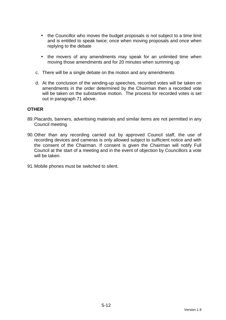- the Councillor who moves the budget proposals is not subject to a time limit and is entitled to speak twice; once when moving proposals and once when replying to the debate
- the movers of any amendments may speak for an unlimited time when moving those amendments and for 20 minutes when summing up
- c. There will be a single debate on the motion and any amendments
- d. At the conclusion of the winding-up speeches, recorded votes will be taken on amendments in the order determined by the Chairman then a recorded vote will be taken on the substantive motion. The process for recorded votes is set out in paragraph 71 above.

### **OTHER**

- 89. Placards, banners, advertising materials and similar items are not permitted in any Council meeting.
- 90. Other than any recording carried out by approved Council staff, the use of recording devices and cameras is only allowed subject to sufficient notice and with the consent of the Chairman. If consent is given the Chairman will notify Full Council at the start of a meeting and in the event of objection by Councillors a vote will be taken.
- 91. Mobile phones must be switched to silent.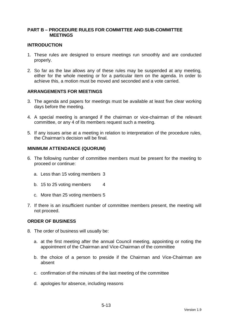### **PART B – PROCEDURE RULES FOR COMMITTEE AND SUB-COMMITTEE MEETINGS**

#### **INTRODUCTION**

- 1. These rules are designed to ensure meetings run smoothly and are conducted properly.
- 2. So far as the law allows any of these rules may be suspended at any meeting, either for the whole meeting or for a particular item on the agenda. In order to achieve this, a motion must be moved and seconded and a vote carried.

### **ARRANGEMENTS FOR MEETINGS**

- 3. The agenda and papers for meetings must be available at least five clear working days before the meeting.
- 4. A special meeting is arranged if the chairman or vice-chairman of the relevant committee, or any 4 of its members request such a meeting.
- 5. If any issues arise at a meeting in relation to interpretation of the procedure rules, the Chairman's decision will be final.

#### **MINIMUM ATTENDANCE (QUORUM)**

- 6. The following number of committee members must be present for the meeting to proceed or continue:
	- a. Less than 15 voting members 3
	- b. 15 to 25 voting members 4
	- c. More than 25 voting members 5
- 7. If there is an insufficient number of committee members present, the meeting will not proceed.

#### **ORDER OF BUSINESS**

- 8. The order of business will usually be:
	- a. at the first meeting after the annual Council meeting, appointing or noting the appointment of the Chairman and Vice-Chairman of the committee
	- b. the choice of a person to preside if the Chairman and Vice-Chairman are absent
	- c. confirmation of the minutes of the last meeting of the committee
	- d. apologies for absence, including reasons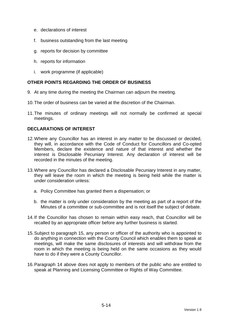- e. declarations of interest
- f. business outstanding from the last meeting
- g. reports for decision by committee
- h. reports for information
- i. work programme (if applicable)

# **OTHER POINTS REGARDING THE ORDER OF BUSINESS**

- 9. At any time during the meeting the Chairman can adjourn the meeting.
- 10. The order of business can be varied at the discretion of the Chairman.
- 11. The minutes of ordinary meetings will not normally be confirmed at special meetings.

## **DECLARATIONS OF INTEREST**

- 12. Where any Councillor has an interest in any matter to be discussed or decided, they will, in accordance with the Code of Conduct for Councillors and Co-opted Members, declare the existence and nature of that interest and whether the interest is Disclosable Pecuniary Interest. Any declaration of interest will be recorded in the minutes of the meeting.
- 13. Where any Councillor has declared a Disclosable Pecuniary Interest in any matter, they will leave the room in which the meeting is being held while the matter is under consideration unless:
	- a. Policy Committee has granted them a dispensation; or
	- b. the matter is only under consideration by the meeting as part of a report of the Minutes of a committee or sub-committee and is not itself the subject of debate.
- 14. If the Councillor has chosen to remain within easy reach, that Councillor will be recalled by an appropriate officer before any further business is started.
- 15. Subject to paragraph 15, any person or officer of the authority who is appointed to do anything in connection with the County Council which enables them to speak at meetings, will make the same disclosures of interests and will withdraw from the room in which the meeting is being held on the same occasions as they would have to do if they were a County Councillor.
- 16. Paragraph 14 above does not apply to members of the public who are entitled to speak at Planning and Licensing Committee or Rights of Way Committee.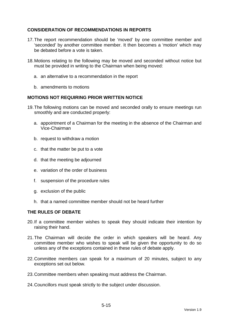# **CONSIDERATION OF RECOMMENDATIONS IN REPORTS**

- 17. The report recommendation should be 'moved' by one committee member and 'seconded' by another committee member. It then becomes a 'motion' which may be debated before a vote is taken.
- 18. Motions relating to the following may be moved and seconded without notice but must be provided in writing to the Chairman when being moved:
	- a. an alternative to a recommendation in the report
	- b. amendments to motions

### **MOTIONS NOT REQUIRING PRIOR WRITTEN NOTICE**

- 19. The following motions can be moved and seconded orally to ensure meetings run smoothly and are conducted properly:
	- a. appointment of a Chairman for the meeting in the absence of the Chairman and Vice-Chairman
	- b. request to withdraw a motion
	- c. that the matter be put to a vote
	- d. that the meeting be adjourned
	- e. variation of the order of business
	- f. suspension of the procedure rules
	- g. exclusion of the public
	- h. that a named committee member should not be heard further

### **THE RULES OF DEBATE**

- 20. If a committee member wishes to speak they should indicate their intention by raising their hand.
- 21. The Chairman will decide the order in which speakers will be heard. Any committee member who wishes to speak will be given the opportunity to do so unless any of the exceptions contained in these rules of debate apply.
- 22. Committee members can speak for a maximum of 20 minutes, subject to any exceptions set out below.
- 23. Committee members when speaking must address the Chairman.
- 24. Councillors must speak strictly to the subject under discussion.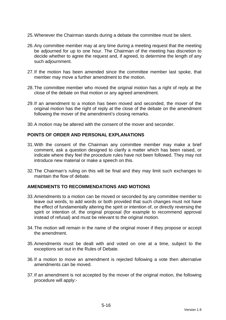- 25. Whenever the Chairman stands during a debate the committee must be silent.
- 26. Any committee member may at any time during a meeting request that the meeting be adjourned for up to one hour. The Chairman of the meeting has discretion to decide whether to agree the request and, if agreed, to determine the length of any such adjournment.
- 27. If the motion has been amended since the committee member last spoke, that member may move a further amendment to the motion.
- 28. The committee member who moved the original motion has a right of reply at the close of the debate on that motion or any agreed amendment.
- 29. If an amendment to a motion has been moved and seconded, the mover of the original motion has the right of reply at the close of the debate on the amendment following the mover of the amendment's closing remarks.
- 30. A motion may be altered with the consent of the mover and seconder.

## **POINTS OF ORDER AND PERSONAL EXPLANATIONS**

- 31. With the consent of the Chairman any committee member may make a brief comment, ask a question designed to clarify a matter which has been raised, or indicate where they feel the procedure rules have not been followed. They may not introduce new material or make a speech on this.
- 32. The Chairman's ruling on this will be final and they may limit such exchanges to maintain the flow of debate.

### **AMENDMENTS TO RECOMMENDATIONS AND MOTIONS**

- 33. Amendments to a motion can be moved or seconded by any committee member to leave out words, to add words or both provided that such changes must not have the effect of fundamentally altering the spirit or intention of, or directly reversing the spirit or intention of, the original proposal (for example to recommend approval instead of refusal) and must be relevant to the original motion.
- 34. The motion will remain in the name of the original mover if they propose or accept the amendment.
- 35. Amendments must be dealt with and voted on one at a time, subject to the exceptions set out in the Rules of Debate.
- 36. If a motion to move an amendment is rejected following a vote then alternative amendments can be moved.
- 37. If an amendment is not accepted by the mover of the original motion, the following procedure will apply:-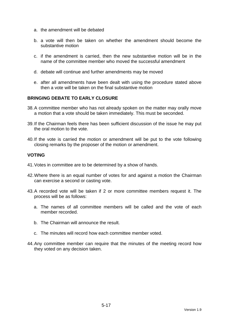- a. the amendment will be debated
- b. a vote will then be taken on whether the amendment should become the substantive motion
- c. if the amendment is carried, then the new substantive motion will be in the name of the committee member who moved the successful amendment
- d. debate will continue and further amendments may be moved
- e. after all amendments have been dealt with using the procedure stated above then a vote will be taken on the final substantive motion

## **BRINGING DEBATE TO EARLY CLOSURE**

- 38. A committee member who has not already spoken on the matter may orally move a motion that a vote should be taken immediately. This must be seconded.
- 39. If the Chairman feels there has been sufficient discussion of the issue he may put the oral motion to the vote.
- 40. If the vote is carried the motion or amendment will be put to the vote following closing remarks by the proposer of the motion or amendment.

### **VOTING**

- 41. Votes in committee are to be determined by a show of hands.
- 42. Where there is an equal number of votes for and against a motion the Chairman can exercise a second or casting vote.
- 43. A recorded vote will be taken if 2 or more committee members request it. The process will be as follows:
	- a. The names of all committee members will be called and the vote of each member recorded.
	- b. The Chairman will announce the result.
	- c. The minutes will record how each committee member voted.
- 44. Any committee member can require that the minutes of the meeting record how they voted on any decision taken.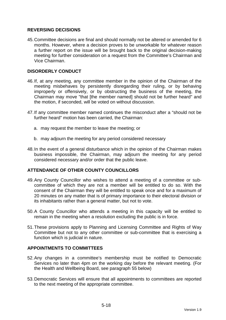## **REVERSING DECISIONS**

45. Committee decisions are final and should normally not be altered or amended for 6 months. However, where a decision proves to be unworkable for whatever reason a further report on the issue will be brought back to the original decision-making meeting for further consideration on a request from the Committee's Chairman and Vice Chairman.

## **DISORDERLY CONDUCT**

- 46. If, at any meeting, any committee member in the opinion of the Chairman of the meeting misbehaves by persistently disregarding their ruling, or by behaving improperly or offensively, or by obstructing the business of the meeting, the Chairman may move "that [the member named] should not be further heard" and the motion, if seconded, will be voted on without discussion.
- 47. If any committee member named continues the misconduct after a "should not be further heard" motion has been carried, the Chairman:
	- a. may request the member to leave the meeting; or
	- b. may adjourn the meeting for any period considered necessary
- 48. In the event of a general disturbance which in the opinion of the Chairman makes business impossible, the Chairman, may adjourn the meeting for any period considered necessary and/or order that the public leave.

### **ATTENDANCE OF OTHER COUNTY COUNCILLORS**

- 49. Any County Councillor who wishes to attend a meeting of a committee or subcommittee of which they are not a member will be entitled to do so. With the consent of the Chairman they will be entitled to speak once and for a maximum of 20 minutes on any matter that is of primary importance to their electoral division or its inhabitants rather than a general matter, but not to vote.
- 50. A County Councillor who attends a meeting in this capacity will be entitled to remain in the meeting when a resolution excluding the public is in force.
- 51. These provisions apply to Planning and Licensing Committee and Rights of Way Committee but not to any other committee or sub-committee that is exercising a function which is judicial in nature.

## **APPOINTMENTS TO COMMITTEES**

- 52. Any changes in a committee's membership must be notified to Democratic Services no later than 4pm on the working day before the relevant meeting. (For the Health and Wellbeing Board, see paragraph 55 below)
- 53. Democratic Services will ensure that all appointments to committees are reported to the next meeting of the appropriate committee.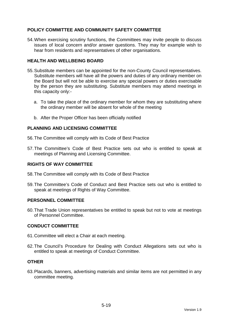# **POLICY COMMITTEE AND COMMUNITY SAFETY COMMITTEE**

54. When exercising scrutiny functions, the Committees may invite people to discuss issues of local concern and/or answer questions. They may for example wish to hear from residents and representatives of other organisations.

## **HEALTH AND WELLBEING BOARD**

- 55. Substitute members can be appointed for the non-County Council representatives. Substitute members will have all the powers and duties of any ordinary member on the Board but will not be able to exercise any special powers or duties exercisable by the person they are substituting. Substitute members may attend meetings in this capacity only:
	- a. To take the place of the ordinary member for whom they are substituting where the ordinary member will be absent for whole of the meeting
	- b. After the Proper Officer has been officially notified

### **PLANNING AND LICENSING COMMITTEE**

56. The Committee will comply with its Code of Best Practice

57. The Committee's Code of Best Practice sets out who is entitled to speak at meetings of Planning and Licensing Committee.

### **RIGHTS OF WAY COMMITTEE**

- 58. The Committee will comply with its Code of Best Practice
- 59. The Committee's Code of Conduct and Best Practice sets out who is entitled to speak at meetings of Rights of Way Committee.

### **PERSONNEL COMMITTEE**

60. That Trade Union representatives be entitled to speak but not to vote at meetings of Personnel Committee.

### **CONDUCT COMMITTEE**

- 61. Committee will elect a Chair at each meeting.
- 62. The Council's Procedure for Dealing with Conduct Allegations sets out who is entitled to speak at meetings of Conduct Committee.

#### **OTHER**

63. Placards, banners, advertising materials and similar items are not permitted in any committee meeting.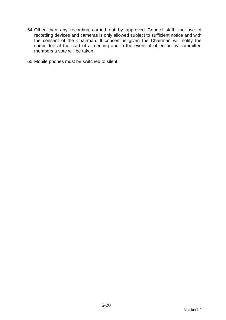64. Other than any recording carried out by approved Council staff, the use of recording devices and cameras is only allowed subject to sufficient notice and with the consent of the Chairman. If consent is given the Chairman will notify the committee at the start of a meeting and in the event of objection by committee members a vote will be taken.

65. Mobile phones must be switched to silent.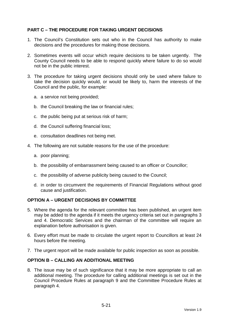# **PART C – THE PROCEDURE FOR TAKING URGENT DECISIONS**

- 1. The Council's Constitution sets out who in the Council has authority to make decisions and the procedures for making those decisions.
- 2. Sometimes events will occur which require decisions to be taken urgently. The County Council needs to be able to respond quickly where failure to do so would not be in the public interest.
- 3. The procedure for taking urgent decisions should only be used where failure to take the decision quickly would, or would be likely to, harm the interests of the Council and the public, for example:
	- a. a service not being provided;
	- b. the Council breaking the law or financial rules;
	- c. the public being put at serious risk of harm;
	- d. the Council suffering financial loss;
	- e. consultation deadlines not being met.
- 4. The following are not suitable reasons for the use of the procedure:
	- a. poor planning;
	- b. the possibility of embarrassment being caused to an officer or Councillor;
	- c. the possibility of adverse publicity being caused to the Council;
	- d. in order to circumvent the requirements of Financial Regulations without good cause and justification.

### **OPTION A – URGENT DECISIONS BY COMMITTEE**

- 5. Where the agenda for the relevant committee has been published, an urgent item may be added to the agenda if it meets the urgency criteria set out in paragraphs 3 and 4. Democratic Services and the chairman of the committee will require an explanation before authorisation is given.
- 6. Every effort must be made to circulate the urgent report to Councillors at least 24 hours before the meeting.
- 7. The urgent report will be made available for public inspection as soon as possible.

### **OPTION B – CALLING AN ADDITIONAL MEETING**

8. The issue may be of such significance that it may be more appropriate to call an additional meeting. The procedure for calling additional meetings is set out in the Council Procedure Rules at paragraph 9 and the Committee Procedure Rules at paragraph 4.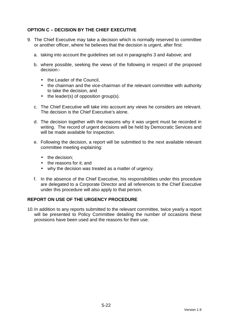# **OPTION C – DECISION BY THE CHIEF EXECUTIVE**

- 9. The Chief Executive may take a decision which is normally reserved to committee or another officer, where he believes that the decision is urgent, after first:
	- a. taking into account the guidelines set out in paragraphs 3 and 4above; and
	- b. where possible, seeking the views of the following in respect of the proposed decision:-
		- the Leader of the Council.
		- the chairman and the vice-chairman of the relevant committee with authority to take the decision, and
		- the leader(s) of opposition group(s).
	- c. The Chief Executive will take into account any views he considers are relevant. The decision is the Chief Executive's alone.
	- d. The decision together with the reasons why it was urgent must be recorded in writing. The record of urgent decisions will be held by Democratic Services and will be made available for inspection.
	- e. Following the decision, a report will be submitted to the next available relevant committee meeting explaining:
		- the decision:
		- the reasons for it: and
		- why the decision was treated as a matter of urgency.
	- f. In the absence of the Chief Executive, his responsibilities under this procedure are delegated to a Corporate Director and all references to the Chief Executive under this procedure will also apply to that person.

### **REPORT ON USE OF THE URGENCY PROCEDURE**

10. In addition to any reports submitted to the relevant committee, twice yearly a report will be presented to Policy Committee detailing the number of occasions these provisions have been used and the reasons for their use.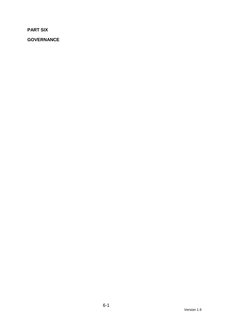**PART SIX** 

**GOVERNANCE**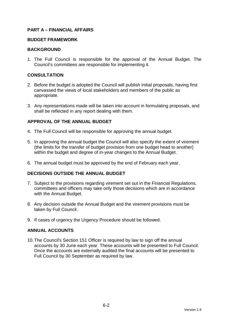# **PART A – FINANCIAL AFFAIRS**

#### **BUDGET FRAMEWORK**

### **BACKGROUND**

1. The Full Council is responsible for the approval of the Annual Budget. The Council's committees are responsible for implementing it.

### **CONSULTATION**

- 2. Before the budget is adopted the Council will publish initial proposals, having first canvassed the views of local stakeholders and members of the public as appropriate.
- 3. Any representations made will be taken into account in formulating proposals, and shall be reflected in any report dealing with them.

# **APPROVAL OF THE ANNUAL BUDGET**

- 4. The Full Council will be responsible for approving the annual budget.
- 5. In approving the annual budget the Council will also specify the extent of virement (the limits for the transfer of budget provision from one budget head to another) within the budget and degree of in-year changes to the Annual Budget.
- 6. The annual budget must be approved by the end of February each year.

### **DECISIONS OUTSIDE THE ANNUAL BUDGET**

- 7. Subject to the provisions regarding virement set out in the Financial Regulations, committees and officers may take only those decisions which are in accordance with the Annual Budget.
- 8. Any decision outside the Annual Budget and the virement provisions must be taken by Full Council.
- 9. If cases of urgency the Urgency Procedure should be followed.

### **ANNUAL ACCOUNTS**

10. The Council's Section 151 Officer is required by law to sign off the annual accounts by 30 June each year. These accounts will be presented to Full Council. Once the accounts are externally audited the final accounts will be presented to Full Council by 30 September as required by law.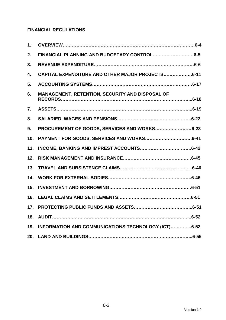# **FINANCIAL REGULATIONS**

| 1.  |                                                     |
|-----|-----------------------------------------------------|
| 2.  |                                                     |
| 3.  |                                                     |
| 4.  | CAPITAL EXPENDITURE AND OTHER MAJOR PROJECTS6-11    |
| 5.  |                                                     |
| 6.  | MANAGEMENT, RETENTION, SECURITY AND DISPOSAL OF     |
| 7.  |                                                     |
| 8.  |                                                     |
| 9.  | PROCUREMENT OF GOODS, SERVICES AND WORKS6-23        |
| 10. |                                                     |
| 11. |                                                     |
| 12. |                                                     |
| 13. |                                                     |
| 14. |                                                     |
| 15. |                                                     |
| 16. |                                                     |
| 17. |                                                     |
| 18. |                                                     |
| 19. | INFORMATION AND COMMUNICATIONS TECHNOLOGY (ICT)6-52 |
| 20. |                                                     |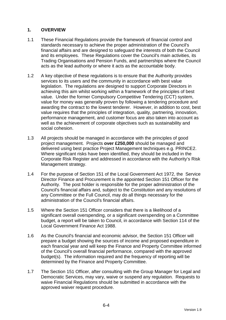# **1. OVERVIEW**

- 1.1 These Financial Regulations provide the framework of financial control and standards necessary to achieve the proper administration of the Council's financial affairs and are designed to safeguard the interests of both the Council and its employees. These Regulations cover the Council's main activities, its Trading Organisations and Pension Funds, and partnerships where the Council acts as the lead authority or where it acts as the accountable body.
- 1.2 A key objective of these regulations is to ensure that the Authority provides services to its users and the community in accordance with best value legislation. The regulations are designed to support Corporate Directors in achieving this aim whilst working within a framework of the principles of best value. Under the former Compulsory Competitive Tendering (CCT) system, value for money was generally proven by following a tendering procedure and awarding the contract to the lowest tenderer. However, in addition to cost, best value requires that the principles of integration, quality, partnering, innovation, performance management, and customer focus are also taken into account as well as the achievement of corporate objectives such as sustainability and social cohesion.
- 1.3 All projects should be managed in accordance with the principles of good project management. Projects **over £250,000** should be managed and delivered using best practice Project Management techniques e.g. PRINCE2. Where significant risks have been identified, they should be included in the Corporate Risk Register and addressed in accordance with the Authority's Risk Management strategy.
- 1.4 For the purpose of Section 151 of the Local Government Act 1972, the Service Director Finance and Procurement is the appointed Section 151 Officer for the Authority. The post holder is responsible for the proper administration of the Council's financial affairs and, subject to the Constitution and any resolutions of any Committee or the Full Council, may do all things necessary for the administration of the Council's financial affairs.
- 1.5 Where the Section 151 Officer considers that there is a likelihood of a significant overall overspending, or a significant overspending on a Committee budget, a report will be taken to Council, in accordance with Section 114 of the Local Government Finance Act 1988.
- 1.6 As the Council's financial and economic advisor, the Section 151 Officer will prepare a budget showing the sources of income and proposed expenditure in each financial year and will keep the Finance and Property Committee informed of the Council's overall financial performance, compared with the approved budget(s). The information required and the frequency of reporting will be determined by the Finance and Property Committee.
- 1.7 The Section 151 Officer, after consulting with the Group Manager for Legal and Democratic Services, may vary, waive or suspend any regulation. Requests to waive Financial Regulations should be submitted in accordance with the approved waiver request procedure.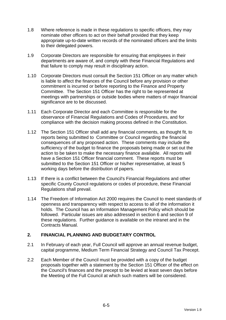- 1.8 Where reference is made in these regulations to specific officers, they may nominate other officers to act on their behalf provided that they keep appropriate up-to-date written records of the nominated officers and the limits to their delegated powers.
- 1.9 Corporate Directors are responsible for ensuring that employees in their departments are aware of, and comply with these Financial Regulations and that failure to comply may result in disciplinary action.
- 1.10 Corporate Directors must consult the Section 151 Officer on any matter which is liable to affect the finances of the Council before any provision or other commitment is incurred or before reporting to the Finance and Property Committee. The Section 151 Officer has the right to be represented at meetings with partnerships or outside bodies where matters of major financial significance are to be discussed.
- 1.11 Each Corporate Director and each Committee is responsible for the observance of Financial Regulations and Codes of Procedures, and for compliance with the decision making process defined in the Constitution.
- 1.12 The Section 151 Officer shall add any financial comments, as thought fit, to reports being submitted to Committee or Council regarding the financial consequences of any proposed action. These comments may include the sufficiency of the budget to finance the proposals being made or set out the action to be taken to make the necessary finance available. All reports will have a Section 151 Officer financial comment. These reports must be submitted to the Section 151 Officer or his/her representative, at least 5 working days before the distribution of papers.
- 1.13 If there is a conflict between the Council's Financial Regulations and other specific County Council regulations or codes of procedure, these Financial Regulations shall prevail.
- 1.14 The Freedom of Information Act 2000 requires the Council to meet standards of openness and transparency with respect to access to all of the information it holds. The Council has an Information Management Policy which should be followed. Particular issues are also addressed in section 6 and section 9 of these regulations. Further guidance is available on the intranet and in the Contracts Manual.

# **2. FINANCIAL PLANNING AND BUDGETARY CONTROL**

- 2.1 In February of each year, Full Council will approve an annual revenue budget, capital programme, Medium Term Financial Strategy and Council Tax Precept.
- 2.2 Each Member of the Council must be provided with a copy of the budget proposals together with a statement by the Section 151 Officer of the effect on the Council's finances and the precept to be levied at least seven days before the Meeting of the Full Council at which such matters will be considered.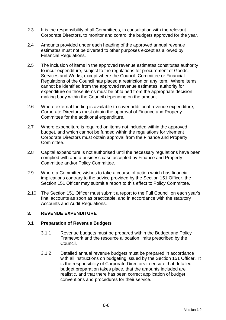- 2.3 It is the responsibility of all Committees, in consultation with the relevant Corporate Directors, to monitor and control the budgets approved for the year.
- 2.4 Amounts provided under each heading of the approved annual revenue estimates must not be diverted to other purposes except as allowed by Financial Regulations.
- 2.5 The inclusion of items in the approved revenue estimates constitutes authority to incur expenditure, subject to the regulations for procurement of Goods, Services and Works, except where the Council, Committee or Financial Regulations of the Council has placed a restriction on any item. Where items cannot be identified from the approved revenue estimates, authority for expenditure on those items must be obtained from the appropriate decision making body within the Council depending on the amount.
- 2.6 Where external funding is available to cover additional revenue expenditure, Corporate Directors must obtain the approval of Finance and Property Committee for the additional expenditure.
- 2.7 Where expenditure is required on items not included within the approved budget, and which cannot be funded within the regulations for virement Corporate Directors must obtain approval from the Finance and Property Committee.
- 2.8 Capital expenditure is not authorised until the necessary regulations have been complied with and a business case accepted by Finance and Property Committee and/or Policy Committee.
- 2.9 Where a Committee wishes to take a course of action which has financial implications contrary to the advice provided by the Section 151 Officer, the Section 151 Officer may submit a report to this effect to Policy Committee.
- 2.10 The Section 151 Officer must submit a report to the Full Council on each year's final accounts as soon as practicable, and in accordance with the statutory Accounts and Audit Regulations.

# **3. REVENUE EXPENDITURE**

### **3.1 Preparation of Revenue Budgets**

- 3.1.1 Revenue budgets must be prepared within the Budget and Policy Framework and the resource allocation limits prescribed by the Council.
- 3.1.2 Detailed annual revenue budgets must be prepared in accordance with all instructions on budgeting issued by the Section 151 Officer. It is the responsibility of Corporate Directors to ensure that detailed budget preparation takes place, that the amounts included are realistic, and that there has been correct application of budget conventions and procedures for their service.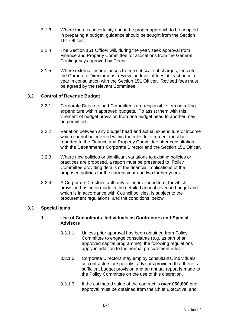- 3.1.3 Where there is uncertainty about the proper approach to be adopted in preparing a budget, guidance should be sought from the Section 151 Officer.
- 3.1.4 The Section 151 Officer will, during the year, seek approval from Finance and Property Committee for allocations from the General Contingency approved by Council.
- 3.1.5 Where external income arises from a set scale of charges, fees etc., the Corporate Director must review the level of fees at least once a year in consultation with the Section 151 Officer. Revised fees must be agreed by the relevant Committee.

# **3.2 Control of Revenue Budget**

- 3.2.1 Corporate Directors and Committees are responsible for controlling expenditure within approved budgets. To assist them with this, virement of budget provision from one budget head to another may be permitted.
- 3.2.2 Variation between any budget head and actual expenditure or income which cannot be covered within the rules for virement must be reported to the Finance and Property Committee after consultation with the Department's Corporate Director and the Section 151 Officer.
- 3.2.3 Where new policies or significant variations to existing policies or practices are proposed, a report must be presented to Policy Committee providing details of the financial implications of the proposed policies for the current year and two further years.
- 3.2.4 A Corporate Director's authority to incur expenditure, for which provision has been made in the detailed annual revenue budget and which is in accordance with Council policies, is subject to the procurement regulations and the conditions below.

### **3.3 Special Items**

### **1. Use of Consultants, Individuals as Contractors and Special Advisors**

- 3.3.1.1 Unless prior approval has been obtained from Policy Committee to engage consultants (e.g. as part of an approved capital programme), the following regulations apply in addition to the normal procurement rules:-
- 3.3.1.2 Corporate Directors may employ consultants, individuals as contractors or specialist advisors provided that there is sufficient budget provision and an annual report is made to the Policy Committee on the use of this discretion.
- 3.3.1.3 If the estimated value of the contract is **over £50,000** prior approval must be obtained from the Chief Executive and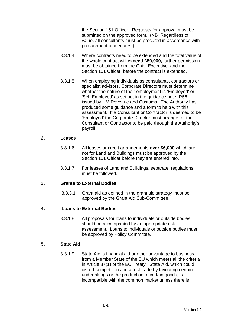the Section 151 Officer. Requests for approval must be submitted on the approved form. (NB Regardless of value, all consultants must be procured in accordance with procurement procedures.)

- 3.3.1.4 Where contracts need to be extended and the total value of the whole contract will **exceed £50,000,** further permission must be obtained from the Chief Executive and the Section 151 Officer before the contract is extended.
- 3.3.1.5 When employing individuals as consultants, contractors or specialist advisors, Corporate Directors must determine whether the nature of their employment is 'Employed' or 'Self Employed' as set out in the guidance note IR56 issued by HM Revenue and Customs. The Authority has produced some guidance and a form to help with this assessment. If a Consultant or Contractor is deemed to be 'Employed' the Corporate Director must arrange for the Consultant or Contractor to be paid through the Authority's payroll.

#### **2. Leases**

- 3.3.1.6 All leases or credit arrangements **over £6,000** which are not for Land and Buildings must be approved by the Section 151 Officer before they are entered into.
- 3.3.1.7 For leases of Land and Buildings, separate regulations must be followed.

### **3. Grants to External Bodies**

3.3.3.1 Grant aid as defined in the grant aid strategy must be approved by the Grant Aid Sub-Committee.

### **4. Loans to External Bodies**

3.3.1.8 All proposals for loans to individuals or outside bodies should be accompanied by an appropriate risk assessment. Loans to individuals or outside bodies must be approved by Policy Committee.

# **5. State Aid**

3.3.1.9 State Aid is financial aid or other advantage to business from a Member State of the EU which meets all the criteria in Article 87(1) of the EC Treaty. State Aid, which could distort competition and affect trade by favouring certain undertakings or the production of certain goods, is incompatible with the common market unless there is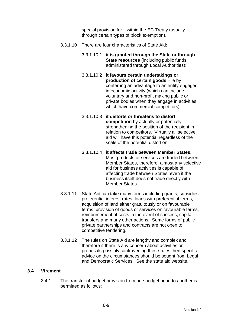special provision for it within the EC Treaty (usually through certain types of block exemption).

- 3.3.1.10 There are four characteristics of State Aid:
	- 3.3.1.10.1 **it is granted through the State or through State resources** (including public funds administered through Local Authorities);
	- 3.3.1.10.2 **it favours certain undertakings or production of certain goods** – ie by conferring an advantage to an entity engaged in economic activity (which can include voluntary and non-profit making public or private bodies when they engage in activities which have commercial competitors);
	- 3.3.1.10.3 **it distorts or threatens to distort competition** by actually or potentially strengthening the position of the recipient in relation to competitors. Virtually all selective aid will have this potential regardless of the scale of the potential distortion;
	- 3.3.1.10.4 **it affects trade between Member States.** Most products or services are traded between Member States, therefore, almost any selective aid for business activities is capable of affecting trade between States, even if the business itself does not trade directly with Member States.
- 3.3.1.11 State Aid can take many forms including grants, subsidies, preferential interest rates, loans with preferential terms, acquisition of land either gratuitously or on favourable terms, provision of goods or services on favourable terms, reimbursement of costs in the event of success, capital transfers and many other actions. Some forms of public private partnerships and contracts are not open to competitive tendering.
- 3.3.1.12 The rules on State Aid are lengthy and complex and therefore if there is any concern about activities or proposals possibly contravening these rules then specific advice on the circumstances should be sought from Legal and Democratic Services. See the state aid website.

### **3.4 Virement**

3.4.1 The transfer of budget provision from one budget head to another is permitted as follows: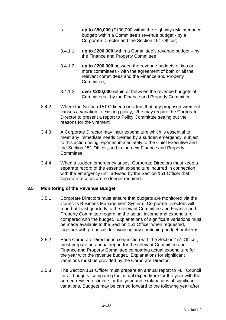- a. **up to £50,000** (£100,000 within the Highways Maintenance budget) within a Committee's revenue budget - by a Corporate Director and the Section 151 Officer;
- 3.4.1.1 **up to £200,000** within a Committee's revenue budget by the Finance and Property Committee;
- 3.4.1.2 **up to £200,000** between the revenue budgets of two or more committees - with the agreement of both or all the relevant committees and the Finance and Property Committee;
- 3.4.1.3 **over £200,000** within or between the revenue budgets of Committees - by the Finance and Property Committee.
- 3.4.2 Where the Section 151 Officer considers that any proposed virement causes a variation to existing policy, s/he may require the Corporate Director to present a report to Policy Committee setting out the reasons for the virement.
- 3.4.3 A Corporate Director may incur expenditure which is essential to meet any immediate needs created by a sudden emergency, subject to this action being reported immediately to the Chief Executive and the Section 151 Officer, and to the next Finance and Property Committee.
- 3.4.4 When a sudden emergency arises, Corporate Directors must keep a separate record of the essential expenditure incurred in connection with the emergency until advised by the Section 151 Officer that separate records are no longer required.

### **3.5 Monitoring of the Revenue Budget**

- 3.5.1 Corporate Directors must ensure that budgets are monitored via the Council's Business Management System. Corporate Directors will report at least quarterly to the relevant Committee and Finance and Property Committee regarding the actual income and expenditure compared with the budget. Explanations of significant variations must be made available to the Section 151 Officer when requested, together with proposals for avoiding any continuing budget problems.
- 3.5.2 Each Corporate Director, in conjunction with the Section 151 Officer, must prepare an annual report for the relevant Committee and Finance and Property Committee comparing actual expenditure for the year with the revenue budget. Explanations for significant variations must be provided by the Corporate Director.
- 3.5.3 The Section 151 Officer must prepare an annual report to Full Council for all budgets, comparing the actual expenditure for the year with the agreed revised estimate for the year and explanations of significant variations. Budgets may be carried forward to the following year after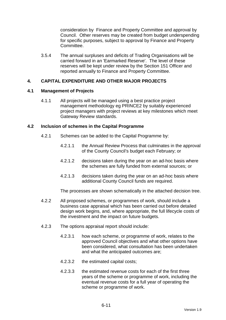consideration by Finance and Property Committee and approval by Council. Other reserves may be created from budget underspending for specific purposes, subject to approval by Finance and Property Committee.

3.5.4 The annual surpluses and deficits of Trading Organisations will be carried forward in an 'Earmarked Reserve'. The level of these reserves will be kept under review by the Section 151 Officer and reported annually to Finance and Property Committee.

### **4. CAPITAL EXPENDITURE AND OTHER MAJOR PROJECTS**

### **4.1 Management of Projects**

4.1.1 All projects will be managed using a best practice project management methodology eg PRINCE2 by suitably experienced project managers with project reviews at key milestones which meet Gateway Review standards.

### **4.2 Inclusion of schemes in the Capital Programme**

- 4.2.1 Schemes can be added to the Capital Programme by:
	- 4.2.1.1 the Annual Review Process that culminates in the approval of the County Council's budget each February; or
	- 4.2.1.2 decisions taken during the year on an ad-hoc basis where the schemes are fully funded from external sources; or
	- 4.2.1.3 decisions taken during the year on an ad-hoc basis where additional County Council funds are required.

The processes are shown schematically in the attached decision tree.

- 4.2.2 All proposed schemes, or programmes of work, should include a business case appraisal which has been carried out before detailed design work begins, and, where appropriate, the full lifecycle costs of the investment and the impact on future budgets.
- 4.2.3 The options appraisal report should include:
	- 4.2.3.1 how each scheme, or programme of work, relates to the approved Council objectives and what other options have been considered, what consultation has been undertaken and what the anticipated outcomes are;
	- 4.2.3.2 the estimated capital costs;
	- 4.2.3.3 the estimated revenue costs for each of the first three years of the scheme or programme of work, including the eventual revenue costs for a full year of operating the scheme or programme of work.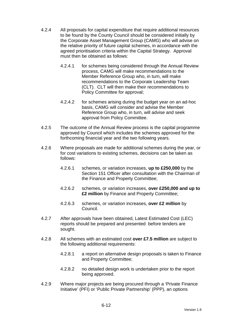- 4.2.4 All proposals for capital expenditure that require additional resources to be found by the County Council should be considered initially by the Corporate Asset Management Group (CAMG) who will advise on the relative priority of future capital schemes, in accordance with the agreed prioritisation criteria within the Capital Strategy. Approval must then be obtained as follows:
	- 4.2.4.1 for schemes being considered through the Annual Review process, CAMG will make recommendations to the Member Reference Group who, in turn, will make recommendations to the Corporate Leadership Team (CLT). CLT will then make their recommendations to Policy Committee for approval;
	- 4.2.4.2 for schemes arising during the budget year on an ad-hoc basis, CAMG will consider and advise the Member Reference Group who, in turn, will advise and seek approval from Policy Committee.
- 4.2.5 The outcome of the Annual Review process is the capital programme approved by Council which includes the schemes approved for the forthcoming financial year and the two following years.
- 4.2.6 Where proposals are made for additional schemes during the year, or for cost variations to existing schemes, decisions can be taken as follows:
	- 4.2.6.1 schemes, or variation increases, **up to £250,000** by the Section 151 Officer after consultation with the Chairman of the Finance and Property Committee;
	- 4.2.6.2 schemes, or variation increases, **over £250,000 and up to £2 million** by Finance and Property Committee;
	- 4.2.6.3 schemes, or variation increases, **over £2 million** by Council.
- 4.2.7 After approvals have been obtained, Latest Estimated Cost (LEC) reports should be prepared and presented before tenders are sought.
- 4.2.8 All schemes with an estimated cost **over £7.5 million** are subject to the following additional requirements:
	- 4.2.8.1 a report on alternative design proposals is taken to Finance and Property Committee;
	- 4.2.8.2 no detailed design work is undertaken prior to the report being approved.
- 4.2.9 Where major projects are being procured through a 'Private Finance Initiative' (PFI) or 'Public Private Partnership' (PPP), an options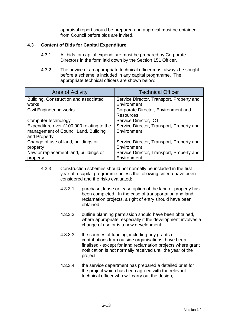appraisal report should be prepared and approval must be obtained from Council before bids are invited.

# **4.3 Content of Bids for Capital Expenditure**

- 4.3.1 All bids for capital expenditure must be prepared by Corporate Directors in the form laid down by the Section 151 Officer.
- 4.3.2 The advice of an appropriate technical officer must always be sought before a scheme is included in any capital programme. The appropriate technical officers are shown below:

| <b>Area of Activity</b>                   | <b>Technical Officer</b>                  |  |
|-------------------------------------------|-------------------------------------------|--|
| Building, Construction and associated     | Service Director, Transport, Property and |  |
| works                                     | Environment                               |  |
| <b>Civil Engineering works</b>            | Corporate Director, Environment and       |  |
|                                           | <b>Resources</b>                          |  |
| Computer technology                       | Service Director, ICT                     |  |
| Expenditure over £100,000 relating to the | Service Director, Transport, Property and |  |
| management of Council Land, Building      | Environment                               |  |
| and Property                              |                                           |  |
| Change of use of land, buildings or       | Service Director, Transport, Property and |  |
| property                                  | Environment                               |  |
| New or replacement land, buildings or     | Service Director, Transport, Property and |  |
| property                                  | Environment                               |  |

- 4.3.3 Construction schemes should not normally be included in the first year of a capital programme unless the following criteria have been considered and the risks evaluated:
	- 4.3.3.1 purchase, lease or lease option of the land or property has been completed. In the case of transportation and land reclamation projects, a right of entry should have been obtained;
	- 4.3.3.2 outline planning permission should have been obtained, where appropriate, especially if the development involves a change of use or is a new development;
	- 4.3.3.3 the sources of funding, including any grants or contributions from outside organisations, have been finalised - except for land reclamation projects where grant notification is not normally received until the year of the project;
	- 4.3.3.4 the service department has prepared a detailed brief for the project which has been agreed with the relevant technical officer who will carry out the design;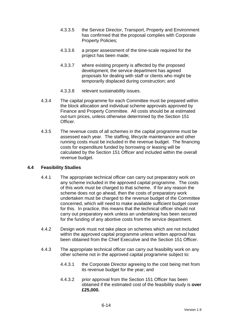- 4.3.3.5 the Service Director, Transport, Property and Environment has confirmed that the proposal complies with Corporate Property Policies;
- 4.3.3.6 a proper assessment of the time-scale required for the project has been made;
- 4.3.3.7 where existing property is affected by the proposed development, the service department has agreed proposals for dealing with staff or clients who might be temporarily displaced during construction; and
- 4.3.3.8 relevant sustainability issues.
- 4.3.4 The capital programme for each Committee must be prepared within the block allocation and individual scheme approvals approved by Finance and Property Committee. All costs should be at estimated out-turn prices, unless otherwise determined by the Section 151 Officer.
- 4.3.5 The revenue costs of all schemes in the capital programme must be assessed each year. The staffing, lifecycle maintenance and other running costs must be included in the revenue budget. The financing costs for expenditure funded by borrowing or leasing will be calculated by the Section 151 Officer and included within the overall revenue budget.

### **4.4 Feasibility Studies**

- 4.4.1 The appropriate technical officer can carry out preparatory work on any scheme included in the approved capital programme. The costs of this work must be charged to that scheme. If for any reason the scheme does not go ahead, then the costs of preparatory work undertaken must be charged to the revenue budget of the Committee concerned, which will need to make available sufficient budget cover for this. In practice, this means that the technical officer should not carry out preparatory work unless an undertaking has been secured for the funding of any abortive costs from the service department.
- 4.4.2 Design work must not take place on schemes which are not included within the approved capital programme unless written approval has been obtained from the Chief Executive and the Section 151 Officer.
- 4.4.3 The appropriate technical officer can carry out feasibility work on any other scheme not in the approved capital programme subject to:
	- 4.4.3.1 the Corporate Director agreeing to the cost being met from its revenue budget for the year; and
	- 4.4.3.2 prior approval from the Section 151 Officer has been obtained if the estimated cost of the feasibility study is **over £25,000.**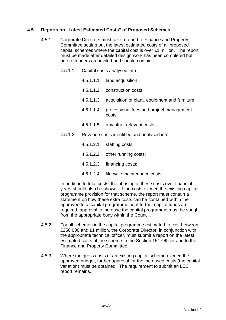# **4.5 Reports on "Latest Estimated Costs" of Proposed Schemes**

- 4.5.1 Corporate Directors must take a report to Finance and Property Committee setting out the latest estimated costs of all proposed capital schemes where the capital cost is over £1 million. The report must be made after detailed design work has been completed but before tenders are invited and should contain:
	- 4.5.1.1 Capital costs analysed into:
		- 4.5.1.1.1 land acquisition;
		- 4.5.1.1.2 construction costs;
		- 4.5.1.1.3 acquisition of plant, equipment and furniture;
		- 4.5.1.1.4 professional fees and project management costs;
		- 4.5.1.1.5 any other relevant costs.
	- 4.5.1.2 Revenue costs identified and analysed into:
		- 4.5.1.2.1 staffing costs;
		- 4.5.1.2.2 other running costs;
		- 4.5.1.2.3 financing costs;
		- 4.5.1.2.4 lifecycle maintenance costs.

In addition to total costs, the phasing of these costs over financial years should also be shown. If the costs exceed the existing capital programme provision for that scheme, the report must contain a statement on how these extra costs can be contained within the approved total capital programme or, if further capital funds are required, approval to increase the capital programme must be sought from the appropriate body within the Council.

- 4.5.2 For all schemes in the capital programme estimated to cost between £250,000 and £1 million**,** the Corporate Director, in conjunction with the appropriate technical officer, must submit a report on the latest estimated costs of the scheme to the Section 151 Officer and to the Finance and Property Committee.
- 4.5.3 Where the gross costs of an existing capital scheme exceed the approved budget, further approval for the increased costs (the capital variation) must be obtained. The requirement to submit an LEC report remains.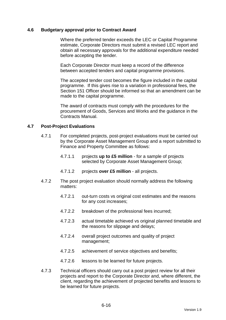### **4.6 Budgetary approval prior to Contract Award**

 Where the preferred tender exceeds the LEC or Capital Programme estimate, Corporate Directors must submit a revised LEC report and obtain all necessary approvals for the additional expenditure needed before accepting the tender.

 Each Corporate Director must keep a record of the difference between accepted tenders and capital programme provisions.

 The accepted tender cost becomes the figure included in the capital programme. If this gives rise to a variation in professional fees, the Section 151 Officer should be informed so that an amendment can be made to the capital programme.

 The award of contracts must comply with the procedures for the procurement of Goods, Services and Works and the guidance in the Contracts Manual.

#### **4.7 Post-Project Evaluations**

- 4.7.1 For completed projects, post-project evaluations must be carried out by the Corporate Asset Management Group and a report submitted to Finance and Property Committee as follows:
	- 4.7.1.1 projects **up to £5 million** for a sample of projects selected by Corporate Asset Management Group;
	- 4.7.1.2 projects **over £5 million** all projects.
- 4.7.2 The post project evaluation should normally address the following matters:
	- 4.7.2.1 out-turn costs vs original cost estimates and the reasons for any cost increases;
	- 4.7.2.2 breakdown of the professional fees incurred;
	- 4.7.2.3 actual timetable achieved vs original planned timetable and the reasons for slippage and delays;
	- 4.7.2.4 overall project outcomes and quality of project management;
	- 4.7.2.5 achievement of service objectives and benefits;
	- 4.7.2.6 lessons to be learned for future projects.
- 4.7.3 Technical officers should carry out a post project review for all their projects and report to the Corporate Director and, where different, the client, regarding the achievement of projected benefits and lessons to be learned for future projects.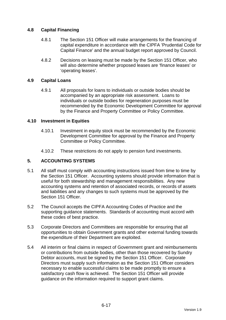# **4.8 Capital Financing**

- 4.8.1 The Section 151 Officer will make arrangements for the financing of capital expenditure in accordance with the CIPFA 'Prudential Code for Capital Finance' and the annual budget report approved by Council.
- 4.8.2 Decisions on leasing must be made by the Section 151 Officer, who will also determine whether proposed leases are 'finance leases' or 'operating leases'.

### **4.9 Capital Loans**

4.9.1 All proposals for loans to individuals or outside bodies should be accompanied by an appropriate risk assessment. Loans to individuals or outside bodies for regeneration purposes must be recommended by the Economic Development Committee for approval by the Finance and Property Committee or Policy Committee.

### **4.10 Investment in Equities**

- 4.10.1 Investment in equity stock must be recommended by the Economic Development Committee for approval by the Finance and Property Committee or Policy Committee.
- 4.10.2 These restrictions do not apply to pension fund investments.

# **5. ACCOUNTING SYSTEMS**

- 5.1 All staff must comply with accounting instructions issued from time to time by the Section 151 Officer. Accounting systems should provide information that is useful for both stewardship and management responsibilities. Any new accounting systems and retention of associated records, or records of assets and liabilities and any changes to such systems must be approved by the Section 151 Officer.
- 5.2 The Council accepts the CIPFA Accounting Codes of Practice and the supporting guidance statements. Standards of accounting must accord with these codes of best practice.
- 5.3 Corporate Directors and Committees are responsible for ensuring that all opportunities to obtain Government grants and other external funding towards the expenditure of their Department are exploited.
- 5.4 All interim or final claims in respect of Government grant and reimbursements or contributions from outside bodies, other than those recovered by Sundry Debtor accounts, must be signed by the Section 151 Officer. Corporate Directors must supply such information as the Section 151 Officer considers necessary to enable successful claims to be made promptly to ensure a satisfactory cash flow is achieved. The Section 151 Officer will provide guidance on the information required to support grant claims.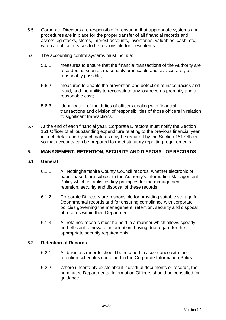- 5.5 Corporate Directors are responsible for ensuring that appropriate systems and procedures are in place for the proper transfer of all financial records and assets, eg stocks, stores, imprest accounts, inventories, valuables, cash, etc, when an officer ceases to be responsible for these items.
- 5.6 The accounting control systems must include:
	- 5.6.1 measures to ensure that the financial transactions of the Authority are recorded as soon as reasonably practicable and as accurately as reasonably possible;
	- 5.6.2 measures to enable the prevention and detection of inaccuracies and fraud, and the ability to reconstitute any lost records promptly and at reasonable cost;
	- 5.6.3 identification of the duties of officers dealing with financial transactions and division of responsibilities of those officers in relation to significant transactions.
- 5.7 At the end of each financial year, Corporate Directors must notify the Section 151 Officer of all outstanding expenditure relating to the previous financial year in such detail and by such date as may be required by the Section 151 Officer so that accounts can be prepared to meet statutory reporting requirements.

# **6. MANAGEMENT, RETENTION, SECURITY AND DISPOSAL OF RECORDS**

### **6.1 General**

- 6.1.1 All Nottinghamshire County Council records, whether electronic or paper-based, are subject to the Authority's Information Management Policy which establishes key principles for the management, retention, security and disposal of these records.
- 6.1.2 Corporate Directors are responsible for providing suitable storage for Departmental records and for ensuring compliance with corporate policies governing the management, retention, security and disposal of records within their Department.
- 6.1.3 All retained records must be held in a manner which allows speedy and efficient retrieval of information, having due regard for the appropriate security requirements.

### **6.2 Retention of Records**

- 6.2.1 All business records should be retained in accordance with the retention schedules contained in the Corporate Information Policy. .
- 6.2.2 Where uncertainty exists about individual documents or records, the nominated Departmental Information Officers should be consulted for guidance.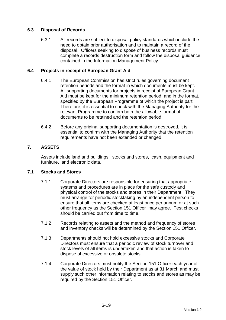# **6.3 Disposal of Records**

6.3.1 All records are subject to disposal policy standards which include the need to obtain prior authorisation and to maintain a record of the disposal. Officers seeking to dispose of business records must complete a records destruction form and follow the disposal guidance contained in the Information Management Policy.

### **6.4 Projects in receipt of European Grant Aid**

- 6.4.1 The European Commission has strict rules governing document retention periods and the format in which documents must be kept. All supporting documents for projects in receipt of European Grant Aid must be kept for the minimum retention period, and in the format, specified by the European Programme of which the project is part. Therefore, it is essential to check with the Managing Authority for the relevant Programme to confirm both the allowable format of documents to be retained and the retention period.
- 6.4.2 Before any original supporting documentation is destroyed, it is essential to confirm with the Managing Authority that the retention requirements have not been extended or changed.

# **7. ASSETS**

Assets include land and buildings, stocks and stores, cash, equipment and furniture, and electronic data.

### **7.1 Stocks and Stores**

- 7.1.1 Corporate Directors are responsible for ensuring that appropriate systems and procedures are in place for the safe custody and physical control of the stocks and stores in their Department. They must arrange for periodic stocktaking by an independent person to ensure that all items are checked at least once per annum or at such other frequency as the Section 151 Officer may agree. Test checks should be carried out from time to time.
- 7.1.2 Records relating to assets and the method and frequency of stores and inventory checks will be determined by the Section 151 Officer.
- 7.1.3 Departments should not hold excessive stocks and Corporate Directors must ensure that a periodic review of stock turnover and stock levels of all items is undertaken and that action is taken to dispose of excessive or obsolete stocks.
- 7.1.4 Corporate Directors must notify the Section 151 Officer each year of the value of stock held by their Department as at 31 March and must supply such other information relating to stocks and stores as may be required by the Section 151 Officer.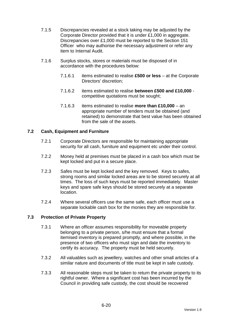- 7.1.5 Discrepancies revealed at a stock taking may be adjusted by the Corporate Director provided that it is under £1,000 in aggregate. Discrepancies over £1,000 must be reported to the Section 151 Officer who may authorise the necessary adjustment or refer any item to Internal Audit.
- 7.1.6 Surplus stocks, stores or materials must be disposed of in accordance with the procedures below:
	- 7.1.6.1 items estimated to realise **£500 or less** at the Corporate Directors' discretion;
	- 7.1.6.2 items estimated to realise **between £500 and £10,000** competitive quotations must be sought;
	- 7.1.6.3 items estimated to realise **more than £10,000** an appropriate number of tenders must be obtained (and retained) to demonstrate that best value has been obtained from the sale of the assets.

# **7.2 Cash, Equipment and Furniture**

- 7.2.1 Corporate Directors are responsible for maintaining appropriate security for all cash, furniture and equipment etc under their control.
- 7.2.2 Money held at premises must be placed in a cash box which must be kept locked and put in a secure place.
- 7.2.3 Safes must be kept locked and the key removed. Keys to safes, strong rooms and similar locked areas are to be stored securely at all times. The loss of such keys must be reported immediately. Master keys and spare safe keys should be stored securely at a separate location.
- 7.2.4 Where several officers use the same safe, each officer must use a separate lockable cash box for the monies they are responsible for.

### **7.3 Protection of Private Property**

- 7.3.1 Where an officer assumes responsibility for moveable property belonging to a private person, s/he must ensure that a formal itemised inventory is prepared promptly, and where possible, in the presence of two officers who must sign and date the inventory to certify its accuracy. The property must be held securely.
- 7.3.2 All valuables such as jewellery, watches and other small articles of a similar nature and documents of title must be kept in safe custody.
- 7.3.3 All reasonable steps must be taken to return the private property to its rightful owner. Where a significant cost has been incurred by the Council in providing safe custody, the cost should be recovered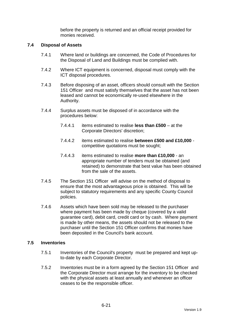before the property is returned and an official receipt provided for monies received.

### **7.4 Disposal of Assets**

- 7.4.1 Where land or buildings are concerned, the Code of Procedures for the Disposal of Land and Buildings must be complied with.
- 7.4.2 Where ICT equipment is concerned, disposal must comply with the ICT disposal procedures.
- 7.4.3 Before disposing of an asset, officers should consult with the Section 151 Officer and must satisfy themselves that the asset has not been leased and cannot be economically re-used elsewhere in the Authority.
- 7.4.4 Surplus assets must be disposed of in accordance with the procedures below:
	- 7.4.4.1 items estimated to realise **less than £500** at the Corporate Directors' discretion;
	- 7.4.4.2 items estimated to realise **between £500 and £10,000** competitive quotations must be sought;
	- 7.4.4.3 items estimated to realise **more than £10,000** an appropriate number of tenders must be obtained (and retained) to demonstrate that best value has been obtained from the sale of the assets.
- 7.4.5 The Section 151 Officer will advise on the method of disposal to ensure that the most advantageous price is obtained. This will be subject to statutory requirements and any specific County Council policies.
- 7.4.6 Assets which have been sold may be released to the purchaser where payment has been made by cheque (covered by a valid guarantee card), debit card, credit card or by cash. Where payment is made by other means, the assets should not be released to the purchaser until the Section 151 Officer confirms that monies have been deposited in the Council's bank account.

#### **7.5 Inventories**

- 7.5.1 Inventories of the Council's property must be prepared and kept upto-date by each Corporate Director.
- 7.5.2 Inventories must be in a form agreed by the Section 151 Officer and the Corporate Director must arrange for the inventory to be checked with the physical assets at least annually and whenever an officer ceases to be the responsible officer.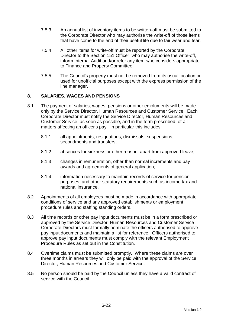- 7.5.3 An annual list of inventory items to be written-off must be submitted to the Corporate Director who may authorise the write-off of those items that have come to the end of their useful life due to fair wear and tear.
- 7.5.4 All other items for write-off must be reported by the Corporate Director to the Section 151 Officer who may authorise the write-off, inform Internal Audit and/or refer any item s/he considers appropriate to Finance and Property Committee.
- 7.5.5 The Council's property must not be removed from its usual location or used for unofficial purposes except with the express permission of the line manager.

# **8. SALARIES, WAGES AND PENSIONS**

- 8.1 The payment of salaries, wages, pensions or other emoluments will be made only by the Service Director, Human Resources and Customer Service. Each Corporate Director must notify the Service Director, Human Resources and Customer Service as soon as possible, and in the form prescribed, of all matters affecting an officer's pay. In particular this includes:
	- 8.1.1 all appointments, resignations, dismissals, suspensions, secondments and transfers;
	- 8.1.2 absences for sickness or other reason, apart from approved leave;
	- 8.1.3 changes in remuneration, other than normal increments and pay awards and agreements of general application;
	- 8.1.4 information necessary to maintain records of service for pension purposes, and other statutory requirements such as income tax and national insurance.
- 8.2 Appointments of all employees must be made in accordance with appropriate conditions of service and any approved establishments or employment procedure rules and staffing standing orders.
- 8.3 All time records or other pay input documents must be in a form prescribed or approved by the Service Director, Human Resources and Customer Service . Corporate Directors must formally nominate the officers authorised to approve pay input documents and maintain a list for reference. Officers authorised to approve pay input documents must comply with the relevant Employment Procedure Rules as set out in the Constitution.
- 8.4 Overtime claims must be submitted promptly. Where these claims are over three months in arrears they will only be paid with the approval of the Service Director, Human Resources and Customer Service.
- 8.5 No person should be paid by the Council unless they have a valid contract of service with the Council.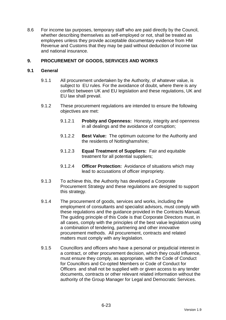8.6 For income tax purposes, temporary staff who are paid directly by the Council, whether describing themselves as self-employed or not, shall be treated as employees unless they provide acceptable documentary evidence from HM Revenue and Customs that they may be paid without deduction of income tax and national insurance.

# **9. PROCUREMENT OF GOODS, SERVICES AND WORKS**

### **9.1 General**

- 9.1.1 All procurement undertaken by the Authority, of whatever value, is subject to EU rules. For the avoidance of doubt, where there is any conflict between UK and EU legislation and these regulations, UK and EU law shall prevail.
- 9.1.2 These procurement regulations are intended to ensure the following objectives are met:
	- 9.1.2.1 **Probity and Openness:** Honesty, integrity and openness in all dealings and the avoidance of corruption;
	- 9.1.2.2 **Best Value:** The optimum outcome for the Authority and the residents of Nottinghamshire;
	- 9.1.2.3 **Equal Treatment of Suppliers:** Fair and equitable treatment for all potential suppliers;
	- 9.1.2.4 **Officer Protection:** Avoidance of situations which may lead to accusations of officer impropriety.
- 9.1.3 To achieve this, the Authority has developed a Corporate Procurement Strategy and these regulations are designed to support this strategy.
- 9.1.4 The procurement of goods, services and works, including the employment of consultants and specialist advisors, must comply with these regulations and the guidance provided in the Contracts Manual. The guiding principle of this Code is that Corporate Directors must, in all cases, comply with the principles of the best value legislation using a combination of tendering, partnering and other innovative procurement methods. All procurement, contracts and related matters must comply with any legislation.
- 9.1.5 Councillors and officers who have a personal or prejudicial interest in a contract, or other procurement decision, which they could influence, must ensure they comply, as appropriate, with the Code of Conduct for Councillors and Co-opted Members or Code of Conduct for Officers and shall not be supplied with or given access to any tender documents, contracts or other relevant related information without the authority of the Group Manager for Legal and Democratic Services.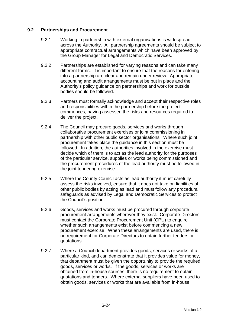### **9.2 Partnerships and Procurement**

- 9.2.1 Working in partnership with external organisations is widespread across the Authority. All partnership agreements should be subject to appropriate contractual arrangements which have been approved by the Group Manager for Legal and Democratic Services.
- 9.2.2 Partnerships are established for varying reasons and can take many different forms. It is important to ensure that the reasons for entering into a partnership are clear and remain under review. Appropriate accounting and audit arrangements must be put in place and the Authority's policy guidance on partnerships and work for outside bodies should be followed.
- 9.2.3 Partners must formally acknowledge and accept their respective roles and responsibilities within the partnership before the project commences, having assessed the risks and resources required to deliver the project.
- 9.2.4 The Council may procure goods, services and works through collaborative procurement exercises or joint commissioning in partnership with other public sector organisations. Where such joint procurement takes place the guidance in this section must be followed. In addition, the authorities involved in the exercise must decide which of them is to act as the lead authority for the purposes of the particular service, supplies or works being commissioned and the procurement procedures of the lead authority must be followed in the joint tendering exercise.
- 9.2.5 Where the County Council acts as lead authority it must carefully assess the risks involved, ensure that it does not take on liabilities of other public bodies by acting as lead and must follow any procedural safeguards as advised by Legal and Democratic Services to protect the Council's position.
- 9.2.6 Goods, services and works must be procured through corporate procurement arrangements wherever they exist. Corporate Directors must contact the Corporate Procurement Unit (CPU) to enquire whether such arrangements exist before commencing a new procurement exercise. When these arrangements are used, there is no requirement for Corporate Directors to obtain further tenders or quotations.
- 9.2.7 Where a Council department provides goods, services or works of a particular kind, and can demonstrate that it provides value for money, that department must be given the opportunity to provide the required goods, services or works. If the goods, services or works are obtained from in-house sources, there is no requirement to obtain quotations and tenders. Where external suppliers have been used to obtain goods, services or works that are available from in-house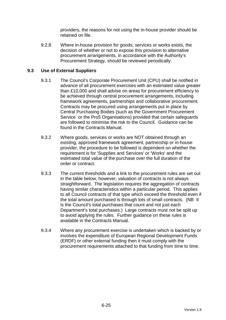providers, the reasons for not using the in-house provider should be retained on file.

9.2.8 Where in-house provision for goods, services or works exists, the decision of whether or not to expose this provision to alternative procurement arrangements, in accordance with the Authority's Procurement Strategy, should be reviewed periodically.

# **9.3 Use of External Suppliers**

- 9.3.1 The Council's Corporate Procurement Unit (CPU) shall be notified in advance of all procurement exercises with an estimated value greater than £10,000 and shall advise on areas for procurement efficiency to be achieved through central procurement arrangements, including framework agreements, partnerships and collaborative procurement. Contracts may be procured using arrangements put in place by Central Purchasing Bodies (such as the Government Procurement Service or the Pro5 Organisations) provided that certain safeguards are followed to minimise the risk to the Council. Guidance can be found in the Contracts Manual.
- 9.3.2 Where goods, services or works are NOT obtained through an existing, approved framework agreement, partnership or in-house provider, the procedure to be followed is dependent on whether the requirement is for 'Supplies and Services' or 'Works' and the estimated total value of the purchase over the full duration of the order or contract.
- 9.3.3 The current thresholds and a link to the procurement rules are set out in the table below, however, valuation of contracts is not always straightforward. The legislation requires the aggregation of contracts having similar characteristics within a particular period. This applies to all Council contracts of that type which exceed the threshold even if the total amount purchased is through lots of small contracts. (NB It is the Council's total purchases that count and not just each Department's total purchases.) Large contracts must not be split up to avoid applying the rules. Further guidance on these rules is available in the Contracts Manual.
- 9.3.4 Where any procurement exercise is undertaken which is backed by or involves the expenditure of European Regional Development Funds (ERDF) or other external funding then it must comply with the procurement requirements attached to that funding from time to time.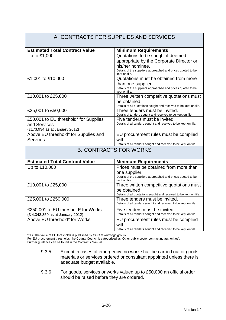#### A. CONTRACTS FOR SUPPLIES AND SERVICES **Estimated Total Contract Value Minimum Requirements** Up to £1,000  $\vert$  Quotations to be sought if deemed appropriate by the Corporate Director or his/her nominee. Details of the suppliers approached and prices quoted to be kept on file. £1,001 to £10,000 Quotations must be obtained from more than one supplier. Details of the suppliers approached and prices quoted to be kept on file. £10,001 to £25,000 Three written competitive quotations must be obtained. Details of all quotations sought and received to be kept on file. £25,001 to £50,000 Three tenders must be invited. Details of tenders sought and received to be kept on file. £50,001 to EU threshold\* for Supplies and Services (£173,934 as at January 2012) Five tenders must be invited. Details of all tenders sought and received to be kept on file. Above EU threshold\* for Supplies and **Services** EU procurement rules must be complied with. Details of all tenders sought and received to be kept on file. B. CONTRACTS FOR WORKS **Estimated Total Contract Value | Minimum Requirements** Up to £10,000 Prices must be obtained from more than one supplier. Details of the suppliers approached and prices quoted to be kept on file. £10,001 to £25,000 Three written competitive quotations must be obtained. Details of all quotations sought and received to be kept on file. £25,001 to £250,000 Three tenders must be invited. Details of all tenders sought and received to be kept on file. £250,001 to EU threshold\* for Works (£ 4,348,350 as at January 2012) Five tenders must be invited. Details of all tenders sought and received to be kept on file. Above EU threshold\* for Works **EU** procurement rules must be complied with. Details of all tenders sought and received to be kept on file.

\*NB The value of EU thresholds is published by OGC at www.ogc.gov.uk

For EU procurement thresholds, the County Council is categorised as 'Other public sector contracting authorities'.

Further guidance can be found in the Contracts Manual.

- 9.3.5 Except in cases of emergency, no work shall be carried out or goods, materials or services ordered or consultant appointed unless there is adequate budget available.
- 9.3.6 For goods, services or works valued up to £50,000 an official order should be raised before they are ordered.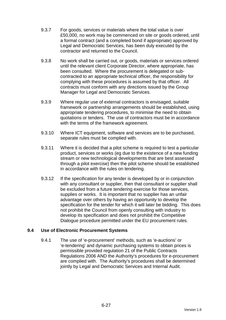- 9.3.7 For goods, services or materials where the total value is over £50,000, no work may be commenced on site or goods ordered, until a formal contract (and a completed bond if appropriate) approved by Legal and Democratic Services, has been duly executed by the contractor and returned to the Council.
- 9.3.8 No work shall be carried out, or goods, materials or services ordered until the relevant client Corporate Director, where appropriate, has been consulted. Where the procurement is delegated or subcontracted to an appropriate technical officer, the responsibility for complying with these procedures is assumed by that officer. All contracts must conform with any directions issued by the Group Manager for Legal and Democratic Services.
- 9.3.9 Where regular use of external contractors is envisaged, suitable framework or partnership arrangements should be established, using appropriate tendering procedures, to minimise the need to obtain quotations or tenders. The use of contractors must be in accordance with the terms of the framework agreement.
- 9.3.10 Where ICT equipment, software and services are to be purchased, separate rules must be complied with.
- 9.3.11 Where it is decided that a pilot scheme is required to test a particular product, services or works (eg due to the existence of a new funding stream or new technological developments that are best assessed through a pilot exercise) then the pilot scheme should be established in accordance with the rules on tendering.
- 9.3.12 If the specification for any tender is developed by or in conjunction with any consultant or supplier, then that consultant or supplier shall be excluded from a future tendering exercise for those services, supplies or works. It is important that no supplier has an unfair advantage over others by having an opportunity to develop the specification for the tender for which it will later be bidding. This does not prohibit the Council from openly consulting with industry to develop its specification and does not prohibit the Competitive Dialogue procedure permitted under the EU procurement rules.

### **9.4 Use of Electronic Procurement Systems**

9.4.1 The use of 'e-procurement' methods, such as 'e-auctions' or 'e-tendering' and dynamic purchasing systems to obtain prices is permissible provided regulation 21 of the Public Contracts Regulations 2006 AND the Authority's procedures for e-procurement are complied with. The Authority's procedures shall be determined jointly by Legal and Democratic Services and Internal Audit.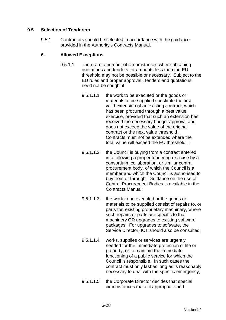# **9.5 Selection of Tenderers**

9.5.1 Contractors should be selected in accordance with the guidance provided in the Authority's Contracts Manual.

### **6. Allowed Exceptions**

- 9.5.1.1 There are a number of circumstances where obtaining quotations and tenders for amounts less than the EU threshold may not be possible or necessary. Subject to the EU rules and proper approval , tenders and quotations need not be sought if:
	- 9.5.1.1.1 the work to be executed or the goods or materials to be supplied constitute the first valid extension of an existing contract, which has been procured through a best value exercise, provided that such an extension has received the necessary budget approval and does not exceed the value of the original contract or the next value threshold . Contracts must not be extended where the total value will exceed the EU threshold. ;
	- 9.5.1.1.2 the Council is buying from a contract entered into following a proper tendering exercise by a consortium, collaboration, or similar central procurement body, of which the Council is a member and which the Council is authorised to buy from or through. Guidance on the use of Central Procurement Bodies is available in the Contracts Manual;
	- 9.5.1.1.3 the work to be executed or the goods or materials to be supplied consist of repairs to, or parts for, existing proprietary machinery, where such repairs or parts are specific to that machinery OR upgrades to existing software packages. For upgrades to software, the Service Director, ICT should also be consulted;
	- 9.5.1.1.4 works, supplies or services are urgently needed for the immediate protection of life or property, or to maintain the immediate functioning of a public service for which the Council is responsible. In such cases the contract must only last as long as is reasonably necessary to deal with the specific emergency;
	- 9.5.1.1.5 the Corporate Director decides that special circumstances make it appropriate and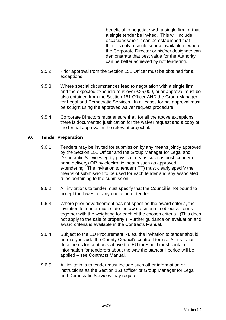beneficial to negotiate with a single firm or that a single tender be invited. This will include occasions when it can be established that there is only a single source available or where the Corporate Director or his/her designate can demonstrate that best value for the Authority can be better achieved by not tendering.

- 9.5.2 Prior approval from the Section 151 Officer must be obtained for all exceptions.
- 9.5.3 Where special circumstances lead to negotiation with a single firm and the expected expenditure is over £25,000, prior approval must be also obtained from the Section 151 Officer AND the Group Manager for Legal and Democratic Services. In all cases formal approval must be sought using the approved waiver request procedure.
- 9.5.4 Corporate Directors must ensure that, for all the above exceptions, there is documented justification for the waiver request and a copy of the formal approval in the relevant project file.

### **9.6 Tender Preparation**

- 9.6.1 Tenders may be invited for submission by any means jointly approved by the Section 151 Officer and the Group Manager for Legal and Democratic Services eg by physical means such as post, courier or hand delivery) OR by electronic means such as approved e-tendering. The invitation to tender (ITT) must clearly specify the means of submission to be used for each tender and any associated rules pertaining to the submission.
- 9.6.2 All invitations to tender must specify that the Council is not bound to accept the lowest or any quotation or tender.
- 9.6.3 Where prior advertisement has not specified the award criteria, the invitation to tender must state the award criteria in objective terms together with the weighting for each of the chosen criteria. (This does not apply to the sale of property.) Further guidance on evaluation and award criteria is available in the Contracts Manual.
- 9.6.4 Subject to the EU Procurement Rules, the invitation to tender should normally include the County Council's contract terms. All invitation documents for contracts above the EU threshold must contain information for tenderers about the way the standstill period will be applied – see Contracts Manual.
- 9.6.5 All invitations to tender must include such other information or instructions as the Section 151 Officer or Group Manager for Legal and Democratic Services may require.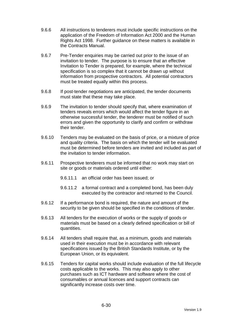- 9.6.6 All instructions to tenderers must include specific instructions on the application of the Freedom of Information Act 2000 and the Human Rights Act 1998. Further guidance on these matters is available in the Contracts Manual.
- 9.6.7 Pre-Tender enquiries may be carried out prior to the issue of an invitation to tender. The purpose is to ensure that an effective Invitation to Tender is prepared, for example, where the technical specification is so complex that it cannot be drawn up without information from prospective contractors. All potential contractors must be treated equally within this process.
- 9.6.8 If post-tender negotiations are anticipated, the tender documents must state that these may take place.
- 9.6.9 The invitation to tender should specify that, where examination of tenders reveals errors which would affect the tender figure in an otherwise successful tender, the tenderer must be notified of such errors and given the opportunity to clarify and confirm or withdraw their tender.
- 9.6.10 Tenders may be evaluated on the basis of price, or a mixture of price and quality criteria. The basis on which the tender will be evaluated must be determined before tenders are invited and included as part of the invitation to tender information.
- 9.6.11 Prospective tenderers must be informed that no work may start on site or goods or materials ordered until either:
	- 9.6.11.1 an official order has been issued; or
	- 9.6.11.2 a formal contract and a completed bond, has been duly executed by the contractor and returned to the Council.
- 9.6.12 If a performance bond is required, the nature and amount of the security to be given should be specified in the conditions of tender.
- 9.6.13 All tenders for the execution of works or the supply of goods or materials must be based on a clearly defined specification or bill of quantities.
- 9.6.14 All tenders shall require that, as a minimum, goods and materials used in their execution must be in accordance with relevant specifications issued by the British Standards Institute, or by the European Union, or its equivalent.
- 9.6.15 Tenders for capital works should include evaluation of the full lifecycle costs applicable to the works. This may also apply to other purchases such as ICT hardware and software where the cost of consumables or annual licences and support contracts can significantly increase costs over time.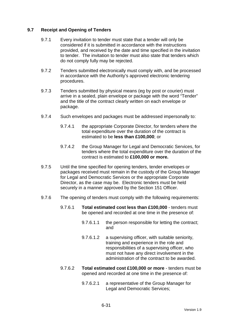# **9.7 Receipt and Opening of Tenders**

- 9.7.1 Every invitation to tender must state that a tender will only be considered if it is submitted in accordance with the instructions provided, and received by the date and time specified in the invitation to tender. The invitation to tender must also state that tenders which do not comply fully may be rejected.
- 9.7.2 Tenders submitted electronically must comply with, and be processed in accordance with the Authority's approved electronic tendering procedures.
- 9.7.3 Tenders submitted by physical means (eg by post or courier) must arrive in a sealed, plain envelope or package with the word "Tender" and the title of the contract clearly written on each envelope or package.
- 9.7.4 Such envelopes and packages must be addressed impersonally to:
	- 9.7.4.1 the appropriate Corporate Director, for tenders where the total expenditure over the duration of the contract is estimated to be **less than £100,000**; or
	- 9.7.4.2 the Group Manager for Legal and Democratic Services, for tenders where the total expenditure over the duration of the contract is estimated to **£100,000 or more.**
- 9.7.5 Until the time specified for opening tenders, tender envelopes or packages received must remain in the custody of the Group Manager for Legal and Democratic Services or the appropriate Corporate Director, as the case may be. Electronic tenders must be held securely in a manner approved by the Section 151 Officer.
- 9.7.6 The opening of tenders must comply with the following requirements:
	- 9.7.6.1 **Total estimated cost less than £100,000** tenders must be opened and recorded at one time in the presence of:
		- 9.7.6.1.1 the person responsible for letting the contract; and
		- 9.7.6.1.2 a supervising officer, with suitable seniority, training and experience in the role and responsibilities of a supervising officer, who must not have any direct involvement in the administration of the contract to be awarded.
	- 9.7.6.2 **Total estimated cost £100,000 or more** tenders must be opened and recorded at one time in the presence of:
		- 9.7.6.2.1 a representative of the Group Manager for Legal and Democratic Services;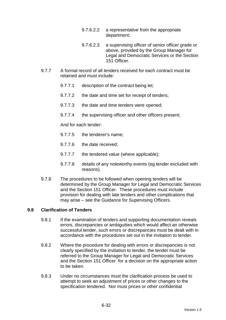- 9.7.6.2.2 a representative from the appropriate department;
- 9.7.6.2.3 a supervising officer of senior officer grade or above, provided by the Group Manager for Legal and Democratic Services or the Section 151 Officer.
- 9.7.7 A formal record of all tenders received for each contract must be retained and must include:
	- 9.7.7.1 description of the contract being let;
	- 9.7.7.2 the date and time set for receipt of tenders;
	- 9.7.7.3 the date and time tenders were opened;
	- 9.7.7.4 the supervising officer and other officers present;

And for each tender:

- 9.7.7.5 the tenderer's name;
- 9.7.7.6 the date received;
- 9.7.7.7 the tendered value (where applicable);
- 9.7.7.8 details of any noteworthy events (eg tender excluded with reasons).
- 9.7.8 The procedures to be followed when opening tenders will be determined by the Group Manager for Legal and Democratic Services and the Section 151 Officer. These procedures must include provision for dealing with late tenders and other complications that may arise – see the Guidance for Supervising Officers.

### **9.8 Clarification of Tenders**

- 9.8.1 If the examination of tenders and supporting documentation reveals errors, discrepancies or ambiguities which would affect an otherwise successful tender, such errors or discrepancies must be dealt with in accordance with the procedures set out in the invitation to tender.
- 9.8.2 Where the procedure for dealing with errors or discrepancies is not clearly specified by the invitation to tender, the tender must be referred to the Group Manager for Legal and Democratic Services and the Section 151 Officer for a decision on the appropriate action to be taken.
- 9.8.3 Under no circumstances must the clarification process be used to attempt to seek an adjustment of prices or other changes to the specification tendered. Nor must prices or other confidential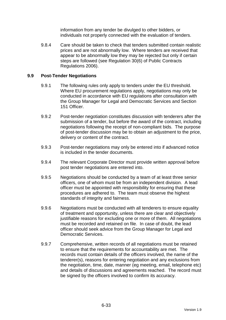information from any tender be divulged to other bidders, or individuals not properly connected with the evaluation of tenders.

9.8.4 Care should be taken to check that tenders submitted contain realistic prices and are not abnormally low. Where tenders are received that appear to be abnormally low they may be rejected but only if certain steps are followed (see Regulation 30(6) of Public Contracts Regulations 2006).

### **9.9 Post-Tender Negotiations**

- 9.9.1 The following rules only apply to tenders under the EU threshold. Where EU procurement regulations apply, negotiations may only be conducted in accordance with EU regulations after consultation with the Group Manager for Legal and Democratic Services and Section 151 Officer.
- 9.9.2 Post-tender negotiation constitutes discussion with tenderers after the submission of a tender, but before the award of the contract, including negotiations following the receipt of non-compliant bids. The purpose of post-tender discussion may be to obtain an adjustment to the price, delivery or content of the contract.
- 9.9.3 Post-tender negotiations may only be entered into if advanced notice is included in the tender documents.
- 9.9.4 The relevant Corporate Director must provide written approval before post tender negotiations are entered into.
- 9.9.5 Negotiations should be conducted by a team of at least three senior officers, one of whom must be from an independent division. A lead officer must be appointed with responsibility for ensuring that these procedures are adhered to. The team must observe the highest standards of integrity and fairness.
- 9.9.6 Negotiations must be conducted with all tenderers to ensure equality of treatment and opportunity, unless there are clear and objectively justifiable reasons for excluding one or more of them. All negotiations must be recorded and retained on file. In case of doubt, the lead officer should seek advice from the Group Manager for Legal and Democratic Services.
- 9.9.7 Comprehensive, written records of all negotiations must be retained to ensure that the requirements for accountability are met. The records must contain details of the officers involved, the name of the tenderer(s), reasons for entering negotiation and any exclusions from the negotiation, time, date, manner (eg meeting, email, telephone etc) and details of discussions and agreements reached. The record must be signed by the officers involved to confirm its accuracy.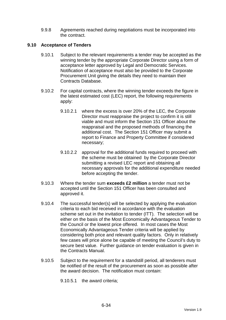9.9.8 Agreements reached during negotiations must be incorporated into the contract.

# **9.10 Acceptance of Tenders**

- 9.10.1 Subject to the relevant requirements a tender may be accepted as the winning tender by the appropriate Corporate Director using a form of acceptance letter approved by Legal and Democratic Services. Notification of acceptance must also be provided to the Corporate Procurement Unit giving the details they need to maintain their Contracts Database.
- 9.10.2 For capital contracts, where the winning tender exceeds the figure in the latest estimated cost (LEC) report, the following requirements apply:
	- 9.10.2.1 where the excess is over 20% of the LEC, the Corporate Director must reappraise the project to confirm it is still viable and must inform the Section 151 Officer about the reappraisal and the proposed methods of financing the additional cost. The Section 151 Officer may submit a report to Finance and Property Committee if considered necessary;
	- 9.10.2.2 approval for the additional funds required to proceed with the scheme must be obtained by the Corporate Director submitting a revised LEC report and obtaining all necessary approvals for the additional expenditure needed before accepting the tender.
- 9.10.3 Where the tender sum **exceeds £2 million** a tender must not be accepted until the Section 151 Officer has been consulted and approved it.
- 9.10.4 The successful tender(s) will be selected by applying the evaluation criteria to each bid received in accordance with the evaluation scheme set out in the invitation to tender (ITT). The selection will be either on the basis of the Most Economically Advantageous Tender to the Council or the lowest price offered. In most cases the Most Economically Advantageous Tender criteria will be applied by considering both price and relevant quality factors. Only in relatively few cases will price alone be capable of meeting the Council's duty to secure best value. Further guidance on tender evaluation is given in the Contracts Manual.
- 9.10.5 Subject to the requirement for a standstill period, all tenderers must be notified of the result of the procurement as soon as possible after the award decision. The notification must contain:

9.10.5.1 the award criteria;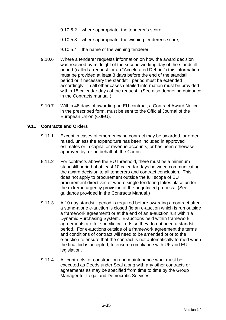- 9.10.5.2 where appropriate, the tenderer's score;
- 9.10.5.3 where appropriate, the winning tenderer's score;
- 9.10.5.4 the name of the winning tenderer.
- 9.10.6 Where a tenderer requests information on how the award decision was reached by midnight of the second working day of the standstill period (called a request for an "Accelerated Debrief") this information must be provided at least 3 days before the end of the standstill period or if necessary the standstill period must be extended accordingly. In all other cases detailed information must be provided within 15 calendar days of the request. (See also debriefing guidance in the Contracts manual.)
- 9.10.7 Within 48 days of awarding an EU contract, a Contract Award Notice, in the prescribed form, must be sent to the Official Journal of the European Union (OJEU).

#### **9.11 Contracts and Orders**

- 9.11.1 Except in cases of emergency no contract may be awarded, or order raised, unless the expenditure has been included in approved estimates or in capital or revenue accounts, or has been otherwise approved by, or on behalf of, the Council.
- 9.11.2 For contracts above the EU threshold, there must be a minimum standstill period of at least 10 calendar days between communicating the award decision to all tenderers and contract conclusion. This does not apply to procurement outside the full scope of EU procurement directives or where single tendering takes place under the extreme urgency provision of the negotiated process. (See guidance provided in the Contracts Manual.)
- 9.11.3 A 10 day standstill period is required before awarding a contract after a stand-alone e-auction is closed (ie an e-auction which is run outside a framework agreement) or at the end of an e-auction run within a Dynamic Purchasing System. E-auctions held within framework agreements are for specific call-offs so they do not need a standstill period. For e-auctions outside of a framework agreement the terms and conditions of contract will need to be amended prior to the e-auction to ensure that the contract is not automatically formed when the final bid is accepted, to ensure compliance with UK and EU legislation.
- 9.11.4 All contracts for construction and maintenance work must be executed as Deeds under Seal along with any other contracts or agreements as may be specified from time to time by the Group Manager for Legal and Democratic Services.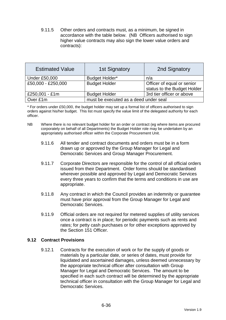9.11.5 Other orders and contracts must, as a minimum, be signed in accordance with the table below. (NB Officers authorised to sign higher value contracts may also sign the lower value orders and contracts):

| <b>Estimated Value</b> | <b>1st Signatory</b>                  | 2nd Signatory               |  |
|------------------------|---------------------------------------|-----------------------------|--|
| <b>Under £50,000</b>   | Budget Holder*                        | n/a                         |  |
| £50,000 - £250,000     | <b>Budget Holder</b>                  | Officer of equal or senior  |  |
|                        |                                       | status to the Budget Holder |  |
| £250,001 - £1m         | <b>Budget Holder</b>                  | 3rd tier officer or above   |  |
| Over £1m               | must be executed as a deed under seal |                             |  |

\* For orders under £50,000, the budget holder may set up a formal list of officers authorised to sign orders against his/her budget. This list must specify the value limit of the delegated authority for each officer.

- NB Where there is no relevant budget holder for an order or contract (eg where items are procured corporately on behalf of all Departments) the Budget Holder role may be undertaken by an appropriately authorised officer within the Corporate Procurement Unit.
	- 9.11.6 All tender and contract documents and orders must be in a form drawn up or approved by the Group Manager for Legal and Democratic Services and Group Manager Procurement.
	- 9.11.7 Corporate Directors are responsible for the control of all official orders issued from their Department. Order forms should be standardised wherever possible and approved by Legal and Democratic Services every three years to confirm that the terms and conditions in use are appropriate.
	- 9.11.8 Any contract in which the Council provides an indemnity or guarantee must have prior approval from the Group Manager for Legal and Democratic Services.
	- 9.11.9 Official orders are not required for metered supplies of utility services once a contract is in place; for periodic payments such as rents and rates; for petty cash purchases or for other exceptions approved by the Section 151 Officer.

### **9.12 Contract Provisions**

9.12.1 Contracts for the execution of work or for the supply of goods or materials by a particular date, or series of dates, must provide for liquidated and ascertained damages, unless deemed unnecessary by the appropriate technical officer after consultation with Group Manager for Legal and Democratic Services. The amount to be specified in each such contract will be determined by the appropriate technical officer in consultation with the Group Manager for Legal and Democratic Services.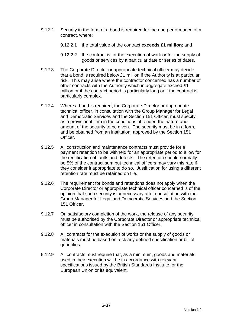- 9.12.2 Security in the form of a bond is required for the due performance of a contract, where:
	- 9.12.2.1 the total value of the contract **exceeds £1 million**; and
	- 9.12.2.2 the contract is for the execution of work or for the supply of goods or services by a particular date or series of dates.
- 9.12.3 The Corporate Director or appropriate technical officer may decide that a bond is required below £1 million if the Authority is at particular risk. This may arise where the contractor concerned has a number of other contracts with the Authority which in aggregate exceed £1 million or if the contract period is particularly long or if the contract is particularly complex.
- 9.12.4 Where a bond is required, the Corporate Director or appropriate technical officer, in consultation with the Group Manager for Legal and Democratic Services and the Section 151 Officer, must specify, as a provisional item in the conditions of tender, the nature and amount of the security to be given. The security must be in a form, and be obtained from an institution, approved by the Section 151 Officer.
- 9.12.5 All construction and maintenance contracts must provide for a payment retention to be withheld for an appropriate period to allow for the rectification of faults and defects. The retention should normally be 5% of the contract sum but technical officers may vary this rate if they consider it appropriate to do so. Justification for using a different retention rate must be retained on file.
- 9.12.6 The requirement for bonds and retentions does not apply when the Corporate Director or appropriate technical officer concerned is of the opinion that such security is unnecessary after consultation with the Group Manager for Legal and Democratic Services and the Section 151 Officer.
- 9.12.7 On satisfactory completion of the work, the release of any security must be authorised by the Corporate Director or appropriate technical officer in consultation with the Section 151 Officer.
- 9.12.8 All contracts for the execution of works or the supply of goods or materials must be based on a clearly defined specification or bill of quantities.
- 9.12.9 All contracts must require that, as a minimum, goods and materials used in their execution will be in accordance with relevant specifications issued by the British Standards Institute, or the European Union or its equivalent.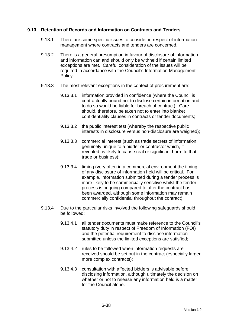## **9.13 Retention of Records and Information on Contracts and Tenders**

- 9.13.1 There are some specific issues to consider in respect of information management where contracts and tenders are concerned.
- 9.13.2 There is a general presumption in favour of disclosure of information and information can and should only be withheld if certain limited exceptions are met. Careful consideration of the issues will be required in accordance with the Council's Information Management Policy.
- 9.13.3 The most relevant exceptions in the context of procurement are:
	- 9.13.3.1 information provided in confidence (where the Council is contractually bound not to disclose certain information and to do so would be liable for breach of contract). Care should, therefore, be taken not to enter into blanket confidentiality clauses in contracts or tender documents;
	- 9.13.3.2 the public interest test (whereby the respective public interests in disclosure versus non-disclosure are weighed);
	- 9.13.3.3 commercial interest (such as trade secrets of information genuinely unique to a bidder or contractor which, if revealed, is likely to cause real or significant harm to that trade or business);
	- 9.13.3.4 timing (very often in a commercial environment the timing of any disclosure of information held will be critical. For example, information submitted during a tender process is more likely to be commercially sensitive whilst the tender process is ongoing compared to after the contract has been awarded, although some information may remain commercially confidential throughout the contract).
- 9.13.4 Due to the particular risks involved the following safeguards should be followed:
	- 9.13.4.1 all tender documents must make reference to the Council's statutory duty in respect of Freedom of Information (FOI) and the potential requirement to disclose information submitted unless the limited exceptions are satisfied;
	- 9.13.4.2 rules to be followed when information requests are received should be set out in the contract (especially larger more complex contracts);
	- 9.13.4.3 consultation with affected bidders is advisable before disclosing information, although ultimately the decision on whether or not to release any information held is a matter for the Council alone.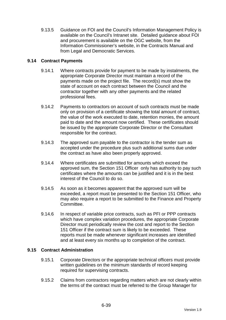9.13.5 Guidance on FOI and the Council's Information Management Policy is available on the Council's Intranet site. Detailed guidance about FOI and procurement is available on the OGC website, from the Information Commissioner's website, in the Contracts Manual and from Legal and Democratic Services.

# **9.14 Contract Payments**

- 9.14.1 Where contracts provide for payment to be made by instalments, the appropriate Corporate Director must maintain a record of the payments made on the project file. The record(s) must show the state of account on each contract between the Council and the contractor together with any other payments and the related professional fees.
- 9.14.2 Payments to contractors on account of such contracts must be made only on provision of a certificate showing the total amount of contract, the value of the work executed to date, retention monies, the amount paid to date and the amount now certified. These certificates should be issued by the appropriate Corporate Director or the Consultant responsible for the contract.
- 9.14.3 The approved sum payable to the contractor is the tender sum as accepted under the procedure plus such additional sums due under the contract as have also been properly approved.
- 9.14.4 Where certificates are submitted for amounts which exceed the approved sum, the Section 151 Officer only has authority to pay such certificates where the amounts can be justified and it is in the best interest of the Council to do so.
- 9.14.5 As soon as it becomes apparent that the approved sum will be exceeded, a report must be presented to the Section 151 Officer, who may also require a report to be submitted to the Finance and Property Committee.
- 9.14.6 In respect of variable price contracts, such as PFI or PPP contracts which have complex variation procedures, the appropriate Corporate Director must periodically review the cost and report to the Section 151 Officer if the contract sum is likely to be exceeded. These reports must be made whenever significant increases are identified and at least every six months up to completion of the contract.

## **9.15 Contract Administration**

- 9.15.1 Corporate Directors or the appropriate technical officers must provide written guidelines on the minimum standards of record keeping required for supervising contracts.
- 9.15.2 Claims from contractors regarding matters which are not clearly within the terms of the contract must be referred to the Group Manager for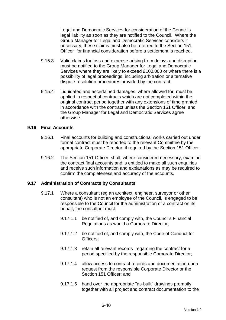Legal and Democratic Services for consideration of the Council's legal liability as soon as they are notified to the Council. Where the Group Manager for Legal and Democratic Services considers it necessary, these claims must also be referred to the Section 151 Officer for financial consideration before a settlement is reached.

- 9.15.3 Valid claims for loss and expense arising from delays and disruption must be notified to the Group Manager for Legal and Democratic Services where they are likely to exceed £100,000 or where there is a possibility of legal proceedings, including arbitration or alternative dispute resolution procedures provided by the contract.
- 9.15.4 Liquidated and ascertained damages, where allowed for, must be applied in respect of contracts which are not completed within the original contract period together with any extensions of time granted in accordance with the contract unless the Section 151 Officer and the Group Manager for Legal and Democratic Services agree otherwise.

#### **9.16 Final Accounts**

- 9.16.1 Final accounts for building and constructional works carried out under formal contract must be reported to the relevant Committee by the appropriate Corporate Director, if required by the Section 151 Officer.
- 9.16.2 The Section 151 Officer shall, where considered necessary, examine the contract final accounts and is entitled to make all such enquiries and receive such information and explanations as may be required to confirm the completeness and accuracy of the accounts.

## **9.17 Administration of Contracts by Consultants**

- 9.17.1 Where a consultant (eg an architect, engineer, surveyor or other consultant) who is not an employee of the Council, is engaged to be responsible to the Council for the administration of a contract on its behalf, the consultant must:
	- 9.17.1.1 be notified of, and comply with, the Council's Financial Regulations as would a Corporate Director;
	- 9.17.1.2 be notified of, and comply with, the Code of Conduct for Officers;
	- 9.17.1.3 retain all relevant records regarding the contract for a period specified by the responsible Corporate Director;
	- 9.17.1.4 allow access to contract records and documentation upon request from the responsible Corporate Director or the Section 151 Officer: and
	- 9.17.1.5 hand over the appropriate "as-built" drawings promptly together with all project and contract documentation to the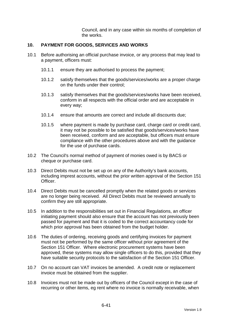Council, and in any case within six months of completion of the works.

## **10. PAYMENT FOR GOODS, SERVICES AND WORKS**

- 10.1 Before authorising an official purchase invoice, or any process that may lead to a payment, officers must:
	- 10.1.1 ensure they are authorised to process the payment;
	- 10.1.2 satisfy themselves that the goods/services/works are a proper charge on the funds under their control;
	- 10.1.3 satisfy themselves that the goods/services/works have been received, conform in all respects with the official order and are acceptable in every way;
	- 10.1.4 ensure that amounts are correct and include all discounts due;
	- 10.1.5 where payment is made by purchase card, charge card or credit card, it may not be possible to be satisfied that goods/services/works have been received, conform and are acceptable, but officers must ensure compliance with the other procedures above and with the guidance for the use of purchase cards.
- 10.2 The Council's normal method of payment of monies owed is by BACS or cheque or purchase card.
- 10.3 Direct Debits must not be set up on any of the Authority's bank accounts, including imprest accounts, without the prior written approval of the Section 151 Officer.
- 10.4 Direct Debits must be cancelled promptly when the related goods or services are no longer being received. All Direct Debits must be reviewed annually to confirm they are still appropriate.
- 10.5 In addition to the responsibilities set out in Financial Regulations, an officer initiating payment should also ensure that the account has not previously been passed for payment and that it is coded to the correct accountancy code for which prior approval has been obtained from the budget holder.
- 10.6 The duties of ordering, receiving goods and certifying invoices for payment must not be performed by the same officer without prior agreement of the Section 151 Officer. Where electronic procurement systems have been approved, these systems may allow single officers to do this, provided that they have suitable security protocols to the satisfaction of the Section 151 Officer.
- 10.7 On no account can VAT invoices be amended. A credit note or replacement invoice must be obtained from the supplier.
- 10.8 Invoices must not be made out by officers of the Council except in the case of recurring or other items, eg rent where no invoice is normally receivable, when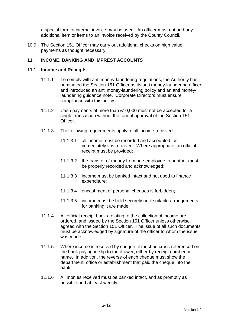a special form of internal invoice may be used. An officer must not add any additional item or items to an invoice received by the County Council.

10.9 The Section 151 Officer may carry out additional checks on high value payments as thought necessary.

# **11. INCOME, BANKING AND IMPREST ACCOUNTS**

#### **11.1 Income and Receipts**

- 11.1.1 To comply with anti money-laundering regulations, the Authority has nominated the Section 151 Officer as its anti money-laundering officer and introduced an anti money-laundering policy and an anti moneylaundering guidance note. Corporate Directors must ensure compliance with this policy.
- 11.1.2 Cash payments of more than £10,000 must not be accepted for a single transaction without the formal approval of the Section 151 Officer.
- 11.1.3 The following requirements apply to all income received:
	- 11.1.3.1 all income must be recorded and accounted for immediately it is received. Where appropriate, an official receipt must be provided;
	- 11.1.3.2 the transfer of money from one employee to another must be properly recorded and acknowledged;
	- 11.1.3.3 income must be banked intact and not used to finance expenditure;
	- 11.1.3.4 encashment of personal cheques is forbidden;
	- 11.1.3.5 income must be held securely until suitable arrangements for banking it are made.
- 11.1.4 All official receipt books relating to the collection of income are ordered, and issued by the Section 151 Officer unless otherwise agreed with the Section 151 Officer. The issue of all such documents must be acknowledged by signature of the officer to whom the issue was made.
- 11.1.5 Where income is received by cheque, it must be cross-referenced on the bank paying-in slip to the drawer, either by receipt number or name. In addition, the reverse of each cheque must show the department, office or establishment that paid the cheque into the bank.
- 11.1.6 All monies received must be banked intact, and as promptly as possible and at least weekly.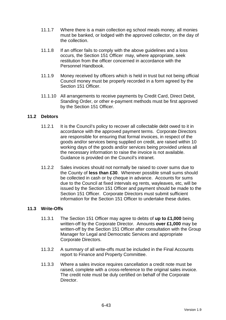- 11.1.7 Where there is a main collection eg school meals money, all monies must be banked, or lodged with the approved collector, on the day of the collection.
- 11.1.8 If an officer fails to comply with the above guidelines and a loss occurs, the Section 151 Officer may, where appropriate, seek restitution from the officer concerned in accordance with the Personnel Handbook.
- 11.1.9 Money received by officers which is held in trust but not being official Council money must be properly recorded in a form agreed by the Section 151 Officer
- 11.1.10 All arrangements to receive payments by Credit Card, Direct Debit, Standing Order, or other e-payment methods must be first approved by the Section 151 Officer.

# **11.2 Debtors**

- 11.2.1 It is the Council's policy to recover all collectable debt owed to it in accordance with the approved payment terms. Corporate Directors are responsible for ensuring that formal invoices, in respect of the goods and/or services being supplied on credit, are raised within 10 working days of the goods and/or services being provided unless all the necessary information to raise the invoice is not available. Guidance is provided on the Council's intranet.
- 11.2.2 Sales invoices should not normally be raised to cover sums due to the County of **less than £30**. Wherever possible small sums should be collected in cash or by cheque in advance. Accounts for sums due to the Council at fixed intervals eg rents, wayleaves, etc, will be issued by the Section 151 Officer and payment should be made to the Section 151 Officer. Corporate Directors must submit sufficient information for the Section 151 Officer to undertake these duties.

## **11.3 Write-Offs**

- 11.3.1 The Section 151 Officer may agree to debts of **up to £1,000** being written-off by the Corporate Director. Amounts **over £1,000** may be written-off by the Section 151 Officer after consultation with the Group Manager for Legal and Democratic Services and appropriate Corporate Directors.
- 11.3.2 A summary of all write-offs must be included in the Final Accounts report to Finance and Property Committee.
- 11.3.3 Where a sales invoice requires cancellation a credit note must be raised, complete with a cross-reference to the original sales invoice. The credit note must be duly certified on behalf of the Corporate Director.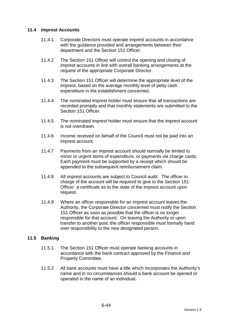## **11.4 Imprest Accounts**

- 11.4.1 Corporate Directors must operate imprest accounts in accordance with the guidance provided and arrangements between their department and the Section 151 Officer.
- 11.4.2 The Section 151 Officer will control the opening and closing of imprest accounts in line with overall banking arrangements at the request of the appropriate Corporate Director.
- 11.4.3 The Section 151 Officer will determine the appropriate level of the Imprest, based on the average monthly level of petty cash expenditure in the establishment concerned.
- 11.4.4 The nominated imprest holder must ensure that all transactions are recorded promptly and that monthly statements are submitted to the Section 151 Officer.
- 11.4.5 The nominated imprest holder must ensure that the imprest account is not overdrawn.
- 11.4.6 Income received on behalf of the Council must not be paid into an imprest account.
- 11.4.7 Payments from an imprest account should normally be limited to minor or urgent items of expenditure, or payments via charge cards. Each payment must be supported by a receipt which should be appended to the subsequent reimbursement claim.
- 11.4.8 All imprest accounts are subject to Council audit. The officer in charge of the account will be required to give to the Section 151 Officer a certificate as to the state of the imprest account upon request.
- 11.4.9 Where an officer responsible for an imprest account leaves the Authority, the Corporate Director concerned must notify the Section 151 Officer as soon as possible that the officer is no longer responsible for that account. On leaving the Authority or upon transfer to another post, the officer responsible must formally hand over responsibility to the new designated person.

## **11.5 Banking**

- 11.5.1 The Section 151 Officer must operate banking accounts in accordance with the bank contract approved by the Finance and Property Committee.
- 11.5.2 All bank accounts must have a title which incorporates the Authority's name and in no circumstances should a bank account be opened or operated in the name of an individual.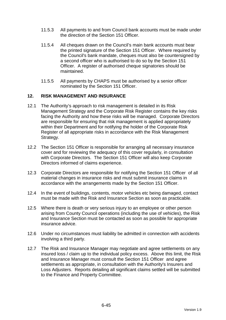- 11.5.3 All payments to and from Council bank accounts must be made under the direction of the Section 151 Officer.
- 11.5.4 All cheques drawn on the Council's main bank accounts must bear the printed signature of the Section 151 Officer. Where required by the Council's bank mandate, cheques must also be countersigned by a second officer who is authorised to do so by the Section 151 Officer. A register of authorised cheque signatories should be maintained.
- 11.5.5 All payments by CHAPS must be authorised by a senior officer nominated by the Section 151 Officer.

# **12. RISK MANAGEMENT AND INSURANCE**

- 12.1 The Authority's approach to risk management is detailed in its Risk Management Strategy and the Corporate Risk Register contains the key risks facing the Authority and how these risks will be managed. Corporate Directors are responsible for ensuring that risk management is applied appropriately within their Department and for notifying the holder of the Corporate Risk Register of all appropriate risks in accordance with the Risk Management Strategy.
- 12.2 The Section 151 Officer is responsible for arranging all necessary insurance cover and for reviewing the adequacy of this cover regularly, in consultation with Corporate Directors. The Section 151 Officer will also keep Corporate Directors informed of claims experience.
- 12.3 Corporate Directors are responsible for notifying the Section 151 Officer of all material changes in insurance risks and must submit insurance claims in accordance with the arrangements made by the Section 151 Officer.
- 12.4 In the event of buildings, contents, motor vehicles etc being damaged, contact must be made with the Risk and Insurance Section as soon as practicable.
- 12.5 Where there is death or very serious injury to an employee or other person arising from County Council operations (including the use of vehicles), the Risk and Insurance Section must be contacted as soon as possible for appropriate insurance advice.
- 12.6 Under no circumstances must liability be admitted in connection with accidents involving a third party.
- 12.7 The Risk and Insurance Manager may negotiate and agree settlements on any insured loss / claim up to the individual policy excess. Above this limit, the Risk and Insurance Manager must consult the Section 151 Officer and agree settlements as appropriate, in consultation with the Authority's Insurers and Loss Adjusters. Reports detailing all significant claims settled will be submitted to the Finance and Property Committee.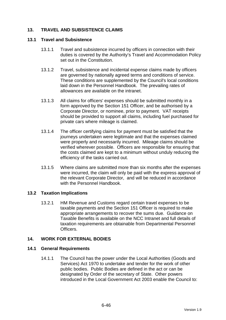# **13. TRAVEL AND SUBSISTENCE CLAIMS**

#### **13.1 Travel and Subsistence**

- 13.1.1 Travel and subsistence incurred by officers in connection with their duties is covered by the Authority's Travel and Accommodation Policy set out in the Constitution.
- 13.1.2 Travel, subsistence and incidental expense claims made by officers are governed by nationally agreed terms and conditions of service. These conditions are supplemented by the Council's local conditions laid down in the Personnel Handbook. The prevailing rates of allowances are available on the intranet.
- 13.1.3 All claims for officers' expenses should be submitted monthly in a form approved by the Section 151 Officer, and be authorised by a Corporate Director, or nominee, prior to payment. VAT receipts should be provided to support all claims, including fuel purchased for private cars where mileage is claimed.
- 13.1.4 The officer certifying claims for payment must be satisfied that the journeys undertaken were legitimate and that the expenses claimed were properly and necessarily incurred. Mileage claims should be verified wherever possible. Officers are responsible for ensuring that the costs claimed are kept to a minimum without unduly reducing the efficiency of the tasks carried out.
- 13.1.5 Where claims are submitted more than six months after the expenses were incurred, the claim will only be paid with the express approval of the relevant Corporate Director, and will be reduced in accordance with the Personnel Handbook.

## **13.2 Taxation Implications**

13.2.1 HM Revenue and Customs regard certain travel expenses to be taxable payments and the Section 151 Officer is required to make appropriate arrangements to recover the sums due. Guidance on Taxable Benefits is available on the NCC Intranet and full details of taxation requirements are obtainable from Departmental Personnel **Officers** 

## **14. WORK FOR EXTERNAL BODIES**

## **14.1 General Requirements**

14.1.1 The Council has the power under the Local Authorities (Goods and Services) Act 1970 to undertake and tender for the work of other public bodies. Public Bodies are defined in the act or can be designated by Order of the secretary of State. Other powers introduced in the Local Government Act 2003 enable the Council to: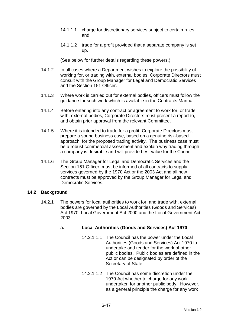- 14.1.1.1 charge for discretionary services subject to certain rules; and
- 14.1.1.2 trade for a profit provided that a separate company is set up.

(See below for further details regarding these powers.)

- 14.1.2 In all cases where a Department wishes to explore the possibility of working for, or trading with, external bodies, Corporate Directors must consult with the Group Manager for Legal and Democratic Services and the Section 151 Officer.
- 14.1.3 Where work is carried out for external bodies, officers must follow the guidance for such work which is available in the Contracts Manual.
- 14.1.4 Before entering into any contract or agreement to work for, or trade with, external bodies, Corporate Directors must present a report to, and obtain prior approval from the relevant Committee.
- 14.1.5 Where it is intended to trade for a profit, Corporate Directors must prepare a sound business case, based on a genuine risk-based approach, for the proposed trading activity. The business case must be a robust commercial assessment and explain why trading through a company is desirable and will provide best value for the Council.
- 14.1.6 The Group Manager for Legal and Democratic Services and the Section 151 Officer must be informed of all contracts to supply services governed by the 1970 Act or the 2003 Act and all new contracts must be approved by the Group Manager for Legal and Democratic Services.

## **14.2 Background**

14.2.1 The powers for local authorities to work for, and trade with, external bodies are governed by the Local Authorities (Goods and Services) Act 1970, Local Government Act 2000 and the Local Government Act 2003.

# **a. Local Authorities (Goods and Services) Act 1970**

- 14.2.1.1.1 The Council has the power under the Local Authorities (Goods and Services) Act 1970 to undertake and tender for the work of other public bodies. Public bodies are defined in the Act or can be designated by order of the Secretary of State.
- 14.2.1.1.2 The Council has some discretion under the 1970 Act whether to charge for any work undertaken for another public body. However, as a general principle the charge for any work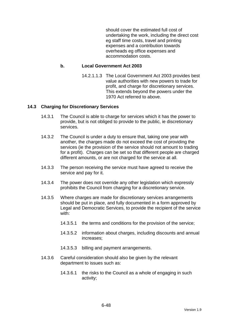should cover the estimated full cost of undertaking the work, including the direct cost eg staff time costs, travel and printing expenses and a contribution towards overheads eg office expenses and accommodation costs.

## **b. Local Government Act 2003**

14.2.1.1.3 The Local Government Act 2003 provides best value authorities with new powers to trade for profit, and charge for discretionary services. This extends beyond the powers under the 1970 Act referred to above.

#### **14.3 Charging for Discretionary Services**

- 14.3.1 The Council is able to charge for services which it has the power to provide, but is not obliged to provide to the public, ie discretionary services.
- 14.3.2 The Council is under a duty to ensure that, taking one year with another, the charges made do not exceed the cost of providing the services (ie the provision of the service should not amount to trading for a profit). Charges can be set so that different people are charged different amounts, or are not charged for the service at all.
- 14.3.3 The person receiving the service must have agreed to receive the service and pay for it.
- 14.3.4 The power does not override any other legislation which expressly prohibits the Council from charging for a discretionary service.
- 14.3.5 Where charges are made for discretionary services arrangements should be put in place, and fully documented in a form approved by Legal and Democratic Services, to provide the recipient of the service with:
	- 14.3.5.1 the terms and conditions for the provision of the service;
	- 14.3.5.2 information about charges, including discounts and annual increases;
	- 14.3.5.3 billing and payment arrangements.
- 14.3.6 Careful consideration should also be given by the relevant department to issues such as:
	- 14.3.6.1 the risks to the Council as a whole of engaging in such activity;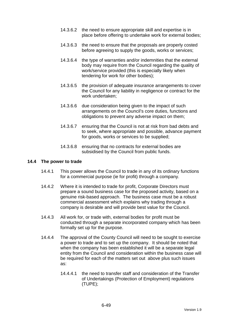- 14.3.6.2 the need to ensure appropriate skill and expertise is in place before offering to undertake work for external bodies;
- 14.3.6.3 the need to ensure that the proposals are properly costed before agreeing to supply the goods, works or services;
- 14.3.6.4 the type of warranties and/or indemnities that the external body may require from the Council regarding the quality of work/service provided (this is especially likely when tendering for work for other bodies);
- 14.3.6.5 the provision of adequate insurance arrangements to cover the Council for any liability in negligence or contract for the work undertaken;
- 14.3.6.6 due consideration being given to the impact of such arrangements on the Council's core duties, functions and obligations to prevent any adverse impact on them;
- 14.3.6.7 ensuring that the Council is not at risk from bad debts and to seek, where appropriate and possible, advance payment for goods, works or services to be supplied;
- 14.3.6.8 ensuring that no contracts for external bodies are subsidised by the Council from public funds.

#### **14.4 The power to trade**

- 14.4.1 This power allows the Council to trade in any of its ordinary functions for a commercial purpose (ie for profit) through a company.
- 14.4.2 Where it is intended to trade for profit, Corporate Directors must prepare a sound business case for the proposed activity, based on a genuine risk-based approach. The business case must be a robust commercial assessment which explains why trading through a company is desirable and will provide best value for the Council.
- 14.4.3 All work for, or trade with, external bodies for profit must be conducted through a separate incorporated company which has been formally set up for the purpose.
- 14.4.4 The approval of the County Council will need to be sought to exercise a power to trade and to set up the company. It should be noted that when the company has been established it will be a separate legal entity from the Council and consideration within the business case will be required for each of the matters set out above plus such issues as:
	- 14.4.4.1 the need to transfer staff and consideration of the Transfer of Undertakings (Protection of Employment) regulations (TUPE);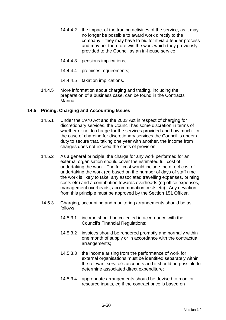- 14.4.4.2 the impact of the trading activities of the service, as it may no longer be possible to award work directly to the company – they may have to bid for it via a tender process and may not therefore win the work which they previously provided to the Council as an in-house service;
- 14.4.4.3 pensions implications;
- 14.4.4.4 premises requirements;
- 14.4.4.5 taxation implications.
- 14.4.5 More information about charging and trading, including the preparation of a business case, can be found in the Contracts Manual.

# **14.5 Pricing, Charging and Accounting Issues**

- 14.5.1 Under the 1970 Act and the 2003 Act in respect of charging for discretionary services, the Council has some discretion in terms of whether or not to charge for the services provided and how much. In the case of charging for discretionary services the Council is under a duty to secure that, taking one year with another, the income from charges does not exceed the costs of provision.
- 14.5.2 As a general principle, the charge for any work performed for an external organisation should cover the estimated full cost of undertaking the work. The full cost would include the direct cost of undertaking the work (eg based on the number of days of staff time the work is likely to take, any associated travelling expenses, printing costs etc) and a contribution towards overheads (eg office expenses, management overheads, accommodation costs etc). Any deviation from this principle must be approved by the Section 151 Officer.
- 14.5.3 Charging, accounting and monitoring arrangements should be as follows:
	- 14.5.3.1 income should be collected in accordance with the Council's Financial Regulations;
	- 14.5.3.2 invoices should be rendered promptly and normally within one month of supply or in accordance with the contractual arrangements;
	- 14.5.3.3 the income arising from the performance of work for external organisations must be identified separately within the relevant service's accounts and it should be possible to determine associated direct expenditure;
	- 14.5.3.4 appropriate arrangements should be devised to monitor resource inputs, eg if the contract price is based on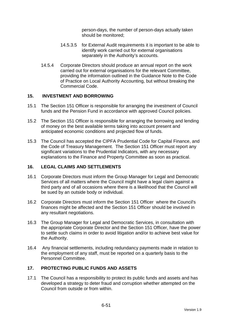person-days, the number of person-days actually taken should be monitored;

- 14.5.3.5 for External Audit requirements it is important to be able to identify work carried out for external organisations separately in the Authority's accounts.
- 14.5.4 Corporate Directors should produce an annual report on the work carried out for external organisations for the relevant Committee, providing the information outlined in the Guidance Note to the Code of Practice on Local Authority Accounting, but without breaking the Commercial Code.

# **15. INVESTMENT AND BORROWING**

- 15.1 The Section 151 Officer is responsible for arranging the investment of Council funds and the Pension Fund in accordance with approved Council policies.
- 15.2 The Section 151 Officer is responsible for arranging the borrowing and lending of money on the best available terms taking into account present and anticipated economic conditions and projected flow of funds.
- 15.3 The Council has accepted the CIPFA Prudential Code for Capital Finance, and the Code of Treasury Management. The Section 151 Officer must report any significant variations to the Prudential Indicators, with any necessary explanations to the Finance and Property Committee as soon as practical.

## **16. LEGAL CLAIMS AND SETTLEMENTS**

- 16.1 Corporate Directors must inform the Group Manager for Legal and Democratic Services of all matters where the Council might have a legal claim against a third party and of all occasions where there is a likelihood that the Council will be sued by an outside body or individual.
- 16.2 Corporate Directors must inform the Section 151 Officer where the Council's finances might be affected and the Section 151 Officer should be involved in any resultant negotiations.
- 16.3 The Group Manager for Legal and Democratic Services, in consultation with the appropriate Corporate Director and the Section 151 Officer, have the power to settle such claims in order to avoid litigation and/or to achieve best value for the Authority.
- 16.4 Any financial settlements, including redundancy payments made in relation to the employment of any staff, must be reported on a quarterly basis to the Personnel Committee.

# **17. PROTECTING PUBLIC FUNDS AND ASSETS**

17.1 The Council has a responsibility to protect its public funds and assets and has developed a strategy to deter fraud and corruption whether attempted on the Council from outside or from within.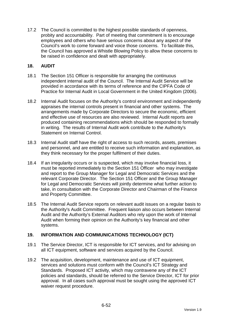17.2 The Council is committed to the highest possible standards of openness, probity and accountability. Part of meeting that commitment is to encourage employees and others who have serious concerns about any aspect of the Council's work to come forward and voice those concerns. To facilitate this, the Council has approved a Whistle Blowing Policy to allow these concerns to be raised in confidence and dealt with appropriately.

# **18. AUDIT**

- 18.1 The Section 151 Officer is responsible for arranging the continuous independent internal audit of the Council. The Internal Audit Service will be provided in accordance with its terms of reference and the CIPFA Code of Practice for Internal Audit in Local Government in the United Kingdom (2006).
- 18.2 Internal Audit focuses on the Authority's control environment and independently appraises the internal controls present in financial and other systems. The arrangements made by Corporate Directors to secure the economic, efficient and effective use of resources are also reviewed. Internal Audit reports are produced containing recommendations which should be responded to formally in writing. The results of Internal Audit work contribute to the Authority's Statement on Internal Control.
- 18.3 Internal Audit staff have the right of access to such records, assets, premises and personnel, and are entitled to receive such information and explanation, as they think necessary for the proper fulfilment of their duties.
- 18.4 If an irregularity occurs or is suspected, which may involve financial loss, it must be reported immediately to the Section 151 Officer who may investigate and report to the Group Manager for Legal and Democratic Services and the relevant Corporate Director. The Section 151 Officer and the Group Manager for Legal and Democratic Services will jointly determine what further action to take, in consultation with the Corporate Director and Chairman of the Finance and Property Committee.
- 18.5 The Internal Audit Service reports on relevant audit issues on a regular basis to the Authority's Audit Committee. Frequent liaison also occurs between Internal Audit and the Authority's External Auditors who rely upon the work of Internal Audit when forming their opinion on the Authority's key financial and other systems.

# **19. INFORMATION AND COMMUNICATIONS TECHNOLOGY (ICT)**

- 19.1 The Service Director, ICT is responsible for ICT services, and for advising on all ICT equipment, software and services acquired by the Council.
- 19.2 The acquisition, development, maintenance and use of ICT equipment, services and solutions must conform with the Council's ICT Strategy and Standards. Proposed ICT activity, which may contravene any of the ICT policies and standards, should be referred to the Service Director, ICT for prior approval. In all cases such approval must be sought using the approved ICT waiver request procedure.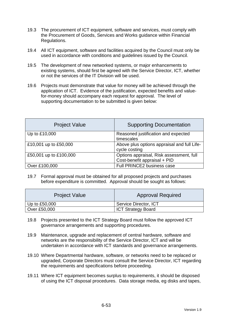- 19.3 The procurement of ICT equipment, software and services, must comply with the Procurement of Goods, Services and Works guidance within Financial Regulations.
- 19.4 All ICT equipment, software and facilities acquired by the Council must only be used in accordance with conditions and guidelines issued by the Council.
- 19.5 The development of new networked systems, or major enhancements to existing systems, should first be agreed with the Service Director, ICT, whether or not the services of the IT Division will be used.
- 19.6 Projects must demonstrate that value for money will be achieved through the application of ICT. Evidence of the justification, expected benefits and valuefor-money should accompany each request for approval. The level of supporting documentation to be submitted is given below:

| <b>Project Value</b>   | <b>Supporting Documentation</b>                                          |
|------------------------|--------------------------------------------------------------------------|
| Up to £10,000          | Reasoned justification and expected<br>timescales                        |
| £10,001 up to £50,000  | Above plus options appraisal and full Life-<br>cycle costing             |
| £50,001 up to £100,000 | Options appraisal, Risk assessment, full<br>Cost-benefit appraisal + PID |
| Over £100,000          | Full PRINCE2 business case                                               |

19.7 Formal approval must be obtained for all proposed projects and purchases before expenditure is committed. Approval should be sought as follows:

| <b>Project Value</b> | <b>Approval Required</b>  |
|----------------------|---------------------------|
| Up to £50,000        | Service Director, ICT     |
| Over £50,000         | <b>ICT Strategy Board</b> |

- 19.8 Projects presented to the ICT Strategy Board must follow the approved ICT governance arrangements and supporting procedures.
- 19.9 Maintenance, upgrade and replacement of central hardware, software and networks are the responsibility of the Service Director, ICT and will be undertaken in accordance with ICT standards and governance arrangements.
- 19.10 Where Departmental hardware, software, or networks need to be replaced or upgraded, Corporate Directors must consult the Service Director, ICT regarding the requirements and specifications before proceeding.
- 19.11 Where ICT equipment becomes surplus to requirements, it should be disposed of using the ICT disposal procedures. Data storage media, eg disks and tapes,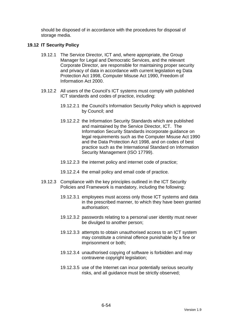should be disposed of in accordance with the procedures for disposal of storage media.

## **19.12 IT Security Policy**

- 19.12.1 The Service Director, ICT and, where appropriate, the Group Manager for Legal and Democratic Services, and the relevant Corporate Director, are responsible for maintaining proper security and privacy of data in accordance with current legislation eg Data Protection Act 1998, Computer Misuse Act 1990, Freedom of Information Act 2000.
- 19.12.2 All users of the Council's ICT systems must comply with published ICT standards and codes of practice, including:
	- 19.12.2.1 the Council's Information Security Policy which is approved by Council; and
	- 19.12.2.2 the Information Security Standards which are published and maintained by the Service Director, ICT. The Information Security Standards incorporate guidance on legal requirements such as the Computer Misuse Act 1990 and the Data Protection Act 1998, and on codes of best practice such as the International Standard on Information Security Management (ISO 17799).
	- 19.12.2.3 the internet policy and internet code of practice;
	- 19.12.2.4 the email policy and email code of practice.
- 19.12.3 Compliance with the key principles outlined in the ICT Security Policies and Framework is mandatory, including the following:
	- 19.12.3.1 employees must access only those ICT systems and data in the prescribed manner, to which they have been granted authorisation;
	- 19.12.3.2 passwords relating to a personal user identity must never be divulged to another person;
	- 19.12.3.3 attempts to obtain unauthorised access to an ICT system may constitute a criminal offence punishable by a fine or imprisonment or both;
	- 19.12.3.4 unauthorised copying of software is forbidden and may contravene copyright legislation;
	- 19.12.3.5 use of the Internet can incur potentially serious security risks, and all guidance must be strictly observed;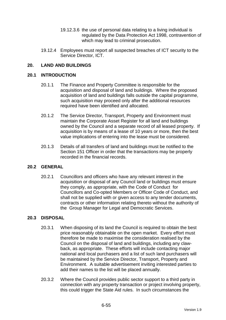- 19.12.3.6 the use of personal data relating to a living individual is regulated by the Data Protection Act 1998, contravention of which may lead to criminal prosecution.
- 19.12.4 Employees must report all suspected breaches of ICT security to the Service Director, ICT.

# **20. LAND AND BUILDINGS**

#### **20.1 INTRODUCTION**

- 20.1.1 The Finance and Property Committee is responsible for the acquisition and disposal of land and buildings. Where the proposed acquisition of land and buildings falls outside the capital programme, such acquisition may proceed only after the additional resources required have been identified and allocated.
- 20.1.2 The Service Director, Transport, Property and Environment must maintain the Corporate Asset Register for all land and buildings owned by the Council and a separate record of all leased property. If acquisition is by means of a lease of 10 years or more, then the best value implications of entering into the lease must be considered.
- 20.1.3 Details of all transfers of land and buildings must be notified to the Section 151 Officer in order that the transactions may be properly recorded in the financial records.

## **20.2 GENERAL**

20.2.1 Councillors and officers who have any relevant interest in the acquisition or disposal of any Council land or buildings must ensure they comply, as appropriate, with the Code of Conduct for Councillors and Co-opted Members or Officer Code of Conduct, and shall not be supplied with or given access to any tender documents, contracts or other information relating thereto without the authority of the Group Manager for Legal and Democratic Services.

## **20.3 DISPOSAL**

- 20.3.1 When disposing of its land the Council is required to obtain the best price reasonably obtainable on the open market. Every effort must therefore be made to maximise the consideration realised by the Council on the disposal of land and buildings, including any clawback, as appropriate. These efforts will include contacting major national and local purchasers and a list of such land purchasers will be maintained by the Service Director, Transport, Property and Environment. A suitable advertisement inviting interested parties to add their names to the list will be placed annually.
- 20.3.2 Where the Council provides public sector support to a third party in connection with any property transaction or project involving property, this could trigger the State Aid rules. In such circumstances the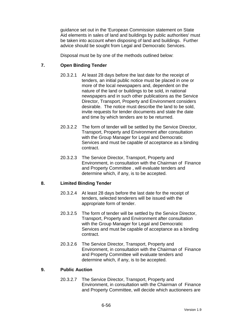guidance set out in the 'European Commission statement on State Aid elements in sales of land and buildings by public authorities' must be taken into account when disposing of land and buildings. Further advice should be sought from Legal and Democratic Services.

Disposal must be by one of the methods outlined below:

# **7. Open Binding Tender**

- 20.3.2.1 At least 28 days before the last date for the receipt of tenders, an initial public notice must be placed in one or more of the local newspapers and, dependent on the nature of the land or buildings to be sold, in national newspapers and in such other publications as the Service Director, Transport, Property and Environment considers desirable. The notice must describe the land to be sold, invite requests for tender documents and state the date and time by which tenders are to be returned.
- 20.3.2.2 The form of tender will be settled by the Service Director, Transport, Property and Environment after consultation with the Group Manager for Legal and Democratic Services and must be capable of acceptance as a binding contract.
- 20.3.2.3 The Service Director, Transport, Property and Environment, in consultation with the Chairman of Finance and Property Committee , will evaluate tenders and determine which, if any, is to be accepted.

## **8. Limited Binding Tender**

- 20.3.2.4 At least 28 days before the last date for the receipt of tenders, selected tenderers will be issued with the appropriate form of tender.
- 20.3.2.5 The form of tender will be settled by the Service Director, Transport, Property and Environment after consultation with the Group Manager for Legal and Democratic Services and must be capable of acceptance as a binding contract.
- 20.3.2.6 The Service Director, Transport, Property and Environment, in consultation with the Chairman of Finance and Property Committee will evaluate tenders and determine which, if any, is to be accepted.

## **9. Public Auction**

20.3.2.7 The Service Director, Transport, Property and Environment, in consultation with the Chairman of Finance and Property Committee, will decide which auctioneers are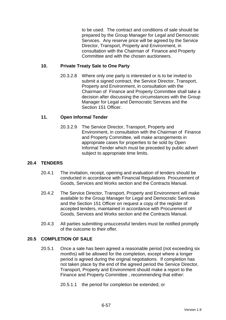to be used. The contract and conditions of sale should be prepared by the Group Manager for Legal and Democratic Services. Any reserve price will be agreed by the Service Director, Transport, Property and Environment, in consultation with the Chairman of Finance and Property Committee and with the chosen auctioneers.

## **10. Private Treaty Sale to One Party**

20.3.2.8 Where only one party is interested or is to be invited to submit a signed contract, the Service Director, Transport, Property and Environment, in consultation with the Chairman of Finance and Property Committee shall take a decision after discussing the circumstances with the Group Manager for Legal and Democratic Services and the Section 151 Officer.

# **11. Open Informal Tender**

20.3.2.9 The Service Director, Transport, Property and Environment, in consultation with the Chairman of Finance and Property Committee, will make arrangements in appropriate cases for properties to be sold by Open Informal Tender which must be preceded by public advert subject to appropriate time limits.

# **20.4 TENDERS**

- 20.4.1 The invitation, receipt, opening and evaluation of tenders should be conducted in accordance with Financial Regulations Procurement of Goods, Services and Works section and the Contracts Manual.
- 20.4.2 The Service Director, Transport, Property and Environment will make available to the Group Manager for Legal and Democratic Services and the Section 151 Officer on request a copy of the register of accepted tenders, maintained in accordance with Procurement of Goods, Services and Works section and the Contracts Manual.
- 20.4.3 All parties submitting unsuccessful tenders must be notified promptly of the outcome to their offer.

## **20.5 COMPLETION OF SALE**

- 20.5.1 Once a sale has been agreed a reasonable period (not exceeding six months) will be allowed for the completion, except where a longer period is agreed during the original negotiations. If completion has not taken place by the end of the agreed period the Service Director, Transport, Property and Environment should make a report to the Finance and Property Committee , recommending that either:
	- 20.5.1.1 the period for completion be extended; or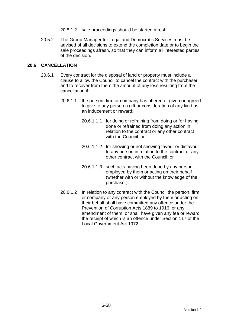- 20.5.1.2 sale proceedings should be started afresh.
- 20.5.2 The Group Manager for Legal and Democratic Services must be advised of all decisions to extend the completion date or to begin the sale proceedings afresh, so that they can inform all interested parties of the decision.

# **20.6 CANCELLATION**

- 20.6.1 Every contract for the disposal of land or property must include a clause to allow the Council to cancel the contract with the purchaser and to recover from them the amount of any loss resulting from the cancellation if:
	- 20.6.1.1 the person, firm or company has offered or given or agreed to give to any person a gift or consideration of any kind as an inducement or reward:
		- 20.6.1.1.1 for doing or refraining from doing or for having done or refrained from doing any action in relation to the contract or any other contract with the Council; or
		- 20.6.1.1.2 for showing or not showing favour or disfavour to any person in relation to the contract or any other contract with the Council; or
		- 20.6.1.1.3 such acts having been done by any person employed by them or acting on their behalf (whether with or without the knowledge of the purchaser).
	- 20.6.1.2 In relation to any contract with the Council the person, firm or company or any person employed by them or acting on their behalf shall have committed any offence under the Prevention of Corruption Acts 1889 to 1916, or any amendment of them, or shall have given any fee or reward the receipt of which is an offence under Section 117 of the Local Government Act 1972.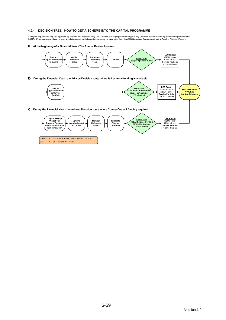#### 4.2.1 DECISION TREE - HOW TO GET A SCHEME INTO THE CAPITAL PROGRAMME

All capital expenditure requires approval by the relevant approval body. All County Council projects requiring County Council funds should be appraised and prioritised by<br>CAMG. Proposed expenditure on land acquisitions a

a. At the beginning of a Financial Year - The Annual Review Process.



LEC = Latest Estimate Cost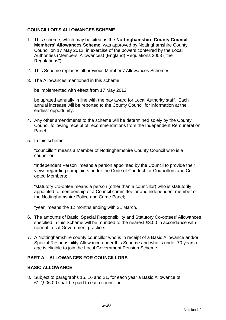# **COUNCILLOR'S ALLOWANCES SCHEME**

- 1. This scheme, which may be cited as the **Nottinghamshire County Council Members' Allowances Scheme**, was approved by Nottinghamshire County Council on 17 May 2012, in exercise of the powers conferred by the Local Authorities (Members' Allowances) (England) Regulations 2003 ("the Regulations").
- 2. This Scheme replaces all previous Members' Allowances Schemes.
- 3. The Allowances mentioned in this scheme:

be implemented with effect from 17 May 2012;

be uprated annually in line with the pay award for Local Authority staff. Each annual increase will be reported to the County Council for information at the earliest opportunity.

- 4. Any other amendments to the scheme will be determined solely by the County Council following receipt of recommendations from the Independent Remuneration Panel.
- 5. In this scheme:

"councillor" means a Member of Nottinghamshire County Council who is a councillor;

"Independent Person" means a person appointed by the Council to provide their views regarding complaints under the Code of Conduct for Councillors and Coopted Members;

"statutory Co-optee means a person (other than a councillor) who is statutorily appointed to membership of a Council committee or and independent member of the Nottinghamshire Police and Crime Panel;

"year" means the 12 months ending with 31 March.

- 6. The amounts of Basic, Special Responsibility and Statutory Co-optees' Allowances specified in this Scheme will be rounded to the nearest £3.00 in accordance with normal Local Government practice.
- 7. A Nottinghamshire county councillor who is in receipt of a Basic Allowance and/or Special Responsibility Allowance under this Scheme and who is under 70 years of age is eligible to join the Local Government Pension Scheme.

# **PART A – ALLOWANCES FOR COUNCILLORS**

## **BASIC ALLOWANCE**

8. Subject to paragraphs 15, 16 and 21, for each year a Basic Allowance of £12,906.00 shall be paid to each councillor.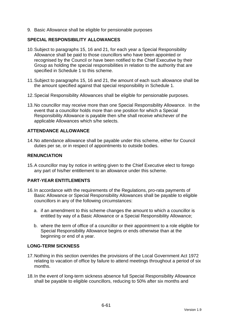9. Basic Allowance shall be eligible for pensionable purposes

## **SPECIAL RESPONSIBILITY ALLOWANCES**

- 10. Subject to paragraphs 15, 16 and 21, for each year a Special Responsibility Allowance shall be paid to those councillors who have been appointed or recognised by the Council or have been notified to the Chief Executive by their Group as holding the special responsibilities in relation to the authority that are specified in Schedule 1 to this scheme.
- 11. Subject to paragraphs 15, 16 and 21, the amount of each such allowance shall be the amount specified against that special responsibility in Schedule 1.
- 12. Special Responsibility Allowances shall be eligible for pensionable purposes.
- 13. No councillor may receive more than one Special Responsibility Allowance. In the event that a councillor holds more than one position for which a Special Responsibility Allowance is payable then s/he shall receive whichever of the applicable Allowances which s/he selects.

# **ATTENDANCE ALLOWANCE**

14. No attendance allowance shall be payable under this scheme, either for Council duties per se, or in respect of appointments to outside bodies.

# **RENUNCIATION**

15. A councillor may by notice in writing given to the Chief Executive elect to forego any part of his/her entitlement to an allowance under this scheme.

## **PART-YEAR ENTITLEMENTS**

- 16. In accordance with the requirements of the Regulations, pro-rata payments of Basic Allowance or Special Responsibility Allowances shall be payable to eligible councillors in any of the following circumstances:
	- a. if an amendment to this scheme changes the amount to which a councillor is entitled by way of a Basic Allowance or a Special Responsibility Allowance;
	- b. where the term of office of a councillor or their appointment to a role eligible for Special Responsibility Allowance begins or ends otherwise than at the beginning or end of a year.

## **LONG-TERM SICKNESS**

- 17. Nothing in this section overrides the provisions of the Local Government Act 1972 relating to vacation of office by failure to attend meetings throughout a period of six months.
- 18. In the event of long-term sickness absence full Special Responsibility Allowance shall be payable to eligible councillors, reducing to 50% after six months and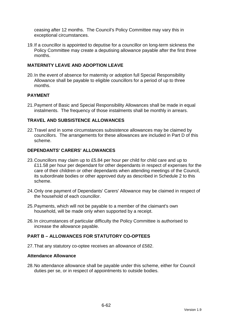ceasing after 12 months. The Council's Policy Committee may vary this in exceptional circumstances.

19. If a councillor is appointed to deputise for a councillor on long-term sickness the Policy Committee may create a deputising allowance payable after the first three months.

# **MATERNITY LEAVE AND ADOPTION LEAVE**

20. In the event of absence for maternity or adoption full Special Responsibility Allowance shall be payable to eligible councillors for a period of up to three months.

# **PAYMENT**

21. Payment of Basic and Special Responsibility Allowances shall be made in equal instalments. The frequency of those instalments shall be monthly in arrears.

## **TRAVEL AND SUBSISTENCE ALLOWANCES**

22. Travel and in some circumstances subsistence allowances may be claimed by councillors. The arrangements for these allowances are included in Part D of this scheme.

#### **DEPENDANTS' CARERS' ALLOWANCES**

- 23. Councillors may claim up to £5.84 per hour per child for child care and up to £11.58 per hour per dependant for other dependants in respect of expenses for the care of their children or other dependants when attending meetings of the Council, its subordinate bodies or other approved duty as described in Schedule 2 to this scheme.
- 24. Only one payment of Dependants' Carers' Allowance may be claimed in respect of the household of each councillor.
- 25. Payments, which will not be payable to a member of the claimant's own household, will be made only when supported by a receipt.
- 26. In circumstances of particular difficulty the Policy Committee is authorised to increase the allowance payable.

# **PART B – ALLOWANCES FOR STATUTORY CO-OPTEES**

27. That any statutory co-optee receives an allowance of £582.

#### **Attendance Allowance**

28. No attendance allowance shall be payable under this scheme, either for Council duties per se, or in respect of appointments to outside bodies.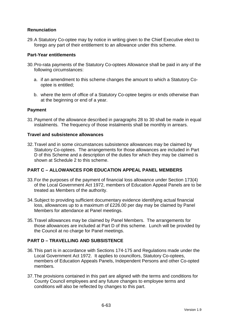# **Renunciation**

29. A Statutory Co-optee may by notice in writing given to the Chief Executive elect to forego any part of their entitlement to an allowance under this scheme.

## **Part-Year entitlements**

- 30. Pro-rata payments of the Statutory Co-optees Allowance shall be paid in any of the following circumstances:
	- a. if an amendment to this scheme changes the amount to which a Statutory Cooptee is entitled;
	- b. where the term of office of a Statutory Co-optee begins or ends otherwise than at the beginning or end of a year.

# **Payment**

31. Payment of the allowance described in paragraphs 28 to 30 shall be made in equal instalments. The frequency of those instalments shall be monthly in arrears.

## **Travel and subsistence allowances**

32. Travel and in some circumstances subsistence allowances may be claimed by Statutory Co-optees. The arrangements for those allowances are included in Part D of this Scheme and a description of the duties for which they may be claimed is shown at Schedule 2 to this scheme.

# **PART C – ALLOWANCES FOR EDUCATION APPEAL PANEL MEMBERS**

- 33. For the purposes of the payment of financial loss allowance under Section 173(4) of the Local Government Act 1972, members of Education Appeal Panels are to be treated as Members of the authority.
- 34. Subject to providing sufficient documentary evidence identifying actual financial loss, allowances up to a maximum of £226.00 per day may be claimed by Panel Members for attendance at Panel meetings.
- 35. Travel allowances may be claimed by Panel Members. The arrangements for those allowances are included at Part D of this scheme. Lunch will be provided by the Council at no charge for Panel meetings.

# **PART D – TRAVELLING AND SUBSISTENCE**

- 36. This part is in accordance with Sections 174-175 and Regulations made under the Local Government Act 1972. It applies to councillors, Statutory Co-optees, members of Education Appeals Panels, Independent Persons and other Co-opted members.
- 37. The provisions contained in this part are aligned with the terms and conditions for County Council employees and any future changes to employee terms and conditions will also be reflected by changes to this part.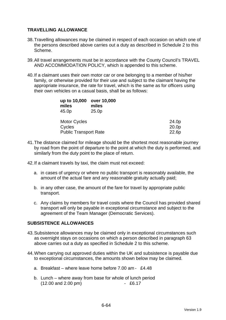# **TRAVELLING ALLOWANCE**

- 38. Travelling allowances may be claimed in respect of each occasion on which one of the persons described above carries out a duty as described in Schedule 2 to this Scheme.
- 39. All travel arrangements must be in accordance with the County Council's TRAVEL AND ACCOMMODATION POLICY, which is appended to this scheme.
- 40. If a claimant uses their own motor car or one belonging to a member of his/her family, or otherwise provided for their use and subject to the claimant having the appropriate insurance, the rate for travel, which is the same as for officers using their own vehicles on a casual basis, shall be as follows:

| up to 10,000<br>miles<br>45.0p | over 10,000<br>miles<br>25.0 <sub>p</sub> |       |
|--------------------------------|-------------------------------------------|-------|
| <b>Motor Cycles</b>            |                                           | 24.0p |
| Cycles                         |                                           | 20.0p |
| <b>Public Transport Rate</b>   |                                           | 22.6p |

- 41. The distance claimed for mileage should be the shortest most reasonable journey by road from the point of departure to the point at which the duty is performed, and similarly from the duty point to the place of return.
- 42. If a claimant travels by taxi, the claim must not exceed:
	- a. in cases of urgency or where no public transport is reasonably available, the amount of the actual fare and any reasonable gratuity actually paid;
	- b. in any other case, the amount of the fare for travel by appropriate public transport.
	- c. Any claims by members for travel costs where the Council has provided shared transport will only be payable in exceptional circumstance and subject to the agreement of the Team Manager (Democratic Services).

## **SUBSISTENCE ALLOWANCES**

- 43. Subsistence allowances may be claimed only in exceptional circumstances such as overnight stays on occasions on which a person described in paragraph 63 above carries out a duty as specified in Schedule 2 to this scheme.
- 44. When carrying out approved duties within the UK and subsistence is payable due to exceptional circumstances, the amounts shown below may be claimed.
	- a. Breakfast where leave home before 7.00 am £4.48
	- b. Lunch where away from base for whole of lunch period (12.00 and 2.00 pm) - £6.17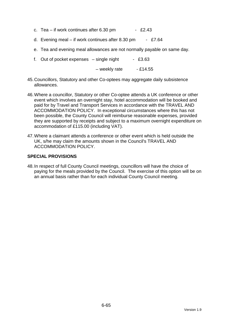- c. Tea if work continues after  $6.30 \text{ pm}$  £2.43
- d. Evening meal if work continues after 8.30 pm £7.64
- e. Tea and evening meal allowances are not normally payable on same day.
- f. Out of pocket expenses  $-$  single night  $-$  £3.63

 $-$  weekly rate  $-$  £14.55

- 45. Councillors, Statutory and other Co-optees may aggregate daily subsistence allowances.
- 46. Where a councillor, Statutory or other Co-optee attends a UK conference or other event which involves an overnight stay, hotel accommodation will be booked and paid for by Travel and Transport Services in accordance with the TRAVEL AND ACCOMMODATION POLICY. In exceptional circumstances where this has not been possible, the County Council will reimburse reasonable expenses, provided they are supported by receipts and subject to a maximum overnight expenditure on accommodation of £115.00 (including VAT).
- 47. Where a claimant attends a conference or other event which is held outside the UK, s/he may claim the amounts shown in the Council's TRAVEL AND ACCOMMODATION POLICY.

# **SPECIAL PROVISIONS**

48. In respect of full County Council meetings, councillors will have the choice of paying for the meals provided by the Council. The exercise of this option will be on an annual basis rather than for each individual County Council meeting.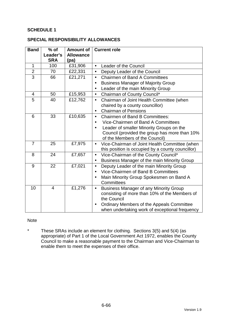# **SCHEDULE 1**

#### **SPECIAL RESPONSIBILITY ALLOWANCES**

| <b>Band</b>    | $%$ of         | <b>Amount of</b> | <b>Current role</b>                                        |  |
|----------------|----------------|------------------|------------------------------------------------------------|--|
|                | Leader's       | <b>Allowance</b> |                                                            |  |
|                | <b>SRA</b>     | (pa)             |                                                            |  |
| $\mathbf{1}$   | 100            | £31,906          | Leader of the Council<br>$\bullet$                         |  |
| $\overline{2}$ | 70             | £22,331          | Deputy Leader of the Council<br>$\bullet$                  |  |
| $\overline{3}$ | 66             | £21,271          | <b>Chairmen of Band A Committees</b><br>$\bullet$          |  |
|                |                |                  | <b>Business Manager of Majority Group</b><br>$\bullet$     |  |
|                |                |                  | Leader of the main Minority Group                          |  |
| $\overline{4}$ | 50             | £15,953          | Chairman of County Council*<br>$\bullet$                   |  |
| 5              | 40             | £12,762          | Chairman of Joint Health Committee (when<br>$\bullet$      |  |
|                |                |                  | chaired by a county councillor)                            |  |
|                |                |                  | <b>Chairman of Pensions</b><br>$\bullet$                   |  |
| 6              | 33             | £10,635          | <b>Chairmen of Band B Committees:</b><br>$\bullet$         |  |
|                |                |                  | Vice-Chairmen of Band A Committees                         |  |
|                |                |                  | Leader of smaller Minority Groups on the<br>$\bullet$      |  |
|                |                |                  | Council (provided the group has more than 10%              |  |
|                |                |                  | of the Members of the Council)                             |  |
| $\overline{7}$ | 25             | £7,975           | Vice-Chairman of Joint Health Committee (when<br>$\bullet$ |  |
|                |                |                  | this position is occupied by a county councillor)          |  |
| 8              | 24             | £7,657           | Vice-Chairman of the County Council*<br>$\bullet$          |  |
|                |                |                  | Business Manager of the main Minority Group<br>$\bullet$   |  |
| 9              | 22             | £7,021           | Deputy Leader of the main Minority Group<br>$\bullet$      |  |
|                |                |                  | Vice-Chairmen of Band B Committees<br>$\bullet$            |  |
|                |                |                  | Main Minority Group Spokesmen on Band A                    |  |
|                |                |                  | Committees                                                 |  |
| 10             | $\overline{4}$ | £1,276           | <b>Business Manager of any Minority Group</b><br>$\bullet$ |  |
|                |                |                  | consisting of more than 10% of the Members of              |  |
|                |                |                  | the Council                                                |  |
|                |                |                  | Ordinary Members of the Appeals Committee<br>$\bullet$     |  |
|                |                |                  | when undertaking work of exceptional frequency             |  |

## Note

\* These SRAs include an element for clothing. Sections 3(5) and 5(4) (as appropriate) of Part 1 of the Local Government Act 1972, enables the County Council to make a reasonable payment to the Chairman and Vice-Chairman to enable them to meet the expenses of their office.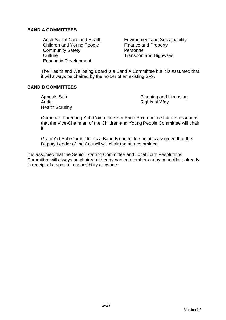# **BAND A COMMITTEES**

Children and Young People Finance and Property Community Safety **Personnel** Culture Culture **Transport and Highways** Economic Development

Adult Social Care and Health Environment and Sustainability

The Health and Wellbeing Board is a Band A Committee but it is assumed that it will always be chaired by the holder of an existing SRA

# **BAND B COMMITTEES**

Audit **Audit Rights of Way** Health Scrutiny

Appeals Sub **Planning and Licensing** 

Corporate Parenting Sub-Committee is a Band B committee but it is assumed that the Vice-Chairman of the Children and Young People Committee will chair it

Grant Aid Sub-Committee is a Band B committee but it is assumed that the Deputy Leader of the Council will chair the sub-committee

It is assumed that the Senior Staffing Committee and Local Joint Resolutions Committee will always be chaired either by named members or by councillors already in receipt of a special responsibility allowance.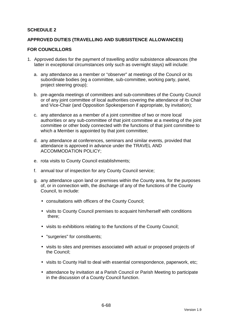# **SCHEDULE 2**

## **APPROVED DUTIES (TRAVELLING AND SUBSISTENCE ALLOWANCES)**

#### **FOR COUNCILLORS**

- 1. Approved duties for the payment of travelling and/or subsistence allowances (the latter in exceptional circumstances only such as overnight stays) will include:
	- a. any attendance as a member or "observer" at meetings of the Council or its subordinate bodies (eg a committee, sub-committee, working party, panel, project steering group);
	- b. pre-agenda meetings of committees and sub-committees of the County Council or of any joint committee of local authorities covering the attendance of its Chair and Vice-Chair (and Opposition Spokesperson if appropriate, by invitation);
	- c. any attendance as a member of a joint committee of two or more local authorities or any sub-committee of that joint committee at a meeting of the joint committee or other body connected with the functions of that joint committee to which a Member is appointed by that joint committee;
	- d. any attendance at conferences, seminars and similar events, provided that attendance is approved in advance under the TRAVEL AND ACCOMMODATION POLICY;
	- e. rota visits to County Council establishments;
	- f. annual tour of inspection for any County Council service;
	- g. any attendance upon land or premises within the County area, for the purposes of, or in connection with, the discharge of any of the functions of the County Council, to include:
		- consultations with officers of the County Council;
		- visits to County Council premises to acquaint him/herself with conditions there;
		- visits to exhibitions relating to the functions of the County Council;
		- "surgeries" for constituents;
		- visits to sites and premises associated with actual or proposed projects of the Council;
		- visits to County Hall to deal with essential correspondence, paperwork, etc;
		- attendance by invitation at a Parish Council or Parish Meeting to participate in the discussion of a County Council function.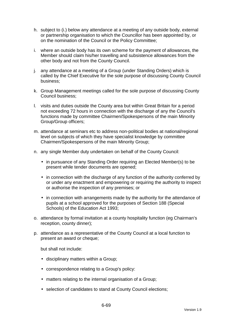- h. subject to (i.) below any attendance at a meeting of any outside body, external or partnership organisation to which the Councillor has been appointed by, or on the nomination of the Council or the Policy Committee;
- i. where an outside body has its own scheme for the payment of allowances, the Member should claim his/her travelling and subsistence allowances from the other body and not from the County Council.
- j. any attendance at a meeting of a Group (under Standing Orders) which is called by the Chief Executive for the sole purpose of discussing County Council business;
- k. Group Management meetings called for the sole purpose of discussing County Council business;
- l. visits and duties outside the County area but within Great Britain for a period not exceeding 72 hours in connection with the discharge of any the Council's functions made by committee Chairmen/Spokespersons of the main Minority Group/Group officers;
- m. attendance at seminars etc to address non-political bodies at national/regional level on subjects of which they have specialist knowledge by committee Chairmen/Spokespersons of the main Minority Group;
- n. any single Member duty undertaken on behalf of the County Council:
	- in pursuance of any Standing Order requiring an Elected Member(s) to be present while tender documents are opened;
	- in connection with the discharge of any function of the authority conferred by or under any enactment and empowering or requiring the authority to inspect or authorise the inspection of any premises; or
	- in connection with arrangements made by the authority for the attendance of pupils at a school approved for the purposes of Section 188 (Special Schools) of the Education Act 1993;
- o. attendance by formal invitation at a county hospitality function (eg Chairman's reception, county dinner);
- p. attendance as a representative of the County Council at a local function to present an award or cheque;

but shall not include:

- disciplinary matters within a Group;
- correspondence relating to a Group's policy:
- matters relating to the internal organisation of a Group;
- selection of candidates to stand at County Council elections;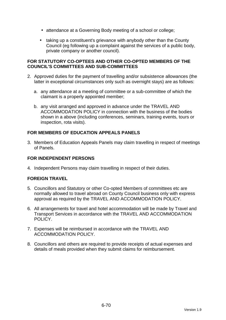- attendance at a Governing Body meeting of a school or college;
- taking up a constituent's grievance with anybody other than the County Council (eg following up a complaint against the services of a public body, private company or another council).

## **FOR STATUTORY CO-OPTEES AND OTHER CO-OPTED MEMBERS OF THE COUNCIL'S COMMITTEES AND SUB-COMMITTEES**

- 2. Approved duties for the payment of travelling and/or subsistence allowances (the latter in exceptional circumstances only such as overnight stays) are as follows:
	- a. any attendance at a meeting of committee or a sub-committee of which the claimant is a properly appointed member;
	- b. any visit arranged and approved in advance under the TRAVEL AND ACCOMMODATION POLICY in connection with the business of the bodies shown in a above (including conferences, seminars, training events, tours or inspection, rota visits).

# **FOR MEMBERS OF EDUCATION APPEALS PANELS**

3. Members of Education Appeals Panels may claim travelling in respect of meetings of Panels.

# **FOR INDEPENDENT PERSONS**

4. Independent Persons may claim travelling in respect of their duties.

# **FOREIGN TRAVEL**

- 5. Councillors and Statutory or other Co-opted Members of committees etc are normally allowed to travel abroad on County Council business only with express approval as required by the TRAVEL AND ACCOMMODATION POLICY.
- 6. All arrangements for travel and hotel accommodation will be made by Travel and Transport Services in accordance with the TRAVEL AND ACCOMMODATION POLICY.
- 7. Expenses will be reimbursed in accordance with the TRAVEL AND ACCOMMODATION POLICY.
- 8. Councillors and others are required to provide receipts of actual expenses and details of meals provided when they submit claims for reimbursement.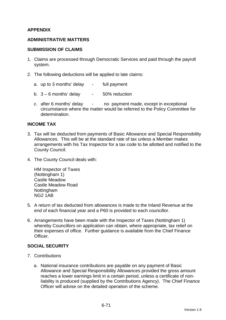# **APPENDIX**

## **ADMINISTRATIVE MATTERS**

#### **SUBMISSION OF CLAIMS**

- 1. Claims are processed through Democratic Services and paid through the payroll system.
- 2. The following deductions will be applied to late claims:
	- a. up to 3 months' delay full payment
	- b.  $3 6$  months' delay  $-50\%$  reduction
	- c. after 6 months' delay no payment made, except in exceptional circumstance where the matter would be referred to the Policy Committee for determination.

#### **INCOME TAX**

- 3. Tax will be deducted from payments of Basic Allowance and Special Responsibility Allowances. This will be at the standard rate of tax unless a Member makes arrangements with his Tax Inspector for a tax code to be allotted and notified to the County Council.
- 4. The County Council deals with:

HM Inspector of Taxes (Nottingham 1) Castle Meadow Castle Meadow Road Nottingham NG2 1AB

- 5. A return of tax deducted from allowances is made to the Inland Revenue at the end of each financial year and a P60 is provided to each councillor.
- 6. Arrangements have been made with the Inspector of Taxes (Nottingham 1) whereby Councillors on application can obtain, where appropriate, tax relief on their expenses of office. Further guidance is available from the Chief Finance **Officer**

## **SOCIAL SECURITY**

- 7. Contributions
	- a. National insurance contributions are payable on any payment of Basic Allowance and Special Responsibility Allowances provided the gross amount reaches a lower earnings limit in a certain period, unless a certificate of nonliability is produced (supplied by the Contributions Agency). The Chief Finance Officer will advise on the detailed operation of the scheme.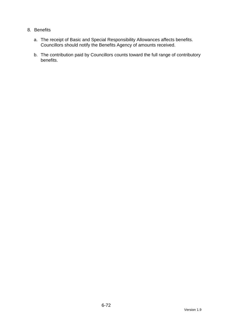# 8. Benefits

- a. The receipt of Basic and Special Responsibility Allowances affects benefits. Councillors should notify the Benefits Agency of amounts received.
- b. The contribution paid by Councillors counts toward the full range of contributory benefits.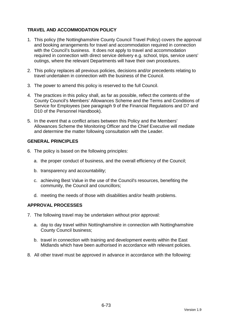# **TRAVEL AND ACCOMMODATION POLICY**

- 1. This policy (the Nottinghamshire County Council Travel Policy) covers the approval and booking arrangements for travel and accommodation required in connection with the Council's business. It does not apply to travel and accommodation required in connection with direct service delivery e.g. school, trips, service users' outings, where the relevant Departments will have their own procedures.
- 2. This policy replaces all previous policies, decisions and/or precedents relating to travel undertaken in connection with the business of the Council.
- 3. The power to amend this policy is reserved to the full Council.
- 4. The practices in this policy shall, as far as possible, reflect the contents of the County Council's Members' Allowances Scheme and the Terms and Conditions of Service for Employees (see paragraph 9 of the Financial Regulations and D7 and D10 of the Personnel Handbook).
- 5. In the event that a conflict arises between this Policy and the Members' Allowances Scheme the Monitoring Officer and the Chief Executive will mediate and determine the matter following consultation with the Leader.

## **GENERAL PRINCIPLES**

- 6. The policy is based on the following principles:
	- a. the proper conduct of business, and the overall efficiency of the Council;
	- b. transparency and accountability;
	- c. achieving Best Value in the use of the Council's resources, benefiting the community, the Council and councillors;
	- d. meeting the needs of those with disabilities and/or health problems.

## **APPROVAL PROCESSES**

- 7. The following travel may be undertaken without prior approval:
	- a. day to day travel within Nottinghamshire in connection with Nottinghamshire County Council business;
	- b. travel in connection with training and development events within the East Midlands which have been authorised in accordance with relevant policies.
- 8. All other travel must be approved in advance in accordance with the following: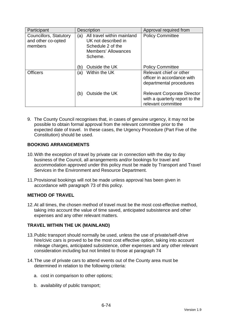| Participant                                             | <b>Description</b>                                                                                              | Approval required from                                                                     |
|---------------------------------------------------------|-----------------------------------------------------------------------------------------------------------------|--------------------------------------------------------------------------------------------|
| Councillors, Statutory<br>and other co-opted<br>members | All travel within mainland<br>(a)<br>UK not described in<br>Schedule 2 of the<br>Members' Allowances<br>Scheme. | <b>Policy Committee</b>                                                                    |
|                                                         | Outside the UK<br>(b)                                                                                           | <b>Policy Committee</b>                                                                    |
| <b>Officers</b>                                         | Within the UK<br>(a)                                                                                            | Relevant chief or other<br>officer in accordance with<br>departmental procedures           |
|                                                         | Outside the UK<br>(b)                                                                                           | <b>Relevant Corporate Director</b><br>with a quarterly report to the<br>relevant committee |

9. The County Council recognises that, in cases of genuine urgency, it may not be possible to obtain formal approval from the relevant committee prior to the expected date of travel. In these cases, the Urgency Procedure (Part Five of the Constitution) should be used.

# **BOOKING ARRANGEMENTS**

- 10. With the exception of travel by private car in connection with the day to day business of the Council, all arrangements and/or bookings for travel and accommodation approved under this policy must be made by Transport and Travel Services in the Environment and Resource Department.
- 11. Provisional bookings will not be made unless approval has been given in accordance with paragraph 73 of this policy.

# **METHOD OF TRAVEL**

12. At all times, the chosen method of travel must be the most cost-effective method, taking into account the value of time saved, anticipated subsistence and other expenses and any other relevant matters.

# **TRAVEL WITHIN THE UK (MAINLAND)**

- 13. Public transport should normally be used, unless the use of private/self-drive hire/civic cars is proved to be the most cost effective option, taking into account mileage charges, anticipated subsistence, other expenses and any other relevant consideration including but not limited to those at paragraph 74
- 14. The use of private cars to attend events out of the County area must be determined in relation to the following criteria:
	- a. cost in comparison to other options;
	- b. availability of public transport;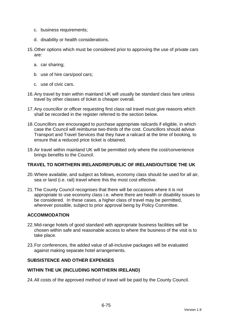- c. business requirements;
- d. disability or health considerations.
- 15. Other options which must be considered prior to approving the use of private cars are:
	- a. car sharing;
	- b. use of hire cars/pool cars;
	- c. use of civic cars.
- 16. Any travel by train within mainland UK will usually be standard class fare unless travel by other classes of ticket is cheaper overall.
- 17. Any councillor or officer requesting first class rail travel must give reasons which shall be recorded in the register referred to the section below.
- 18. Councillors are encouraged to purchase appropriate railcards if eligible, in which case the Council will reimburse two-thirds of the cost. Councillors should advise Transport and Travel Services that they have a railcard at the time of booking, to ensure that a reduced price ticket is obtained.
- 19. Air travel within mainland UK will be permitted only where the cost/convenience brings benefits to the Council.

#### **TRAVEL TO NORTHERN IRELAND/REPUBLIC OF IRELAND/OUTSIDE THE UK**

- 20. Where available, and subject as follows, economy class should be used for all air, sea or land (i.e. rail) travel where this the most cost effective.
- 21. The County Council recognises that there will be occasions where it is not appropriate to use economy class i.e. where there are health or disability issues to be considered. In these cases, a higher class of travel may be permitted, wherever possible, subject to prior approval being by Policy Committee.

### **ACCOMMODATION**

- 22. Mid-range hotels of good standard with appropriate business facilities will be chosen within safe and reasonable access to where the business of the visit is to take place.
- 23. For conferences, the added value of all-inclusive packages will be evaluated against making separate hotel arrangements.

### **SUBSISTENCE AND OTHER EXPENSES**

#### **WITHIN THE UK (INCLUDING NORTHERN IRELAND)**

24. All costs of the approved method of travel will be paid by the County Council.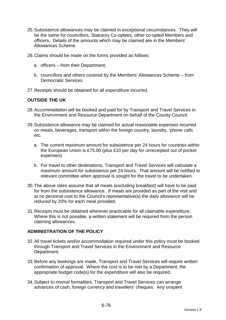- 25. Subsistence allowances may be claimed in exceptional circumstances. They will be the same for councillors, Statutory Co-optees, other co-opted Members and officers. Details of the amounts which may be claimed are in the Members' Allowances Scheme.
- 26. Claims should be made on the forms provided as follows:
	- a. officers from their Department;
	- b. councillors and others covered by the Members' Allowances Scheme from Democratic Services.
- 27. Receipts should be obtained for all expenditure incurred.

#### **OUTSIDE THE UK**

- 28. Accommodation will be booked and paid for by Transport and Travel Services in the Environment and Resource Department on behalf of the County Council.
- 29. Subsistence allowance may be claimed for actual reasonable expenses incurred on meals, beverages, transport within the foreign country, laundry, 'phone calls etc.
	- a. The current maximum amount for subsistence per 24 hours for countries within the European Union is £75.00 (plus £10 per day for unreceipted out of pocket expenses).
	- b. For travel to other destinations, Transport and Travel Services will calculate a maximum amount for subsistence per 24 hours. That amount will be notified to relevant committee when approval is sought for the travel to be undertaken.
- 30. The above rates assume that all meals (excluding breakfast) will have to be paid for from the subsistence allowance. If meals are provided as part of the visit and at no personal cost to the Council's representative(s) the daily allowance will be reduced by 20% for each meal provided.
- 31. Receipts must be obtained wherever practicable for all claimable expenditure. Where this is not possible, a written statement will be required from the person claiming allowances.

#### **ADMINISTRATION OF THE POLICY**

- 32. All travel tickets and/or accommodation required under this policy must be booked through Transport and Travel Services in the Environment and Resource Department.
- 33. Before any bookings are made, Transport and Travel Services will require written confirmation of approval. Where the cost is to be met by a Department, the appropriate budget code(s) for the expenditure will also be required.
- 34. Subject to normal formalities, Transport and Travel Services can arrange advances of cash, foreign currency and travellers' cheques. Any unspent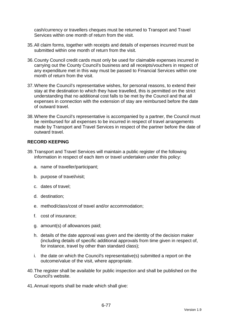cash/currency or travellers cheques must be returned to Transport and Travel Services within one month of return from the visit.

- 35. All claim forms, together with receipts and details of expenses incurred must be submitted within one month of return from the visit.
- 36. County Council credit cards must only be used for claimable expenses incurred in carrying out the County Council's business and all receipts/vouchers in respect of any expenditure met in this way must be passed to Financial Services within one month of return from the visit.
- 37. Where the Council's representative wishes, for personal reasons, to extend their stay at the destination to which they have travelled, this is permitted on the strict understanding that no additional cost falls to be met by the Council and that all expenses in connection with the extension of stay are reimbursed before the date of outward travel.
- 38. Where the Council's representative is accompanied by a partner, the Council must be reimbursed for all expenses to be incurred in respect of travel arrangements made by Transport and Travel Services in respect of the partner before the date of outward travel.

# **RECORD KEEPING**

- 39. Transport and Travel Services will maintain a public register of the following information in respect of each item or travel undertaken under this policy:
	- a. name of traveller/participant;
	- b. purpose of travel/visit;
	- c. dates of travel;
	- d. destination;
	- e. method/class/cost of travel and/or accommodation;
	- f. cost of insurance;
	- g. amount(s) of allowances paid;
	- h. details of the date approval was given and the identity of the decision maker (including details of specific additional approvals from time given in respect of, for instance, travel by other than standard class);
	- i. the date on which the Council's representative(s) submitted a report on the outcome/value of the visit, where appropriate.
- 40. The register shall be available for public inspection and shall be published on the Council's website.
- 41. Annual reports shall be made which shall give: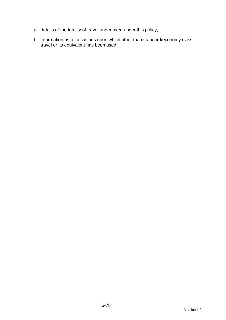- a. details of the totality of travel undertaken under this policy;
- b. information as to occasions upon which other than standard/economy class travel or its equivalent has been used.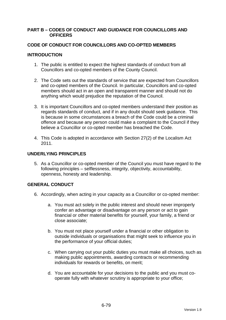#### **PART B – CODES OF CONDUCT AND GUIDANCE FOR COUNCILLORS AND OFFICERS**

### **CODE OF CONDUCT FOR COUNCILLORS AND CO-OPTED MEMBERS**

### **INTRODUCTION**

- 1. The public is entitled to expect the highest standards of conduct from all Councillors and co-opted members of the County Council.
- 2. The Code sets out the standards of service that are expected from Councillors and co-opted members of the Council. In particular, Councillors and co-opted members should act in an open and transparent manner and should not do anything which would prejudice the reputation of the Council.
- 3. It is important Councillors and co-opted members understand their position as regards standards of conduct, and if in any doubt should seek guidance. This is because in some circumstances a breach of the Code could be a criminal offence and because any person could make a complaint to the Council if they believe a Councillor or co-opted member has breached the Code.
- 4. This Code is adopted in accordance with Section 27(2) of the Localism Act 2011.

### **UNDERLYING PRINCIPLES**

5. As a Councillor or co-opted member of the Council you must have regard to the following principles – selflessness, integrity, objectivity, accountability, openness, honesty and leadership.

# **GENERAL CONDUCT**

- 6. Accordingly, when acting in your capacity as a Councillor or co-opted member:
	- a. You must act solely in the public interest and should never improperly confer an advantage or disadvantage on any person or act to gain financial or other material benefits for yourself, your family, a friend or close associate;
	- b. You must not place yourself under a financial or other obligation to outside individuals or organisations that might seek to influence you in the performance of your official duties;
	- c. When carrying out your public duties you must make all choices, such as making public appointments, awarding contracts or recommending individuals for rewards or benefits, on merit;
	- d. You are accountable for your decisions to the public and you must cooperate fully with whatever scrutiny is appropriate to your office;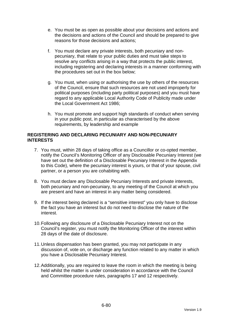- e. You must be as open as possible about your decisions and actions and the decisions and actions of the Council and should be prepared to give reasons for those decisions and actions;
- f. You must declare any private interests, both pecuniary and nonpecuniary, that relate to your public duties and must take steps to resolve any conflicts arising in a way that protects the public interest, including registering and declaring interests in a manner conforming with the procedures set out in the box below;
- g. You must, when using or authorising the use by others of the resources of the Council, ensure that such resources are not used improperly for political purposes (including party political purposes) and you must have regard to any applicable Local Authority Code of Publicity made under the Local Government Act 1986;
- h. You must promote and support high standards of conduct when serving in your public post, in particular as characterised by the above requirements, by leadership and example

### **REGISTERING AND DECLARING PECUNIARY AND NON-PECUNIARY INTERESTS**

- 7. You must, within 28 days of taking office as a Councillor or co-opted member, notify the Council's Monitoring Officer of any Disclosable Pecuniary Interest (we have set out the definition of a Disclosable Pecuniary Interest in the Appendix to this Code), where the pecuniary interest is yours, or that of your spouse, civil partner, or a person you are cohabiting with.
- 8. You must declare any Disclosable Pecuniary Interests and private interests, both pecuniary and non-pecuniary, to any meeting of the Council at which you are present and have an interest in any matter being considered.
- 9. If the interest being declared is a "sensitive interest" you only have to disclose the fact you have an interest but do not need to disclose the nature of the interest.
- 10. Following any disclosure of a Disclosable Pecuniary Interest not on the Council's register, you must notify the Monitoring Officer of the interest within 28 days of the date of disclosure.
- 11. Unless dispensation has been granted, you may not participate in any discussion of, vote on, or discharge any function related to any matter in which you have a Disclosable Pecuniary Interest.
- 12. Additionally, you are required to leave the room in which the meeting is being held whilst the matter is under consideration in accordance with the Council and Committee procedure rules, paragraphs 17 and 12 respectively.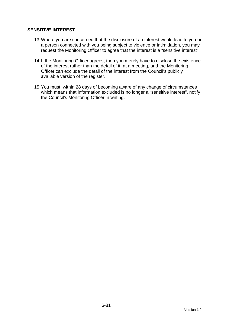## **SENSITIVE INTEREST**

- 13. Where you are concerned that the disclosure of an interest would lead to you or a person connected with you being subject to violence or intimidation, you may request the Monitoring Officer to agree that the interest is a "sensitive interest".
- 14. If the Monitoring Officer agrees, then you merely have to disclose the existence of the interest rather than the detail of it, at a meeting, and the Monitoring Officer can exclude the detail of the interest from the Council's publicly available version of the register.
- 15. You must, within 28 days of becoming aware of any change of circumstances which means that information excluded is no longer a "sensitive interest", notify the Council's Monitoring Officer in writing.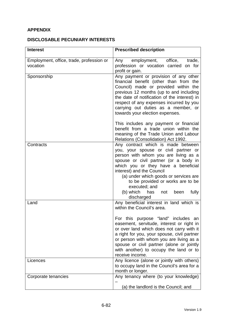# **APPENDIX**

# **DISCLOSABLE PECUNIARY INTERESTS**

| <b>Interest</b>                                      | <b>Prescribed description</b>                                                                                                                                                                                                                                                                                                                                                                               |
|------------------------------------------------------|-------------------------------------------------------------------------------------------------------------------------------------------------------------------------------------------------------------------------------------------------------------------------------------------------------------------------------------------------------------------------------------------------------------|
| Employment, office, trade, profession or<br>vocation | employment, office,<br>trade,<br>Any<br>profession or vocation carried on for<br>profit or gain.                                                                                                                                                                                                                                                                                                            |
| Sponsorship                                          | Any payment or provision of any other<br>financial benefit (other than from the<br>Council) made or provided within the<br>previous 12 months (up to and including<br>the date of notification of the interest) in<br>respect of any expenses incurred by you<br>carrying out duties as a member, or<br>towards your election expenses.                                                                     |
|                                                      | This includes any payment or financial<br>benefit from a trade union within the<br>meaning of the Trade Union and Labour<br>Relations (Consolidation) Act 1992.                                                                                                                                                                                                                                             |
| Contracts                                            | Any contract which is made between<br>you, your spouse or civil partner or<br>person with whom you are living as a<br>spouse or civil partner (or a body in<br>which you or they have a beneficial<br>interest) and the Council<br>(a) under which goods or services are<br>to be provided or works are to be<br>executed; and<br>(b) which<br>has<br>fully<br>been<br>not<br>discharged                    |
| Land                                                 | Any beneficial interest in land which is<br>within the Council's area.<br>For this purpose "land" includes an<br>easement, servitude, interest or right in<br>or over land which does not carry with it<br>a right for you, your spouse, civil partner<br>or person with whom you are living as a<br>spouse or civil partner (alone or jointly<br>with another) to occupy the land or to<br>receive income. |
| Licences                                             | Any licence (alone or jointly with others)<br>to occupy land in the Council's area for a<br>month or longer.                                                                                                                                                                                                                                                                                                |
| Corporate tenancies                                  | Any tenancy where (to your knowledge)<br>(a) the landlord is the Council; and                                                                                                                                                                                                                                                                                                                               |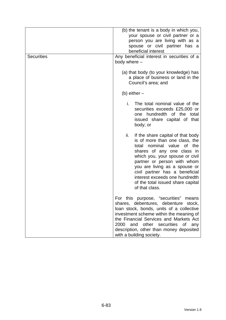| <b>Securities</b> | (b) the tenant is a body in which you,<br>your spouse or civil partner or a<br>person you are living with as a<br>spouse or civil partner has a<br>beneficial interest<br>Any beneficial interest in securities of a                                                                                                                                                    |  |
|-------------------|-------------------------------------------------------------------------------------------------------------------------------------------------------------------------------------------------------------------------------------------------------------------------------------------------------------------------------------------------------------------------|--|
|                   | body where -<br>(a) that body (to your knowledge) has<br>a place of business or land in the<br>Council's area; and                                                                                                                                                                                                                                                      |  |
|                   | (b) either $-$                                                                                                                                                                                                                                                                                                                                                          |  |
|                   | i.<br>The total nominal value of the<br>securities exceeds £25,000 or<br>one hundredth of the total<br>issued share capital of that<br>body; or                                                                                                                                                                                                                         |  |
|                   | ii.<br>If the share capital of that body<br>is of more than one class, the<br>nominal value of the<br>total<br>shares of any one class in<br>which you, your spouse or civil<br>partner or person with whom<br>you are living as a spouse or<br>civil partner has a beneficial<br>interest exceeds one hundredth<br>of the total issued share capital<br>of that class. |  |
|                   | For this purpose, "securities"<br>means<br>shares, debentures, debenture stock,<br>loan stock, bonds, units of a collective<br>investment scheme within the meaning of<br>the Financial Services and Markets Act<br>2000<br>and other securities of<br>any<br>description, other than money deposited<br>with a building society.                                       |  |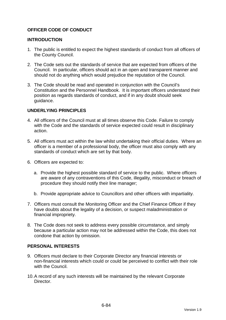# **OFFICER CODE OF CONDUCT**

#### **INTRODUCTION**

- 1. The public is entitled to expect the highest standards of conduct from all officers of the County Council.
- 2. The Code sets out the standards of service that are expected from officers of the Council. In particular, officers should act in an open and transparent manner and should not do anything which would prejudice the reputation of the Council.
- 3. The Code should be read and operated in conjunction with the Council's Constitution and the Personnel Handbook. It is important officers understand their position as regards standards of conduct, and if in any doubt should seek guidance.

### **UNDERLYING PRINCIPLES**

- 4. All officers of the Council must at all times observe this Code. Failure to comply with the Code and the standards of service expected could result in disciplinary action.
- 5. All officers must act within the law whilst undertaking their official duties. Where an officer is a member of a professional body, the officer must also comply with any standards of conduct which are set by that body.
- 6. Officers are expected to:
	- a. Provide the highest possible standard of service to the public. Where officers are aware of any contraventions of this Code, illegality, misconduct or breach of procedure they should notify their line manager;
	- b. Provide appropriate advice to Councillors and other officers with impartiality.
- 7. Officers must consult the Monitoring Officer and the Chief Finance Officer if they have doubts about the legality of a decision, or suspect maladministration or financial impropriety.
- 8. The Code does not seek to address every possible circumstance, and simply because a particular action may not be addressed within the Code, this does not condone that action by omission.

#### **PERSONAL INTERESTS**

- 9. Officers must declare to their Corporate Director any financial interests or non-financial interests which could or could be perceived to conflict with their role with the Council.
- 10. A record of any such interests will be maintained by the relevant Corporate **Director**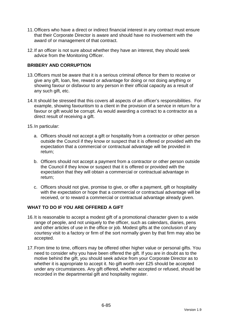- 11. Officers who have a direct or indirect financial interest in any contract must ensure that their Corporate Director is aware and should have no involvement with the award of or management of that contract.
- 12. If an officer is not sure about whether they have an interest, they should seek advice from the Monitoring Officer.

## **BRIBERY AND CORRUPTION**

- 13. Officers must be aware that it is a serious criminal offence for them to receive or give any gift, loan, fee, reward or advantage for doing or not doing anything or showing favour or disfavour to any person in their official capacity as a result of any such gift, etc.
- 14. It should be stressed that this covers all aspects of an officer's responsibilities. For example, showing favouritism to a client in the provision of a service in return for a favour or gift would be corrupt. As would awarding a contract to a contractor as a direct result of receiving a gift.
- 15. In particular:
	- a. Officers should not accept a gift or hospitality from a contractor or other person outside the Council if they know or suspect that it is offered or provided with the expectation that a commercial or contractual advantage will be provided in return;
	- b. Officers should not accept a payment from a contractor or other person outside the Council if they know or suspect that it is offered or provided with the expectation that they will obtain a commercial or contractual advantage in return;
	- c. Officers should not give, promise to give, or offer a payment, gift or hospitality with the expectation or hope that a commercial or contractual advantage will be received, or to reward a commercial or contractual advantage already given.

# **WHAT TO DO IF YOU ARE OFFERED A GIFT**

- 16. It is reasonable to accept a modest gift of a promotional character given to a wide range of people, and not uniquely to the officer, such as calendars, diaries, pens and other articles of use in the office or job. Modest gifts at the conclusion of any courtesy visit to a factory or firm of the sort normally given by that firm may also be accepted.
- 17. From time to time, officers may be offered other higher value or personal gifts. You need to consider why you have been offered the gift. If you are in doubt as to the motive behind the gift, you should seek advice from your Corporate Director as to whether it is appropriate to accept it. No gift worth over £25 should be accepted under any circumstances. Any gift offered, whether accepted or refused, should be recorded in the departmental gift and hospitality register.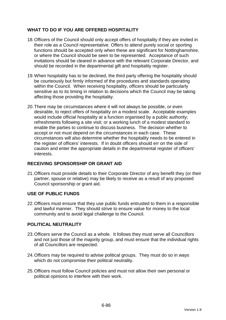# **WHAT TO DO IF YOU ARE OFFERED HOSPITALITY**

- 18. Officers of the Council should only accept offers of hospitality if they are invited in their role as a Council representative. Offers to attend purely social or sporting functions should be accepted only when these are significant for Nottinghamshire, or where the Council should be seen to be represented. Acceptance of such invitations should be cleared in advance with the relevant Corporate Director, and should be recorded in the departmental gift and hospitality register.
- 19. When hospitality has to be declined, the third party offering the hospitality should be courteously but firmly informed of the procedures and standards operating within the Council. When receiving hospitality, officers should be particularly sensitive as to its timing in relation to decisions which the Council may be taking affecting those providing the hospitality.
- 20. There may be circumstances where it will not always be possible, or even desirable, to reject offers of hospitality on a modest scale. Acceptable examples would include official hospitality at a function organised by a public authority; refreshments following a site visit; or a working lunch of a modest standard to enable the parties to continue to discuss business. The decision whether to accept or not must depend on the circumstances in each case. These circumstances will also determine whether the hospitality needs to be entered in the register of officers' interests. If in doubt officers should err on the side of caution and enter the appropriate details in the departmental register of officers' interests.

# **RECEIVING SPONSORSHIP OR GRANT AID**

21. Officers must provide details to their Corporate Director of any benefit they (or their partner, spouse or relative) may be likely to receive as a result of any proposed Council sponsorship or grant aid.

# **USE OF PUBLIC FUNDS**

22. Officers must ensure that they use public funds entrusted to them in a responsible and lawful manner. They should strive to ensure value for money to the local community and to avoid legal challenge to the Council.

# **POLITICAL NEUTRALITY**

- 23. Officers serve the Council as a whole. It follows they must serve all Councillors and not just those of the majority group, and must ensure that the individual rights of all Councillors are respected.
- 24. Officers may be required to advise political groups. They must do so in ways which do not compromise their political neutrality.
- 25. Officers must follow Council policies and must not allow their own personal or political opinions to interfere with their work.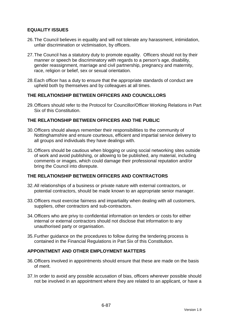## **EQUALITY ISSUES**

- 26. The Council believes in equality and will not tolerate any harassment, intimidation, unfair discrimination or victimisation, by officers.
- 27. The Council has a statutory duty to promote equality. Officers should not by their manner or speech be discriminatory with regards to a person's age, disability, gender reassignment, marriage and civil partnership, pregnancy and maternity, race, religion or belief, sex or sexual orientation.
- 28. Each officer has a duty to ensure that the appropriate standards of conduct are upheld both by themselves and by colleagues at all times.

### **THE RELATIONSHIP BETWEEN OFFICERS AND COUNCILLORS**

29. Officers should refer to the Protocol for Councillor/Officer Working Relations in Part Six of this Constitution.

### **THE RELATIONSHIP BETWEEN OFFICERS AND THE PUBLIC**

- 30. Officers should always remember their responsibilities to the community of Nottinghamshire and ensure courteous, efficient and impartial service delivery to all groups and individuals they have dealings with.
- 31. Officers should be cautious when blogging or using social networking sites outside of work and avoid publishing, or allowing to be published, any material, including comments or images, which could damage their professional reputation and/or bring the Council into disrepute.

### **THE RELATIONSHIP BETWEEN OFFICERS AND CONTRACTORS**

- 32. All relationships of a business or private nature with external contractors, or potential contractors, should be made known to an appropriate senior manager.
- 33. Officers must exercise fairness and impartiality when dealing with all customers, suppliers, other contractors and sub-contractors.
- 34. Officers who are privy to confidential information on tenders or costs for either internal or external contractors should not disclose that information to any unauthorised party or organisation.
- 35. Further guidance on the procedures to follow during the tendering process is contained in the Financial Regulations in Part Six of this Constitution.

#### **APPOINTMENT AND OTHER EMPLOYMENT MATTERS**

- 36. Officers involved in appointments should ensure that these are made on the basis of merit.
- 37. In order to avoid any possible accusation of bias, officers wherever possible should not be involved in an appointment where they are related to an applicant, or have a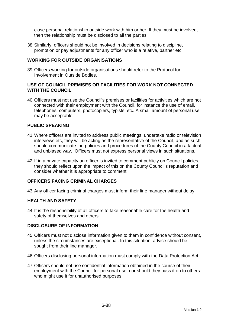close personal relationship outside work with him or her. If they must be involved, then the relationship must be disclosed to all the parties.

38. Similarly, officers should not be involved in decisions relating to discipline, promotion or pay adjustments for any officer who is a relative, partner etc.

### **WORKING FOR OUTSIDE ORGANISATIONS**

39. Officers working for outside organisations should refer to the Protocol for Involvement in Outside Bodies.

### **USE OF COUNCIL PREMISES OR FACILITIES FOR WORK NOT CONNECTED WITH THE COUNCIL**

40. Officers must not use the Council's premises or facilities for activities which are not connected with their employment with the Council, for instance the use of email, telephones, computers, photocopiers, typists, etc. A small amount of personal use may be acceptable.

### **PUBLIC SPEAKING**

- 41. Where officers are invited to address public meetings, undertake radio or television interviews etc, they will be acting as the representative of the Council, and as such should communicate the policies and procedures of the County Council in a factual and unbiased way. Officers must not express personal views in such situations.
- 42. If in a private capacity an officer is invited to comment publicly on Council policies, they should reflect upon the impact of this on the County Council's reputation and consider whether it is appropriate to comment.

### **OFFICERS FACING CRIMINAL CHARGES**

43. Any officer facing criminal charges must inform their line manager without delay.

#### **HEALTH AND SAFETY**

44. It is the responsibility of all officers to take reasonable care for the health and safety of themselves and others.

#### **DISCLOSURE OF INFORMATION**

- 45. Officers must not disclose information given to them in confidence without consent, unless the circumstances are exceptional. In this situation, advice should be sought from their line manager.
- 46. Officers disclosing personal information must comply with the Data Protection Act.
- 47. Officers should not use confidential information obtained in the course of their employment with the Council for personal use, nor should they pass it on to others who might use it for unauthorised purposes.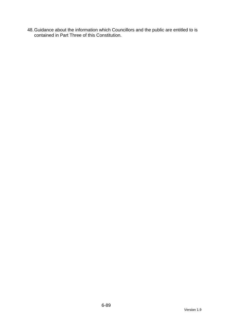48. Guidance about the information which Councillors and the public are entitled to is contained in Part Three of this Constitution.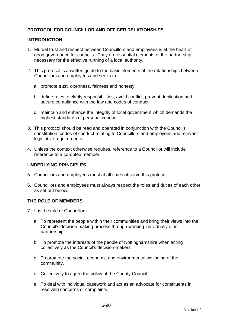# **PROTOCOL FOR COUNCILLOR AND OFFICER RELATIONSHIPS**

### **INTRODUCTION**

- 1. Mutual trust and respect between Councillors and employees is at the heart of good governance for councils. They are essential elements of the partnership necessary for the effective running of a local authority.
- 2. This protocol is a written guide to the basic elements of the relationships between Councillors and employees and seeks to:
	- a. promote trust, openness, fairness and honesty;
	- b. define roles to clarify responsibilities, avoid conflict, prevent duplication and secure compliance with the law and codes of conduct;
	- c. maintain and enhance the integrity of local government which demands the highest standards of personal conduct.
- 3. This protocol should be read and operated in conjunction with the Council's constitution, codes of conduct relating to Councillors and employees and relevant legislative requirements.
- 4. Unless the context otherwise requires, reference to a Councillor will include reference to a co-opted member.

# **UNDERLYING PRINCIPLES**

- 5. Councillors and employees must at all times observe this protocol.
- 6. Councillors and employees must always respect the roles and duties of each other as set out below.

#### **THE ROLE OF MEMBERS**

- 7. It is the role of Councillors:
	- a. To represent the people within their communities and bring their views into the Council's decision making process through working individually or in partnership
	- b. To promote the interests of the people of Nottinghamshire when acting collectively as the Council's decision-makers
	- c. To promote the social, economic and environmental wellbeing of the community.
	- d. Collectively to agree the policy of the County Council
	- e. To deal with individual casework and act as an advocate for constituents in resolving concerns or complaints.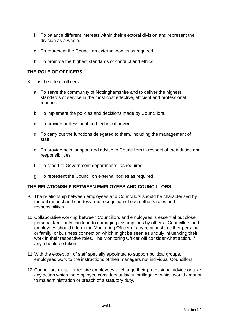- f. To balance different interests within their electoral division and represent the division as a whole.
- g. To represent the Council on external bodies as required.
- h. To promote the highest standards of conduct and ethics.

# **THE ROLE OF OFFICERS**

- 8. It is the role of officers:
	- a. To serve the community of Nottinghamshire and to deliver the highest standards of service in the most cost effective, efficient and professional manner.
	- b. To implement the policies and decisions made by Councillors.
	- c. To provide professional and technical advice.
	- d. To carry out the functions delegated to them, including the management of staff.
	- e. To provide help, support and advice to Councillors in respect of their duties and responsibilities
	- f. To report to Government departments, as required.
	- g. To represent the Council on external bodies as required.

#### **THE RELATIONSHIP BETWEEN EMPLOYEES AND COUNCILLORS**

- 9. The relationship between employees and Councillors should be characterised by mutual respect and courtesy and recognition of each other's roles and responsibilities.
- 10. Collaborative working between Councillors and employees is essential but close personal familiarity can lead to damaging assumptions by others. Councillors and employees should inform the Monitoring Officer of any relationship either personal or family, or business connection which might be seen as unduly influencing their work in their respective roles. The Monitoring Officer will consider what action, if any, should be taken.
- 11. With the exception of staff specially appointed to support political groups, employees work to the instructions of their managers not individual Councillors.
- 12. Councillors must not require employees to change their professional advice or take any action which the employee considers unlawful or illegal or which would amount to maladministration or breach of a statutory duty.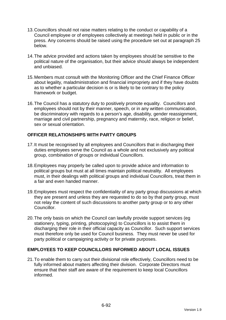- 13. Councillors should not raise matters relating to the conduct or capability of a Council employee or of employees collectively at meetings held in public or in the press. Any concerns should be raised using the procedure set out at paragraph 25 below.
- 14. The advice provided and actions taken by employees should be sensitive to the political nature of the organisation, but their advice should always be independent and unbiased.
- 15. Members must consult with the Monitoring Officer and the Chief Finance Officer about legality, maladministration and financial impropriety and if they have doubts as to whether a particular decision is or is likely to be contrary to the policy framework or budget.
- 16. The Council has a statutory duty to positively promote equality. Councillors and employees should not by their manner, speech, or in any written communication, be discriminatory with regards to a person's age, disability, gender reassignment, marriage and civil partnership, pregnancy and maternity, race, religion or belief, sex or sexual orientation.

# **OFFICER RELATIONSHIPS WITH PARTY GROUPS**

- 17. It must be recognised by all employees and Councillors that in discharging their duties employees serve the Council as a whole and not exclusively any political group, combination of groups or individual Councillors.
- 18. Employees may properly be called upon to provide advice and information to political groups but must at all times maintain political neutrality. All employees must, in their dealings with political groups and individual Councillors, treat them in a fair and even handed manner.
- 19. Employees must respect the confidentiality of any party group discussions at which they are present and unless they are requested to do so by that party group, must not relay the content of such discussions to another party group or to any other Councillor.
- 20. The only basis on which the Council can lawfully provide support services (eg stationery, typing, printing, photocopying) to Councillors is to assist them in discharging their role in their official capacity as Councillor. Such support services must therefore only be used for Council business. They must never be used for party political or campaigning activity or for private purposes.

# **EMPLOYEES TO KEEP COUNCILLORS INFORMED ABOUT LOCAL ISSUES**

21. To enable them to carry out their divisional role effectively, Councillors need to be fully informed about matters affecting their division. Corporate Directors must ensure that their staff are aware of the requirement to keep local Councillors informed.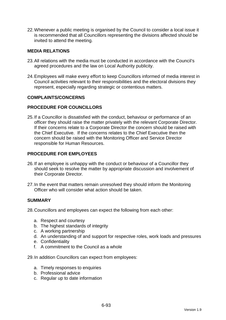22. Whenever a public meeting is organised by the Council to consider a local issue it is recommended that all Councillors representing the divisions affected should be invited to attend the meeting.

### **MEDIA RELATIONS**

- 23. All relations with the media must be conducted in accordance with the Council's agreed procedures and the law on Local Authority publicity.
- 24. Employees will make every effort to keep Councillors informed of media interest in Council activities relevant to their responsibilities and the electoral divisions they represent, especially regarding strategic or contentious matters.

#### **COMPLAINTS/CONCERNS**

### **PROCEDURE FOR COUNCILLORS**

25. If a Councillor is dissatisfied with the conduct, behaviour or performance of an officer they should raise the matter privately with the relevant Corporate Director. If their concerns relate to a Corporate Director the concern should be raised with the Chief Executive. If the concerns relates to the Chief Executive then the concern should be raised with the Monitoring Officer and Service Director responsible for Human Resources.

### **PROCEDURE FOR EMPLOYEES**

- 26. If an employee is unhappy with the conduct or behaviour of a Councillor they should seek to resolve the matter by appropriate discussion and involvement of their Corporate Director.
- 27. In the event that matters remain unresolved they should inform the Monitoring Officer who will consider what action should be taken.

#### **SUMMARY**

28. Councillors and employees can expect the following from each other:

- a. Respect and courtesy
- b. The highest standards of integrity
- c. A working partnership
- d. An understanding of and support for respective roles, work loads and pressures
- e. Confidentiality
- f. A commitment to the Council as a whole

29. In addition Councillors can expect from employees:

- a. Timely responses to enquiries
- b. Professional advice
- c. Regular up to date information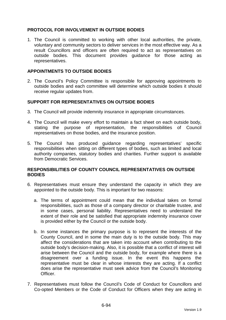## **PROTOCOL FOR INVOLVEMENT IN OUTSIDE BODIES**

1. The Council is committed to working with other local authorities, the private, voluntary and community sectors to deliver services in the most effective way. As a result Councillors and officers are often required to act as representatives on outside bodies. This document provides guidance for those acting as representatives.

### **APPOINTMENTS TO OUTSIDE BODIES**

2. The Council's Policy Committee is responsible for approving appointments to outside bodies and each committee will determine which outside bodies it should receive regular updates from.

### **SUPPORT FOR REPRESENTATIVES ON OUTSIDE BODIES**

- 3. The Council will provide indemnity insurance in appropriate circumstances.
- 4. The Council will make every effort to maintain a fact sheet on each outside body, stating the purpose of representation, the responsibilities of Council representatives on those bodies, and the insurance position.
- 5. The Council has produced guidance regarding representatives' specific responsibilities when sitting on different types of bodies, such as limited and local authority companies, statutory bodies and charities. Further support is available from Democratic Services.

### **RESPONSIBILITIES OF COUNTY COUNCIL REPRESENTATIVES ON OUTSIDE BODIES**

- 6. Representatives must ensure they understand the capacity in which they are appointed to the outside body. This is important for two reasons:
	- a. The terms of appointment could mean that the individual takes on formal responsibilities, such as those of a company director or charitable trustee, and in some cases, personal liability. Representatives need to understand the extent of their role and be satisfied that appropriate indemnity insurance cover is provided either by the Council or the outside body.
	- b. In some instances the primary purpose is to represent the interests of the County Council, and in some the main duty is to the outside body. This may affect the considerations that are taken into account when contributing to the outside body's decision-making. Also, it is possible that a conflict of interest will arise between the Council and the outside body, for example where there is a disagreement over a funding issue. In the event this happens the representative must be clear in whose interests they are acting. If a conflict does arise the representative must seek advice from the Council's Monitoring Officer.
- 7. Representatives must follow the Council's Code of Conduct for Councillors and Co-opted Members or the Code of Conduct for Officers when they are acting in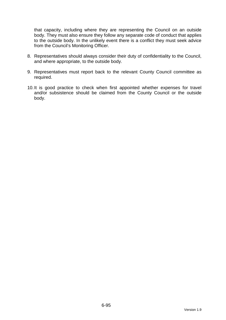that capacity, including where they are representing the Council on an outside body. They must also ensure they follow any separate code of conduct that applies to the outside body. In the unlikely event there is a conflict they must seek advice from the Council's Monitoring Officer.

- 8. Representatives should always consider their duty of confidentiality to the Council, and where appropriate, to the outside body.
- 9. Representatives must report back to the relevant County Council committee as required.
- 10. It is good practice to check when first appointed whether expenses for travel and/or subsistence should be claimed from the County Council or the outside body.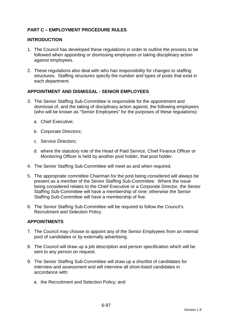# **PART C – EMPLOYMENT PROCEDURE RULES**

#### **INTRODUCTION**

- 1. The Council has developed these regulations in order to outline the process to be followed when appointing or dismissing employees or taking disciplinary action against employees.
- 2. These regulations also deal with who has responsibility for changes to staffing structures. Staffing structures specify the number and types of posts that exist in each department.

### **APPOINTMENT AND DISMISSAL - SENIOR EMPLOYEES**

- 3. The Senior Staffing Sub-Committee is responsible for the appointment and dismissal of, and the taking of disciplinary action against, the following employees (who will be known as "Senior Employees" for the purposes of these regulations):
	- a. Chief Executive;
	- b. Corporate Directors;
	- c. Service Directors;
	- d. where the statutory role of the Head of Paid Service, Chief Finance Officer or Monitoring Officer is held by another post holder, that post holder.
- 4. The Senior Staffing Sub-Committee will meet as and when required.
- 5. The appropriate committee Chairman for the post being considered will always be present as a member of the Senior Staffing Sub-Committee. Where the issue being considered relates to the Chief Executive or a Corporate Director, the Senior Staffing Sub-Committee will have a membership of nine; otherwise the Senior Staffing Sub-Committee will have a membership of five.
- 6. The Senior Staffing Sub-Committee will be required to follow the Council's Recruitment and Selection Policy.

# **APPOINTMENTS**

- 7. The Council may choose to appoint any of the Senior Employees from an internal pool of candidates or by externally advertising.
- 8. The Council will draw up a job description and person specification which will be sent to any person on request.
- 9. The Senior Staffing Sub-Committee will draw up a shortlist of candidates for interview and assessment and will interview all short-listed candidates in accordance with:
	- a. the Recruitment and Selection Policy; and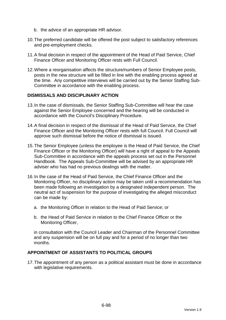- b. the advice of an appropriate HR advisor.
- 10. The preferred candidate will be offered the post subject to satisfactory references and pre-employment checks.
- 11. A final decision in respect of the appointment of the Head of Paid Service, Chief Finance Officer and Monitoring Officer rests with Full Council.
- 12. Where a reorganisation affects the structure/numbers of Senior Employee posts, posts in the new structure will be filled in line with the enabling process agreed at the time. Any competitive interviews will be carried out by the Senior Staffing Sub-Committee in accordance with the enabling process.

#### **DISMISSALS AND DISCIPLINARY ACTION**

- 13. In the case of dismissals, the Senior Staffing Sub-Committee will hear the case against the Senior Employee concerned and the hearing will be conducted in accordance with the Council's Disciplinary Procedure.
- 14. A final decision in respect of the dismissal of the Head of Paid Service, the Chief Finance Officer and the Monitoring Officer rests with full Council. Full Council will approve such dismissal before the notice of dismissal is issued.
- 15. The Senior Employee (unless the employee is the Head of Paid Service, the Chief Finance Officer or the Monitoring Officer) will have a right of appeal to the Appeals Sub-Committee in accordance with the appeals process set out in the Personnel Handbook. The Appeals Sub-Committee will be advised by an appropriate HR adviser who has had no previous dealings with the matter.
- 16. In the case of the Head of Paid Service, the Chief Finance Officer and the Monitoring Officer, no disciplinary action may be taken until a recommendation has been made following an investigation by a designated independent person. The neutral act of suspension for the purpose of investigating the alleged misconduct can be made by:
	- a. the Monitoring Officer in relation to the Head of Paid Service; or
	- b. the Head of Paid Service in relation to the Chief Finance Officer or the Monitoring Officer,

in consultation with the Council Leader and Chairman of the Personnel Committee and any suspension will be on full pay and for a period of no longer than two months.

### **APPOINTMENT OF ASSISTANTS TO POLITICAL GROUPS**

17. The appointment of any person as a political assistant must be done in accordance with legislative requirements.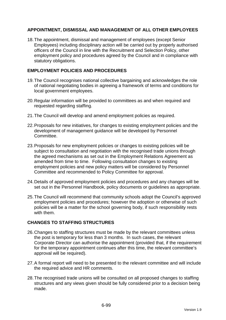# **APPOINTMENT, DISMISSAL AND MANAGEMENT OF ALL OTHER EMPLOYEES**

18. The appointment, dismissal and management of employees (except Senior Employees) including disciplinary action will be carried out by properly authorised officers of the Council in line with the Recruitment and Selection Policy, other employment policy and procedures agreed by the Council and in compliance with statutory obligations.

## **EMPLOYMENT POLICIES AND PROCEDURES**

- 19. The Council recognises national collective bargaining and acknowledges the role of national negotiating bodies in agreeing a framework of terms and conditions for local government employees.
- 20. Regular information will be provided to committees as and when required and requested regarding staffing.
- 21. The Council will develop and amend employment policies as required.
- 22. Proposals for new initiatives, for changes to existing employment policies and the development of management guidance will be developed by Personnel Committee.
- 23. Proposals for new employment policies or changes to existing policies will be subject to consultation and negotiation with the recognised trade unions through the agreed mechanisms as set out in the Employment Relations Agreement as amended from time to time. Following consultation changes to existing employment policies and new policy matters will be considered by Personnel Committee and recommended to Policy Committee for approval.
- 24. Details of approved employment policies and procedures and any changes will be set out in the Personnel Handbook, policy documents or guidelines as appropriate.
- 25. The Council will recommend that community schools adopt the Council's approved employment policies and procedures; however the adoption or otherwise of such policies will be a matter for the school governing body, if such responsibility rests with them.

# **CHANGES TO STAFFING STRUCTURES**

- 26. Changes to staffing structures must be made by the relevant committees unless the post is temporary for less than 3 months. In such cases, the relevant Corporate Director can authorise the appointment (provided that, if the requirement for the temporary appointment continues after this time, the relevant committee's approval will be required).
- 27. A formal report will need to be presented to the relevant committee and will include the required advice and HR comments.
- 28. The recognised trade unions will be consulted on all proposed changes to staffing structures and any views given should be fully considered prior to a decision being made.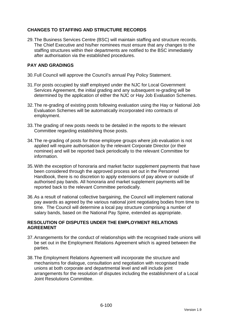# **CHANGES TO STAFFING AND STRUCTURE RECORDS**

29. The Business Services Centre (BSC) will maintain staffing and structure records. The Chief Executive and his/her nominees must ensure that any changes to the staffing structures within their departments are notified to the BSC immediately after authorisation via the established procedures.

# **PAY AND GRADINGS**

- 30. Full Council will approve the Council's annual Pay Policy Statement.
- 31. For posts occupied by staff employed under the NJC for Local Government Services Agreement, the initial grading and any subsequent re-grading will be determined by the application of either the NJC or Hay Job Evaluation Schemes.
- 32. The re-grading of existing posts following evaluation using the Hay or National Job Evaluation Schemes will be automatically incorporated into contracts of employment.
- 33. The grading of new posts needs to be detailed in the reports to the relevant Committee regarding establishing those posts.
- 34. The re-grading of posts for those employee groups where job evaluation is not applied will require authorisation by the relevant Corporate Director (or their nominee) and will be reported back periodically to the relevant Committee for information.
- 35. With the exception of honoraria and market factor supplement payments that have been considered through the approved process set out in the Personnel Handbook, there is no discretion to apply extensions of pay above or outside of authorised pay bands. All honoraria and market supplement payments will be reported back to the relevant Committee periodically.
- 36. As a result of national collective bargaining, the Council will implement national pay awards as agreed by the various national joint negotiating bodies from time to time. The Council will determine a local pay structure comprising a number of salary bands, based on the National Pay Spine, extended as appropriate.

# **RESOLUTION OF DISPUTES UNDER THE EMPLOYMENT RELATIONS AGREEMENT**

- 37. Arrangements for the conduct of relationships with the recognised trade unions will be set out in the Employment Relations Agreement which is agreed between the parties.
- 38. The Employment Relations Agreement will incorporate the structure and mechanisms for dialogue, consultation and negotiation with recognised trade unions at both corporate and departmental level and will include joint arrangements for the resolution of disputes including the establishment of a Local Joint Resolutions Committee.